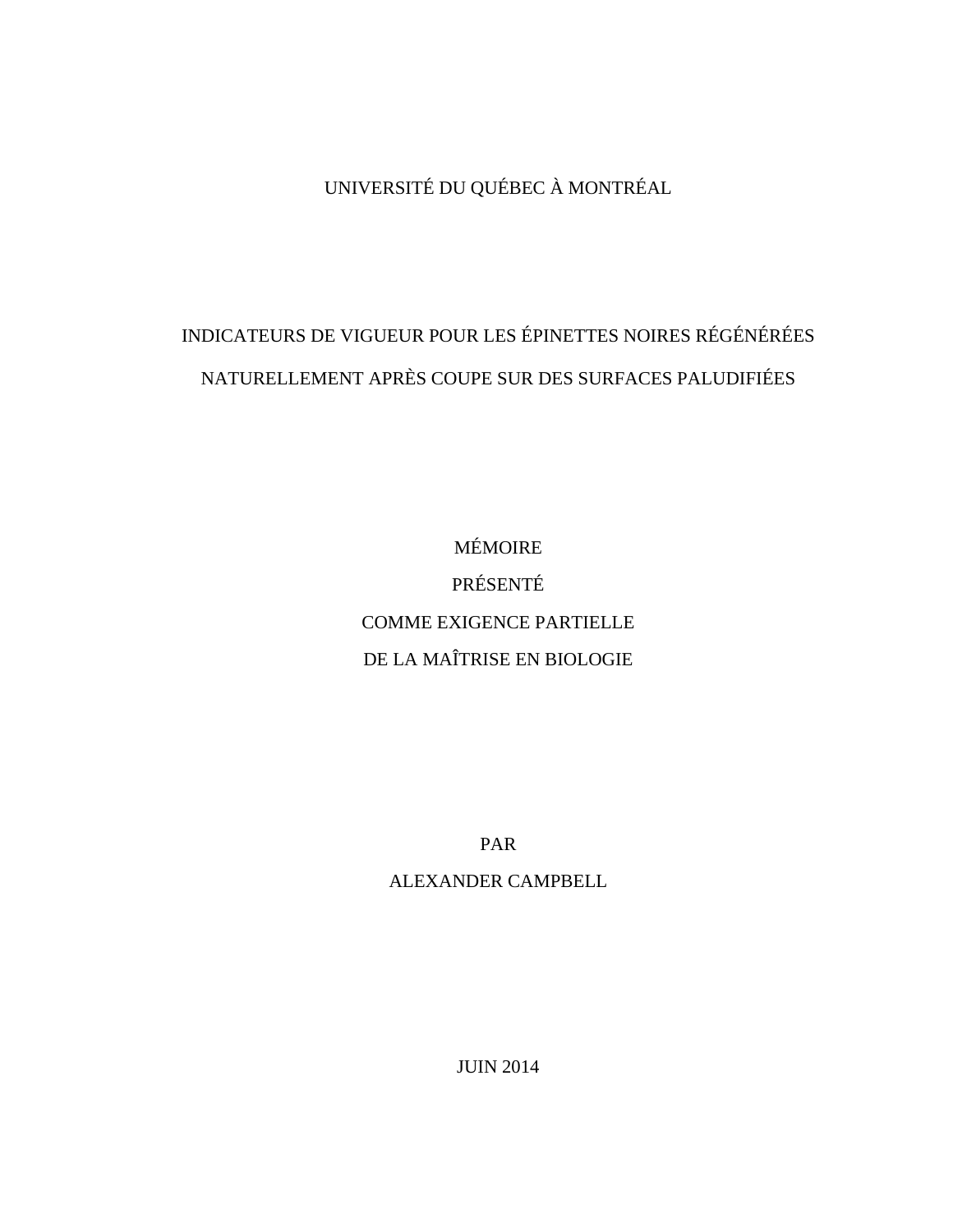UNIVERSITÉ DU QUÉBEC À MONTRÉAL

# INDICATEURS DE VIGUEUR POUR LES ÉPINETTES NOIRES RÉGÉNÉRÉES NATURELLEMENT APRÈS COUPE SUR DES SURFACES PALUDIFIÉES

MÉMOIRE PRÉSENTÉ COMME EXIGENCE PARTIELLE DE LA MAÎTRISE EN BIOLOGIE

PAR

ALEXANDER CAMPBELL

JUIN 2014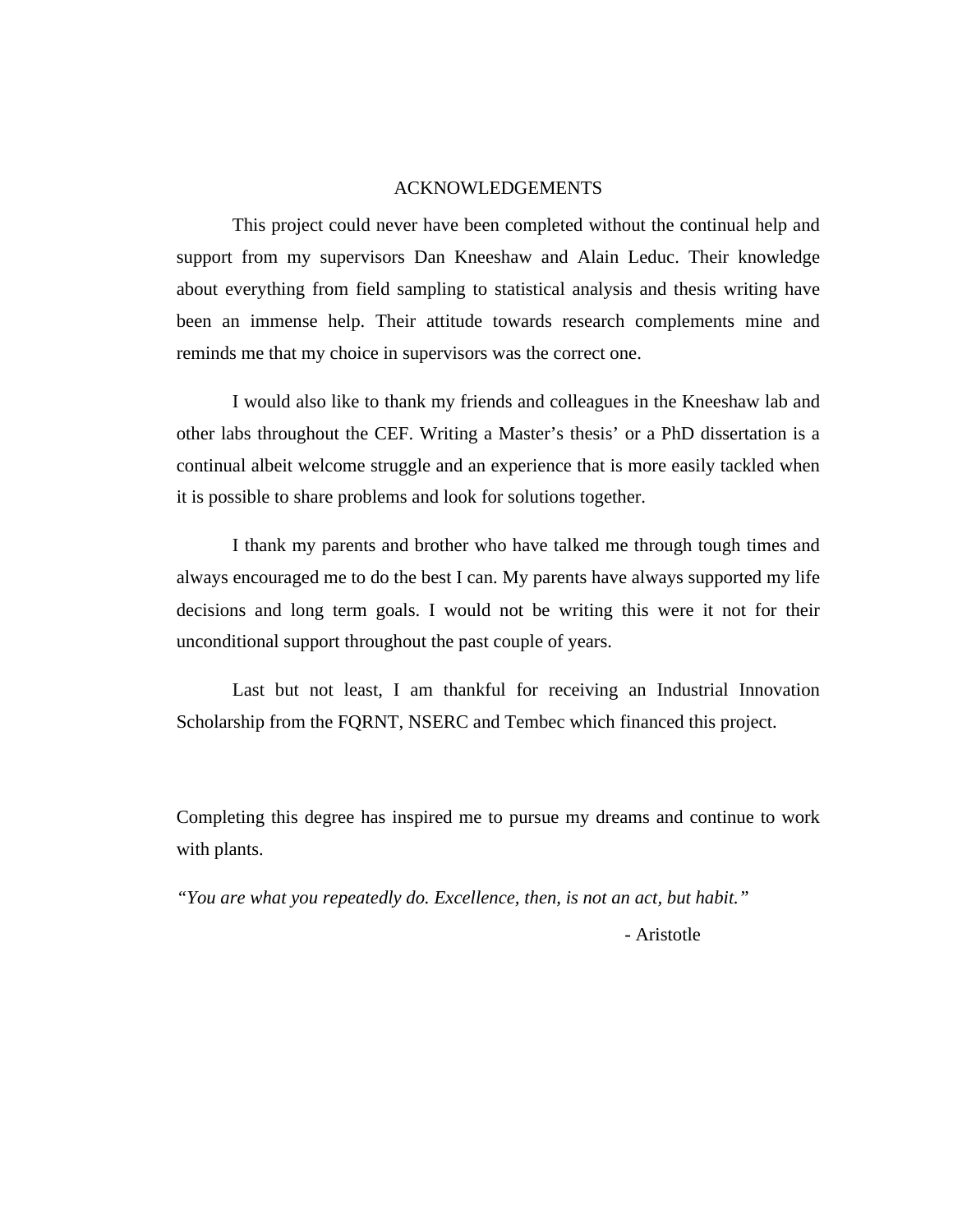# ACKNOWLEDGEMENTS

This project could never have been completed without the continual help and support from my supervisors Dan Kneeshaw and Alain Leduc. Their knowledge about everything from field sampling to statistical analysis and thesis writing have been an immense help. Their attitude towards research complements mine and reminds me that my choice in supervisors was the correct one.

I would also like to thank my friends and colleagues in the Kneeshaw lab and other labs throughout the CEF. Writing a Master's thesis' or a PhD dissertation is a continual albeit welcome struggle and an experience that is more easily tackled when it is possible to share problems and look for solutions together.

I thank my parents and brother who have talked me through tough times and always encouraged me to do the best I can. My parents have always supported my life decisions and long term goals. I would not be writing this were it not for their unconditional support throughout the past couple of years.

Last but not least, I am thankful for receiving an Industrial Innovation Scholarship from the FQRNT, NSERC and Tembec which financed this project.

Completing this degree has inspired me to pursue my dreams and continue to work with plants.

*"You are what you repeatedly do. Excellence, then, is not an act, but habit."*

- Aristotle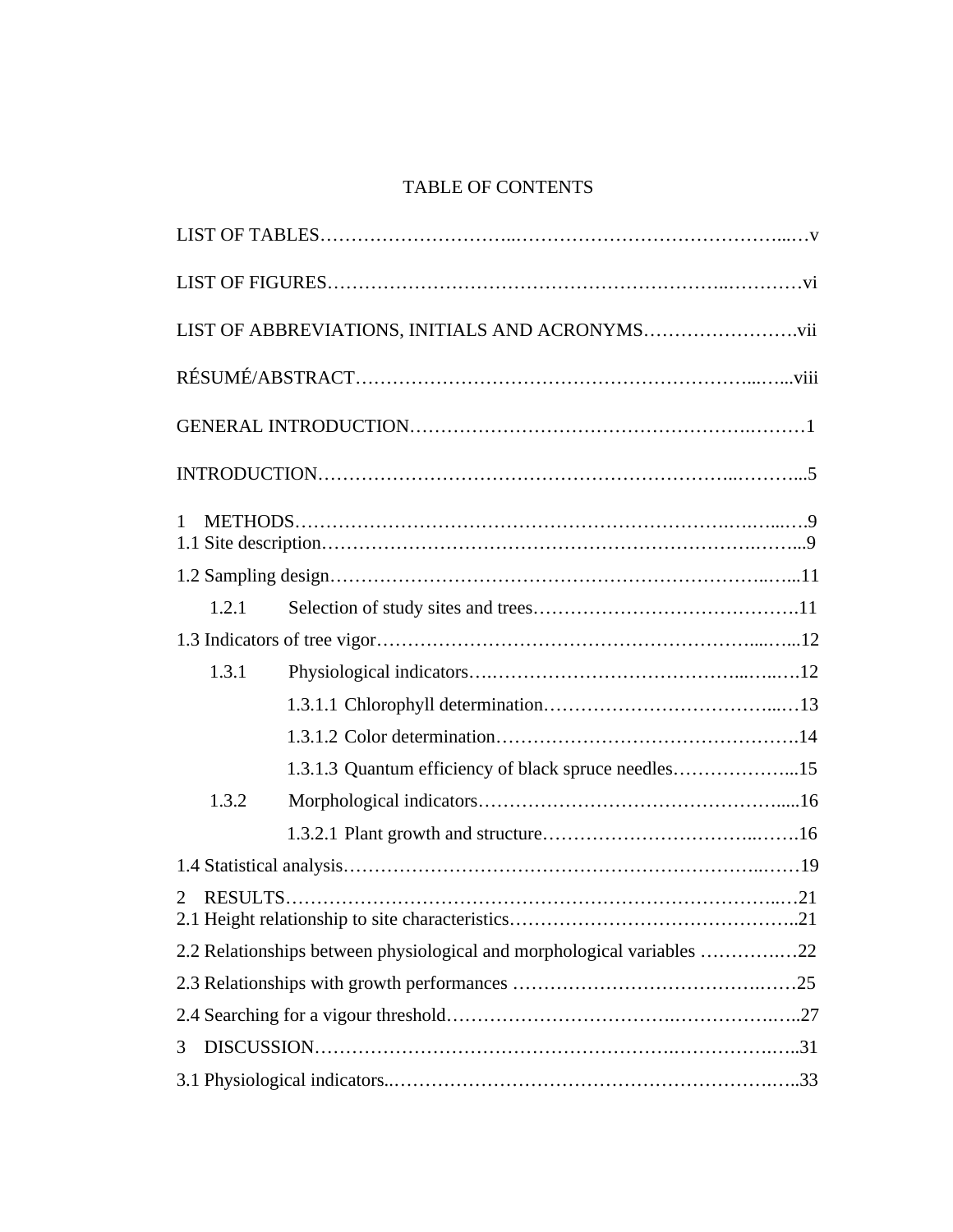# TABLE OF CONTENTS

| $\mathbf{1}$                |                                                                        |  |
|-----------------------------|------------------------------------------------------------------------|--|
|                             |                                                                        |  |
| 1.2.1                       |                                                                        |  |
|                             |                                                                        |  |
| 1.3.1                       |                                                                        |  |
|                             |                                                                        |  |
|                             |                                                                        |  |
|                             | 1.3.1.3 Quantum efficiency of black spruce needles15                   |  |
| 1.3.2                       |                                                                        |  |
|                             |                                                                        |  |
|                             |                                                                        |  |
| $\mathcal{D}_{\mathcal{L}}$ |                                                                        |  |
|                             | 2.2 Relationships between physiological and morphological variables 22 |  |
|                             |                                                                        |  |
|                             |                                                                        |  |
| 3                           |                                                                        |  |
|                             |                                                                        |  |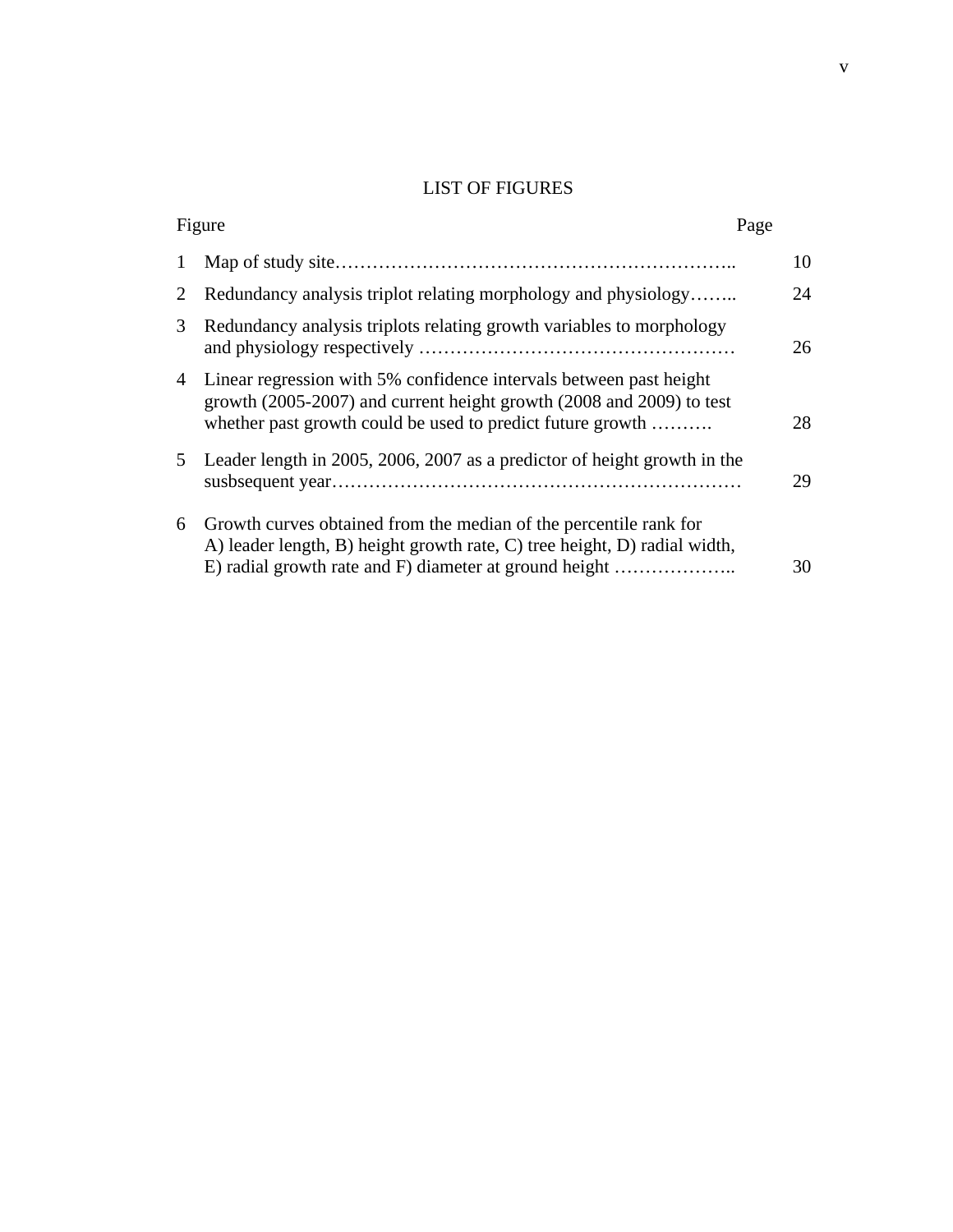# LIST OF FIGURES

|              | Figure                                                                                                                                                                                                     | Page |    |
|--------------|------------------------------------------------------------------------------------------------------------------------------------------------------------------------------------------------------------|------|----|
| $\mathbf{1}$ |                                                                                                                                                                                                            |      | 10 |
| 2            | Redundancy analysis triplot relating morphology and physiology                                                                                                                                             |      | 24 |
| 3            | Redundancy analysis triplots relating growth variables to morphology                                                                                                                                       |      | 26 |
|              | 4 Linear regression with 5% confidence intervals between past height<br>growth (2005-2007) and current height growth (2008 and 2009) to test<br>whether past growth could be used to predict future growth |      | 28 |
|              | 5 Leader length in 2005, 2006, 2007 as a predictor of height growth in the                                                                                                                                 |      | 29 |
| 6            | Growth curves obtained from the median of the percentile rank for<br>A) leader length, B) height growth rate, C) tree height, D) radial width,<br>E) radial growth rate and F) diameter at ground height   |      | 30 |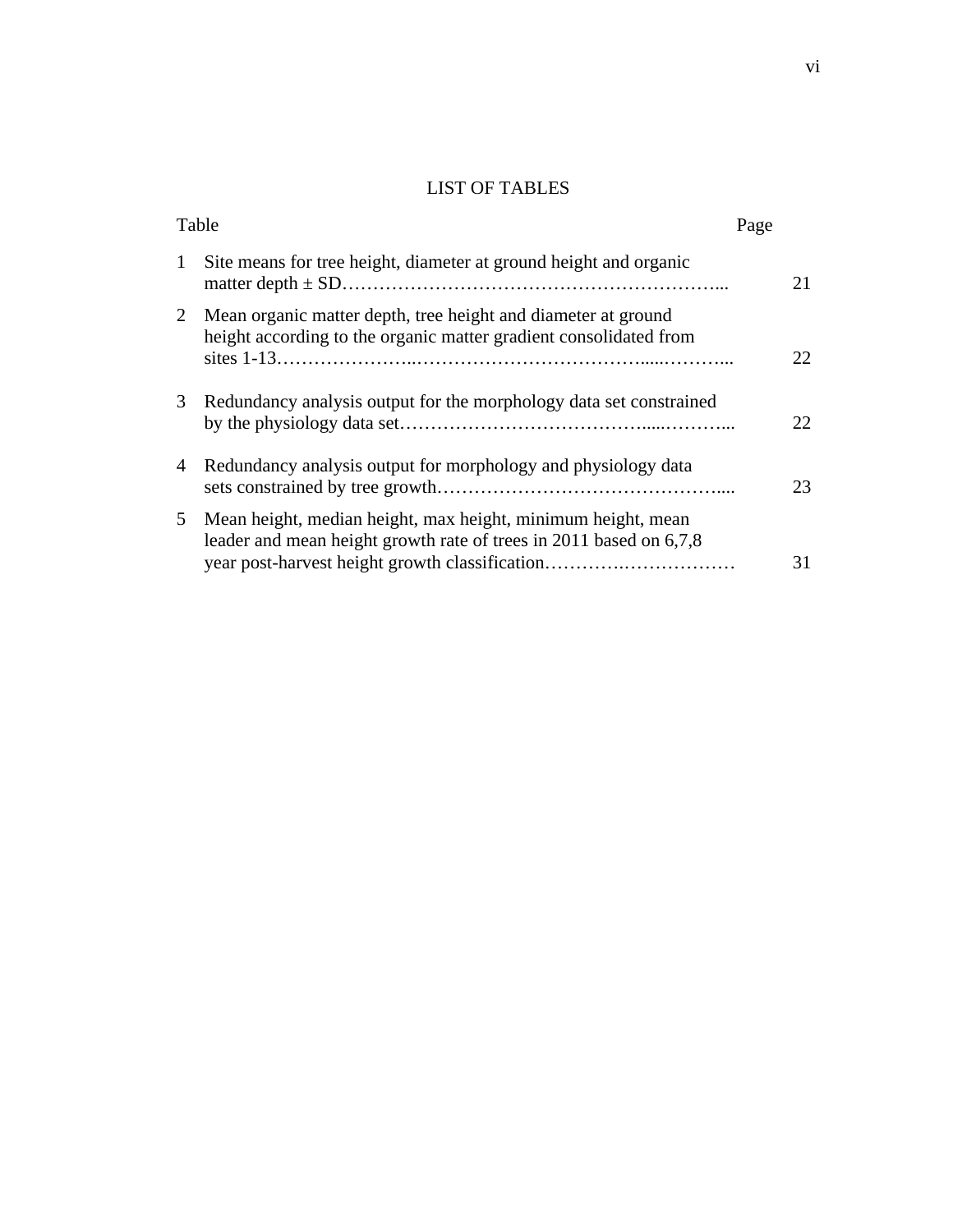# LIST OF TABLES

| Table          |                                                                                                                                                                                      | Page |     |
|----------------|--------------------------------------------------------------------------------------------------------------------------------------------------------------------------------------|------|-----|
| $\mathbf{1}$   | Site means for tree height, diameter at ground height and organic                                                                                                                    |      | 21  |
|                | 2 Mean organic matter depth, tree height and diameter at ground<br>height according to the organic matter gradient consolidated from                                                 |      | 22. |
| 3 <sup>1</sup> | Redundancy analysis output for the morphology data set constrained                                                                                                                   |      | 22. |
| 4              | Redundancy analysis output for morphology and physiology data                                                                                                                        |      | 23  |
| 5 <sup>5</sup> | Mean height, median height, max height, minimum height, mean<br>leader and mean height growth rate of trees in 2011 based on 6,7,8<br>year post-harvest height growth classification |      | 31  |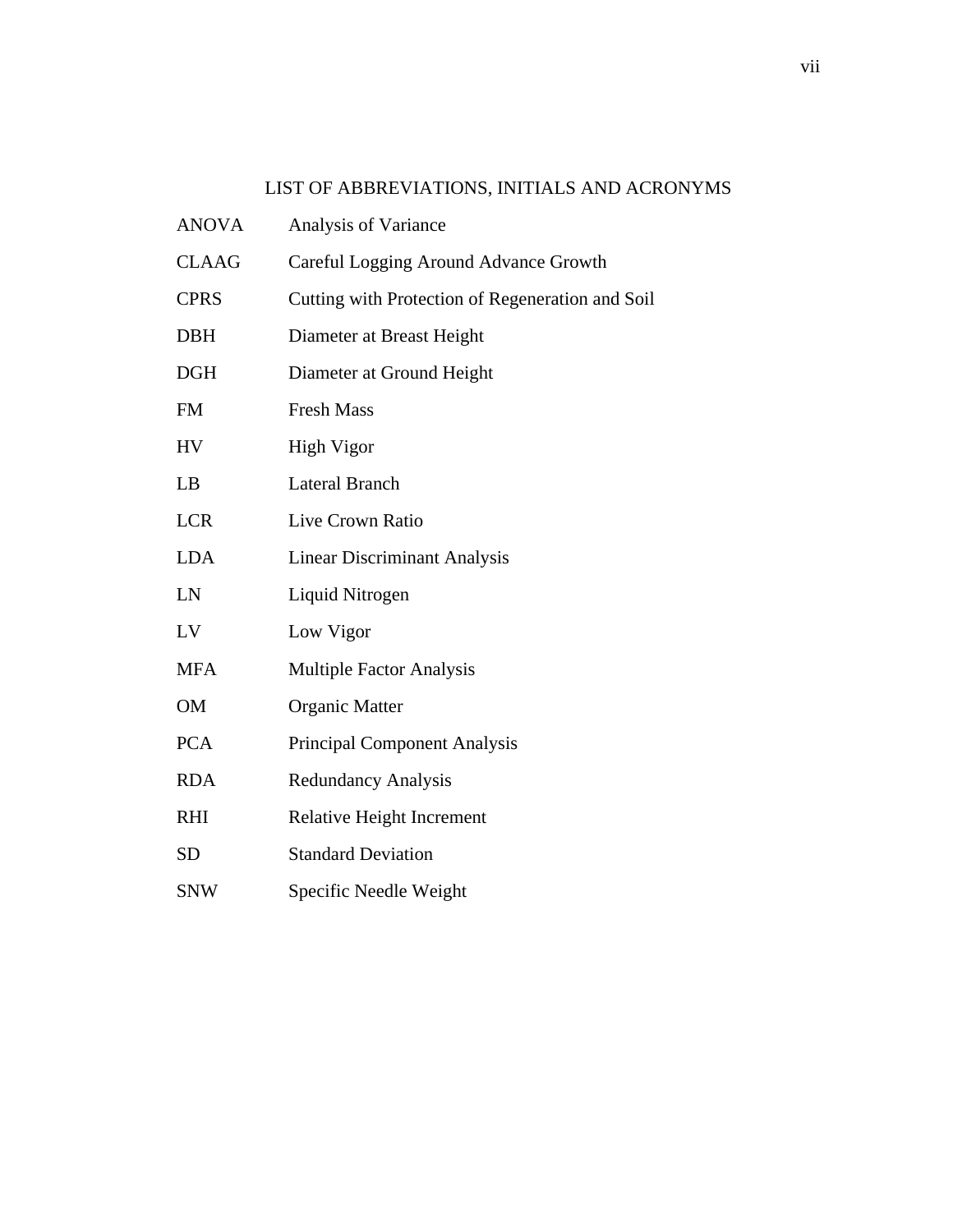# LIST OF ABBREVIATIONS, INITIALS AND ACRONYMS

ANOVA Analysis of Variance CLAAG Careful Logging Around Advance Growth CPRS Cutting with Protection of Regeneration and Soil DBH Diameter at Breast Height DGH Diameter at Ground Height FM Fresh Mass HV High Vigor LB Lateral Branch LCR Live Crown Ratio LDA Linear Discriminant Analysis LN Liquid Nitrogen LV Low Vigor MFA Multiple Factor Analysis OM Organic Matter PCA Principal Component Analysis RDA Redundancy Analysis RHI Relative Height Increment SD Standard Deviation SNW Specific Needle Weight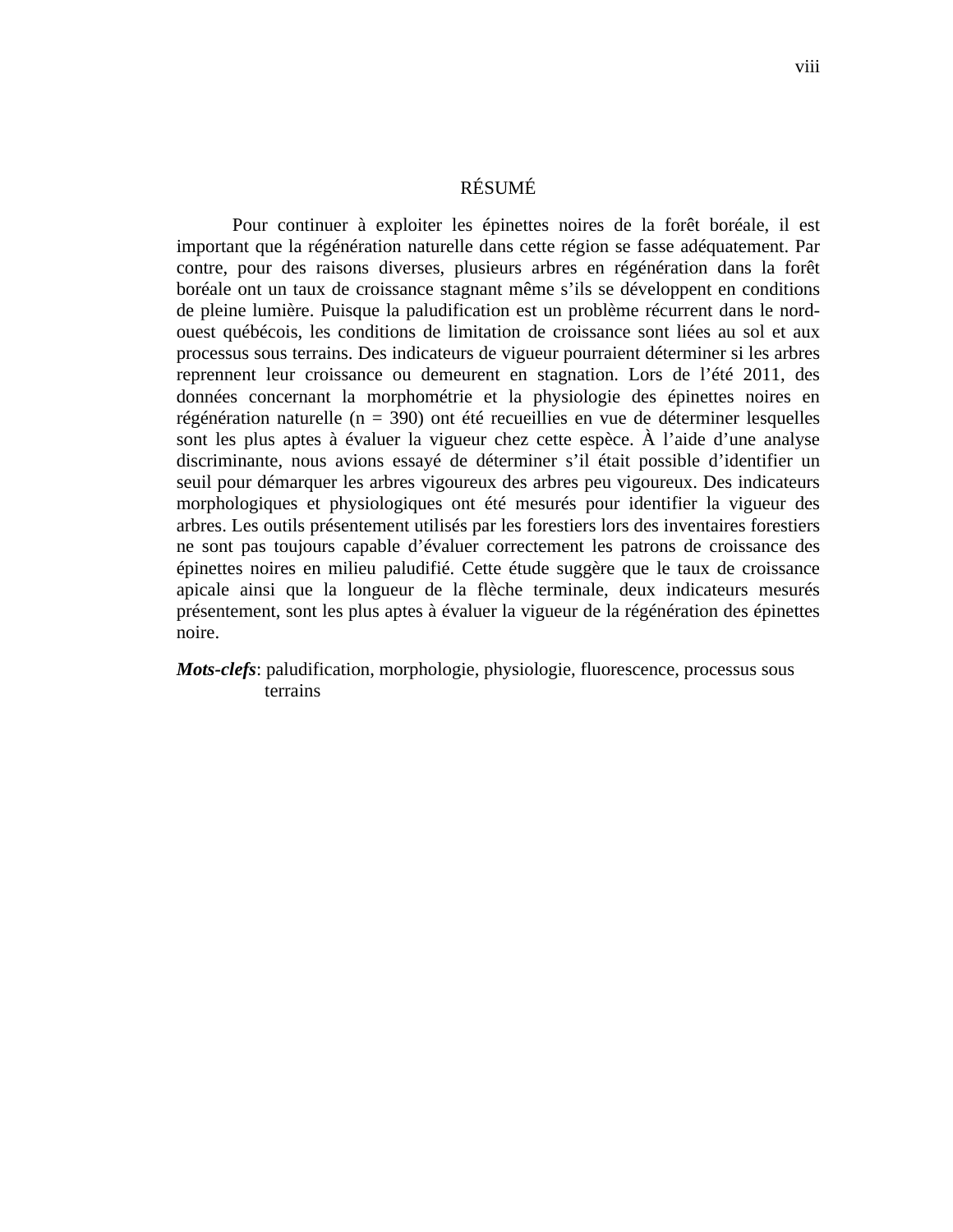# RÉSUMÉ

Pour continuer à exploiter les épinettes noires de la forêt boréale, il est important que la régénération naturelle dans cette région se fasse adéquatement. Par contre, pour des raisons diverses, plusieurs arbres en régénération dans la forêt boréale ont un taux de croissance stagnant même s'ils se développent en conditions de pleine lumière. Puisque la paludification est un problème récurrent dans le nordouest québécois, les conditions de limitation de croissance sont liées au sol et aux processus sous terrains. Des indicateurs de vigueur pourraient déterminer si les arbres reprennent leur croissance ou demeurent en stagnation. Lors de l'été 2011, des données concernant la morphométrie et la physiologie des épinettes noires en régénération naturelle (n = 390) ont été recueillies en vue de déterminer lesquelles sont les plus aptes à évaluer la vigueur chez cette espèce. À l'aide d'une analyse discriminante, nous avions essayé de déterminer s'il était possible d'identifier un seuil pour démarquer les arbres vigoureux des arbres peu vigoureux. Des indicateurs morphologiques et physiologiques ont été mesurés pour identifier la vigueur des arbres. Les outils présentement utilisés par les forestiers lors des inventaires forestiers ne sont pas toujours capable d'évaluer correctement les patrons de croissance des épinettes noires en milieu paludifié. Cette étude suggère que le taux de croissance apicale ainsi que la longueur de la flèche terminale, deux indicateurs mesurés présentement, sont les plus aptes à évaluer la vigueur de la régénération des épinettes noire.

*Mots-clefs*: paludification, morphologie, physiologie, fluorescence, processus sous terrains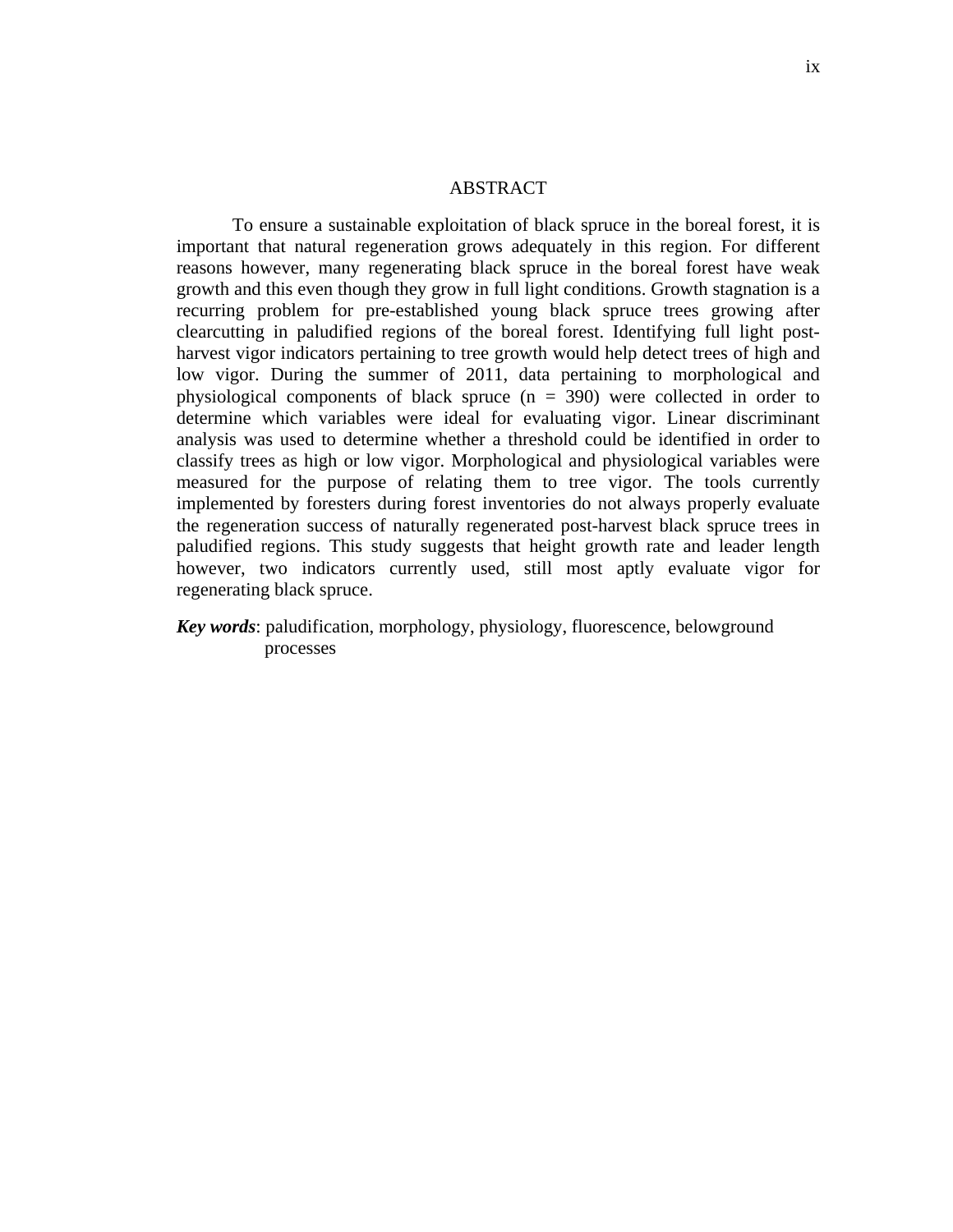#### ABSTRACT

To ensure a sustainable exploitation of black spruce in the boreal forest, it is important that natural regeneration grows adequately in this region. For different reasons however, many regenerating black spruce in the boreal forest have weak growth and this even though they grow in full light conditions. Growth stagnation is a recurring problem for pre-established young black spruce trees growing after clearcutting in paludified regions of the boreal forest. Identifying full light postharvest vigor indicators pertaining to tree growth would help detect trees of high and low vigor. During the summer of 2011, data pertaining to morphological and physiological components of black spruce  $(n = 390)$  were collected in order to determine which variables were ideal for evaluating vigor. Linear discriminant analysis was used to determine whether a threshold could be identified in order to classify trees as high or low vigor. Morphological and physiological variables were measured for the purpose of relating them to tree vigor. The tools currently implemented by foresters during forest inventories do not always properly evaluate the regeneration success of naturally regenerated post-harvest black spruce trees in paludified regions. This study suggests that height growth rate and leader length however, two indicators currently used, still most aptly evaluate vigor for regenerating black spruce.

# *Key words*: paludification, morphology, physiology, fluorescence, belowground processes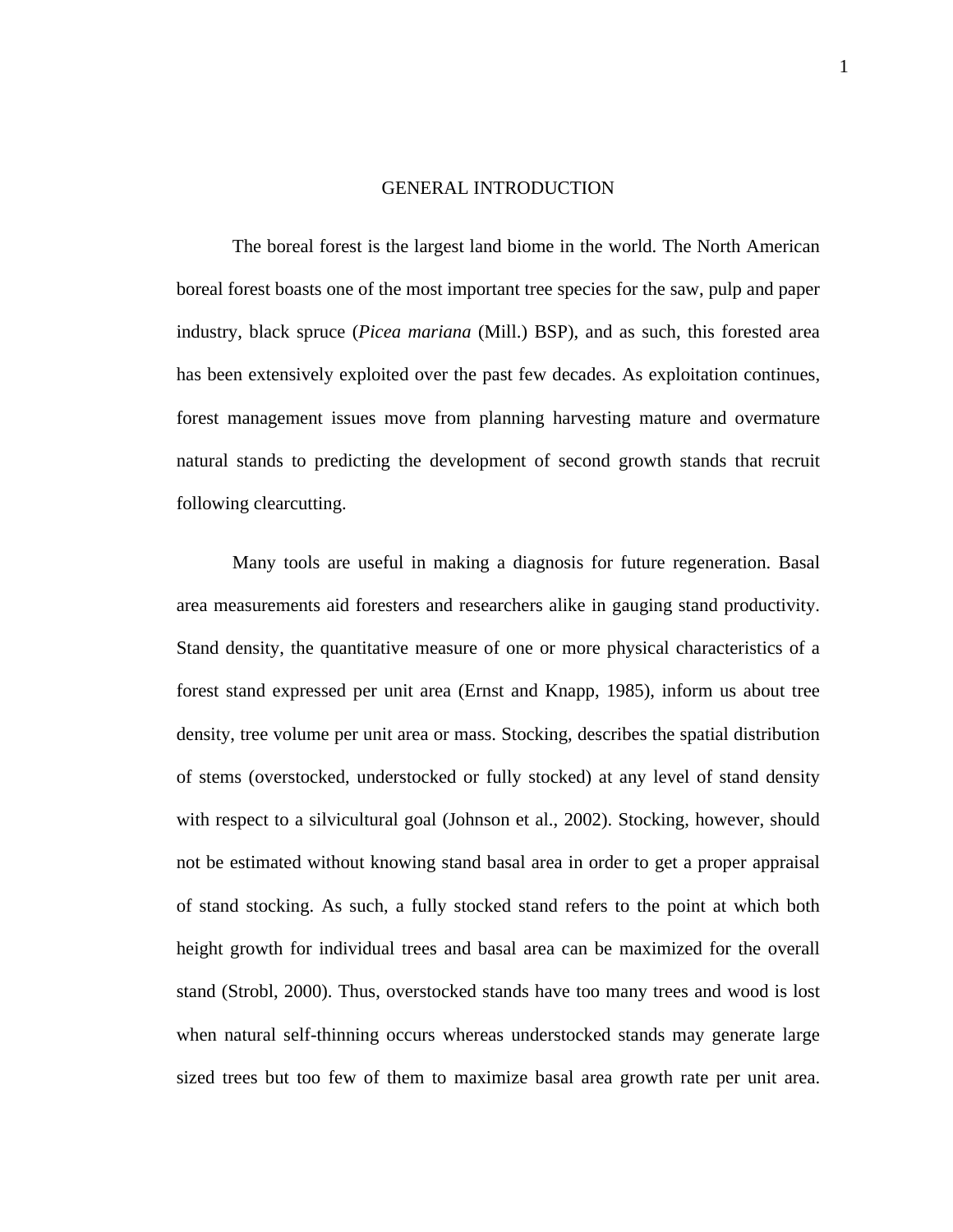## GENERAL INTRODUCTION

The boreal forest is the largest land biome in the world. The North American boreal forest boasts one of the most important tree species for the saw, pulp and paper industry, black spruce (*Picea mariana* (Mill.) BSP), and as such, this forested area has been extensively exploited over the past few decades. As exploitation continues, forest management issues move from planning harvesting mature and overmature natural stands to predicting the development of second growth stands that recruit following clearcutting.

Many tools are useful in making a diagnosis for future regeneration. Basal area measurements aid foresters and researchers alike in gauging stand productivity. Stand density, the quantitative measure of one or more physical characteristics of a forest stand expressed per unit area (Ernst and Knapp, 1985), inform us about tree density, tree volume per unit area or mass. Stocking, describes the spatial distribution of stems (overstocked, understocked or fully stocked) at any level of stand density with respect to a silvicultural goal (Johnson et al., 2002). Stocking, however, should not be estimated without knowing stand basal area in order to get a proper appraisal of stand stocking. As such, a fully stocked stand refers to the point at which both height growth for individual trees and basal area can be maximized for the overall stand (Strobl, 2000). Thus, overstocked stands have too many trees and wood is lost when natural self-thinning occurs whereas understocked stands may generate large sized trees but too few of them to maximize basal area growth rate per unit area.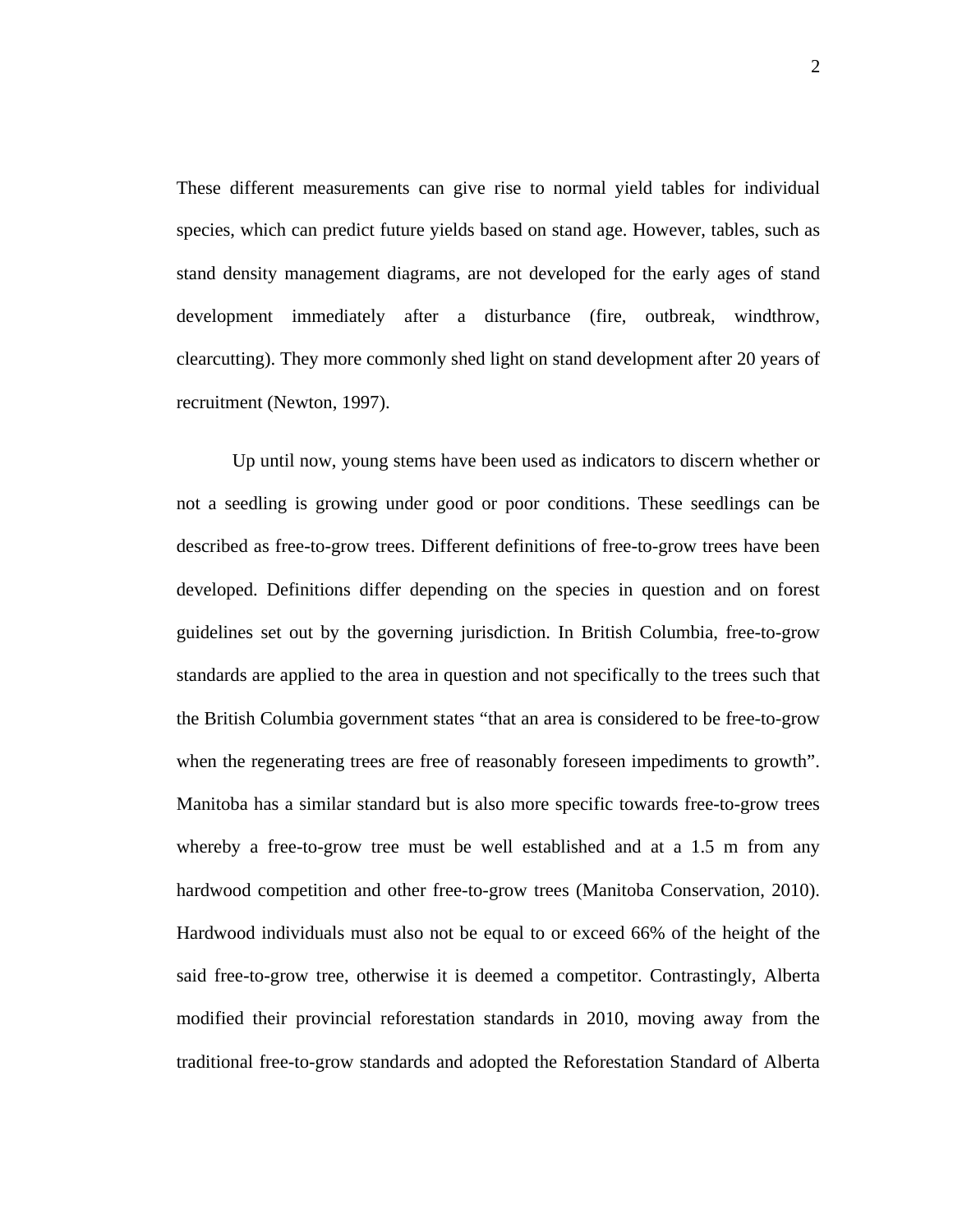These different measurements can give rise to normal yield tables for individual species, which can predict future yields based on stand age. However, tables, such as stand density management diagrams, are not developed for the early ages of stand development immediately after a disturbance (fire, outbreak, windthrow, clearcutting). They more commonly shed light on stand development after 20 years of recruitment (Newton, 1997).

Up until now, young stems have been used as indicators to discern whether or not a seedling is growing under good or poor conditions. These seedlings can be described as free-to-grow trees. Different definitions of free-to-grow trees have been developed. Definitions differ depending on the species in question and on forest guidelines set out by the governing jurisdiction. In British Columbia, free-to-grow standards are applied to the area in question and not specifically to the trees such that the British Columbia government states "that an area is considered to be free-to-grow when the regenerating trees are free of reasonably foreseen impediments to growth". Manitoba has a similar standard but is also more specific towards free-to-grow trees whereby a free-to-grow tree must be well established and at a 1.5 m from any hardwood competition and other free-to-grow trees (Manitoba Conservation, 2010). Hardwood individuals must also not be equal to or exceed 66% of the height of the said free-to-grow tree, otherwise it is deemed a competitor. Contrastingly, Alberta modified their provincial reforestation standards in 2010, moving away from the traditional free-to-grow standards and adopted the Reforestation Standard of Alberta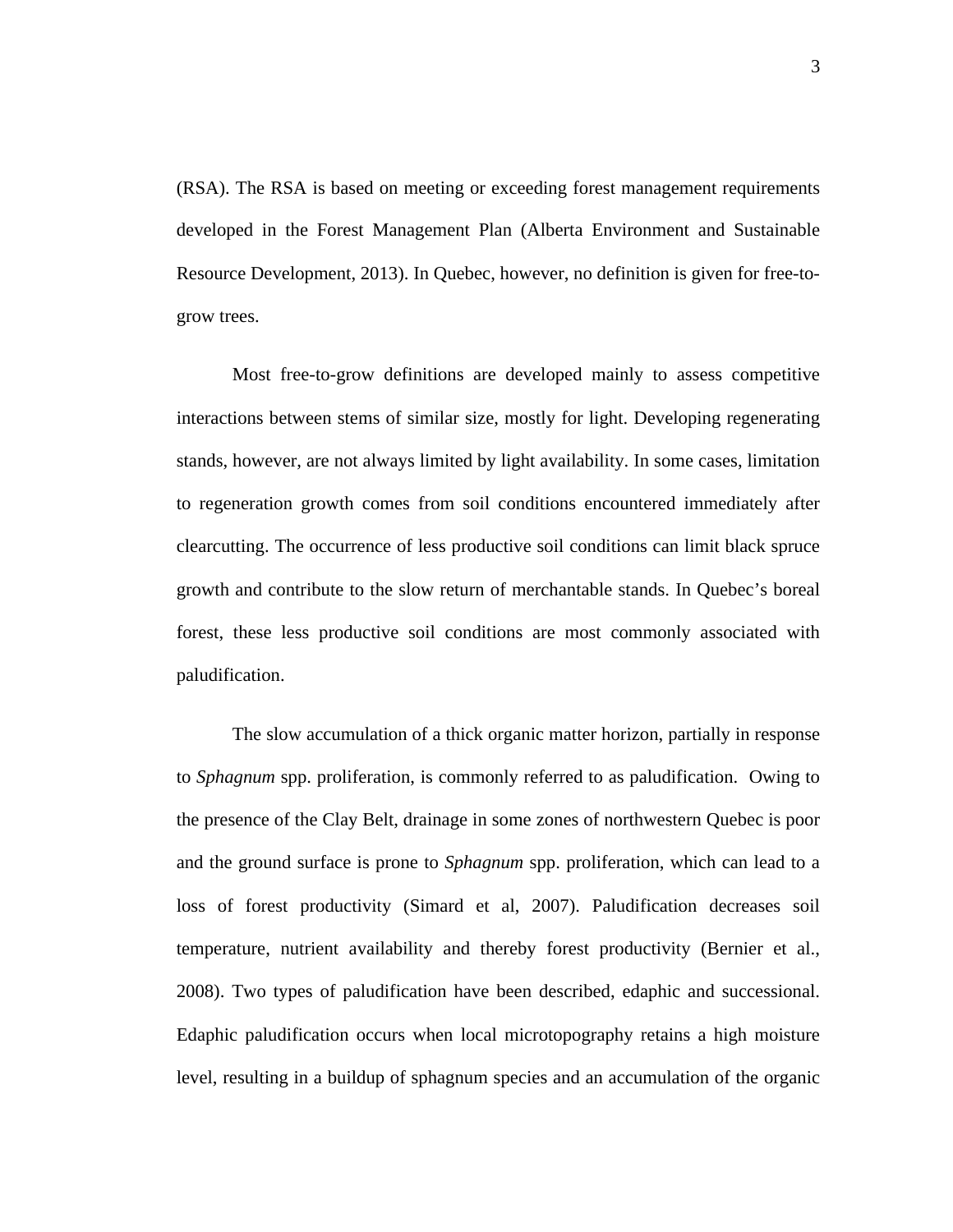(RSA). The RSA is based on meeting or exceeding forest management requirements developed in the Forest Management Plan (Alberta Environment and Sustainable Resource Development, 2013). In Quebec, however, no definition is given for free-togrow trees.

Most free-to-grow definitions are developed mainly to assess competitive interactions between stems of similar size, mostly for light. Developing regenerating stands, however, are not always limited by light availability. In some cases, limitation to regeneration growth comes from soil conditions encountered immediately after clearcutting. The occurrence of less productive soil conditions can limit black spruce growth and contribute to the slow return of merchantable stands. In Quebec's boreal forest, these less productive soil conditions are most commonly associated with paludification.

The slow accumulation of a thick organic matter horizon, partially in response to *Sphagnum* spp. proliferation, is commonly referred to as paludification. Owing to the presence of the Clay Belt, drainage in some zones of northwestern Quebec is poor and the ground surface is prone to *Sphagnum* spp. proliferation, which can lead to a loss of forest productivity (Simard et al, 2007). Paludification decreases soil temperature, nutrient availability and thereby forest productivity (Bernier et al., 2008). Two types of paludification have been described, edaphic and successional. Edaphic paludification occurs when local microtopography retains a high moisture level, resulting in a buildup of sphagnum species and an accumulation of the organic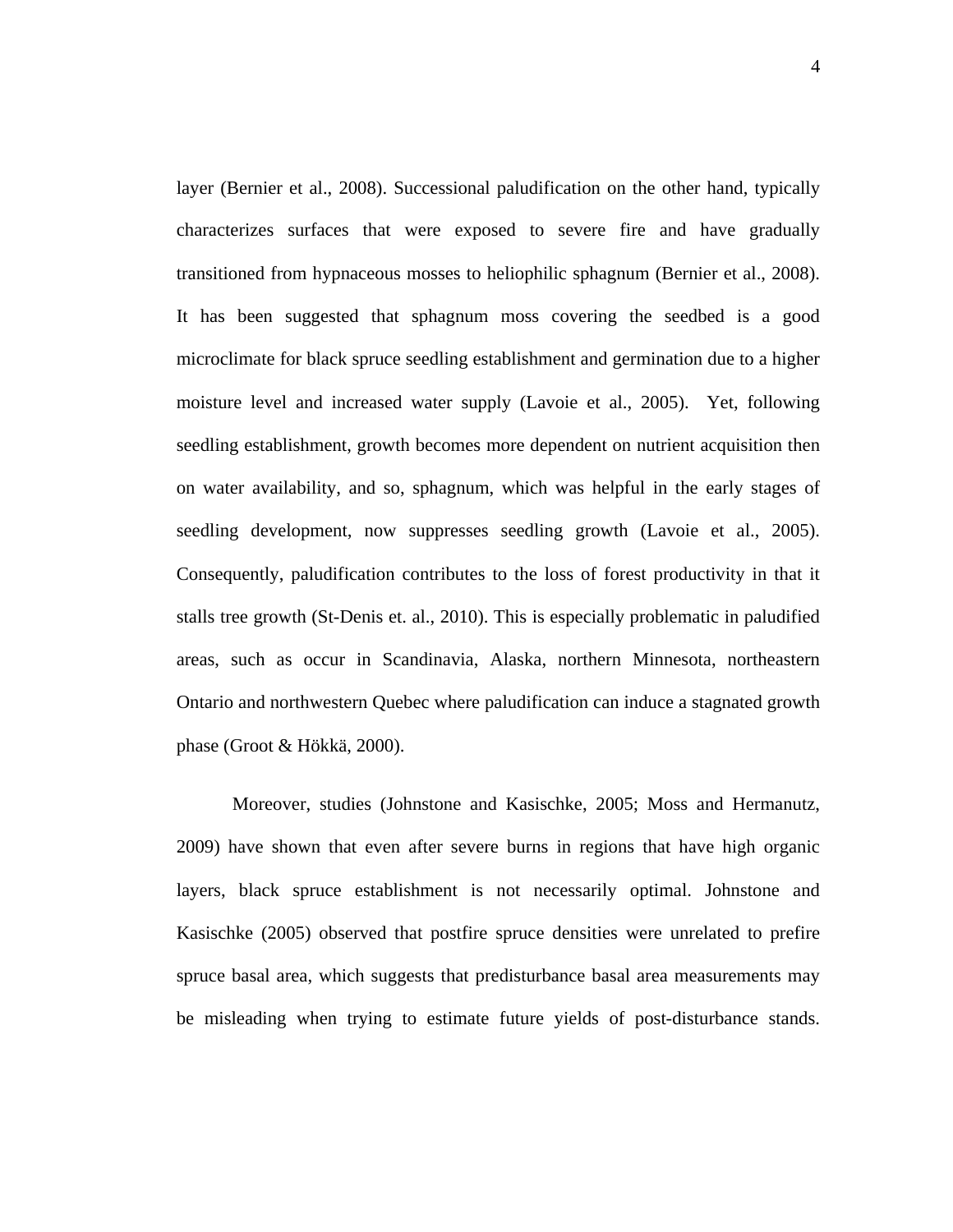layer (Bernier et al., 2008). Successional paludification on the other hand, typically characterizes surfaces that were exposed to severe fire and have gradually transitioned from hypnaceous mosses to heliophilic sphagnum (Bernier et al., 2008). It has been suggested that sphagnum moss covering the seedbed is a good microclimate for black spruce seedling establishment and germination due to a higher moisture level and increased water supply (Lavoie et al., 2005). Yet, following seedling establishment, growth becomes more dependent on nutrient acquisition then on water availability, and so, sphagnum, which was helpful in the early stages of seedling development, now suppresses seedling growth (Lavoie et al., 2005). Consequently, paludification contributes to the loss of forest productivity in that it stalls tree growth (St-Denis et. al., 2010). This is especially problematic in paludified areas, such as occur in Scandinavia, Alaska, northern Minnesota, northeastern Ontario and northwestern Quebec where paludification can induce a stagnated growth phase (Groot & Hökkä, 2000).

Moreover, studies (Johnstone and Kasischke, 2005; Moss and Hermanutz, 2009) have shown that even after severe burns in regions that have high organic layers, black spruce establishment is not necessarily optimal. Johnstone and Kasischke (2005) observed that postfire spruce densities were unrelated to prefire spruce basal area, which suggests that predisturbance basal area measurements may be misleading when trying to estimate future yields of post-disturbance stands.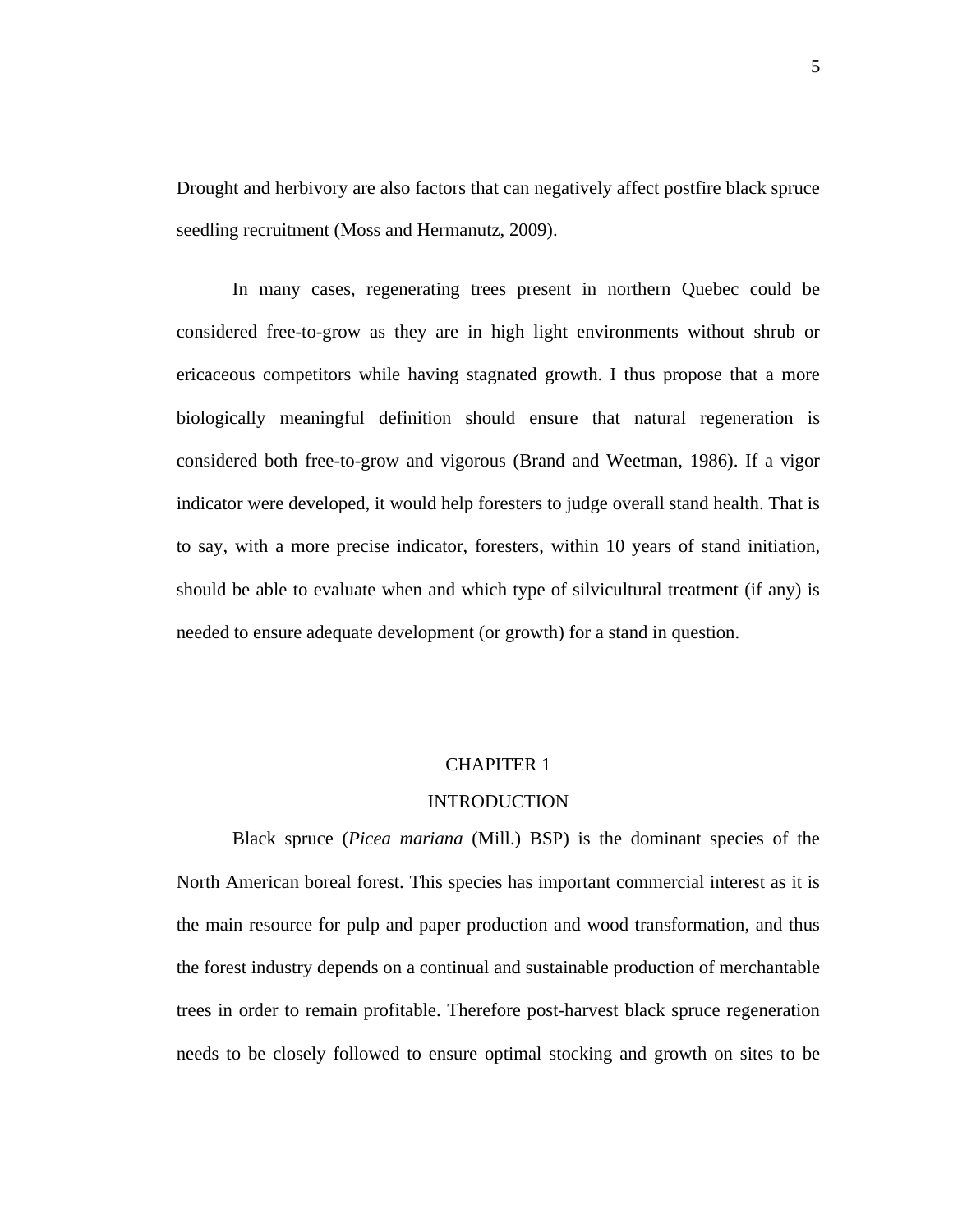Drought and herbivory are also factors that can negatively affect postfire black spruce seedling recruitment (Moss and Hermanutz, 2009).

In many cases, regenerating trees present in northern Quebec could be considered free-to-grow as they are in high light environments without shrub or ericaceous competitors while having stagnated growth. I thus propose that a more biologically meaningful definition should ensure that natural regeneration is considered both free-to-grow and vigorous (Brand and Weetman, 1986). If a vigor indicator were developed, it would help foresters to judge overall stand health. That is to say, with a more precise indicator, foresters, within 10 years of stand initiation, should be able to evaluate when and which type of silvicultural treatment (if any) is needed to ensure adequate development (or growth) for a stand in question.

#### CHAPITER 1

#### INTRODUCTION

Black spruce (*Picea mariana* (Mill.) BSP) is the dominant species of the North American boreal forest. This species has important commercial interest as it is the main resource for pulp and paper production and wood transformation, and thus the forest industry depends on a continual and sustainable production of merchantable trees in order to remain profitable. Therefore post-harvest black spruce regeneration needs to be closely followed to ensure optimal stocking and growth on sites to be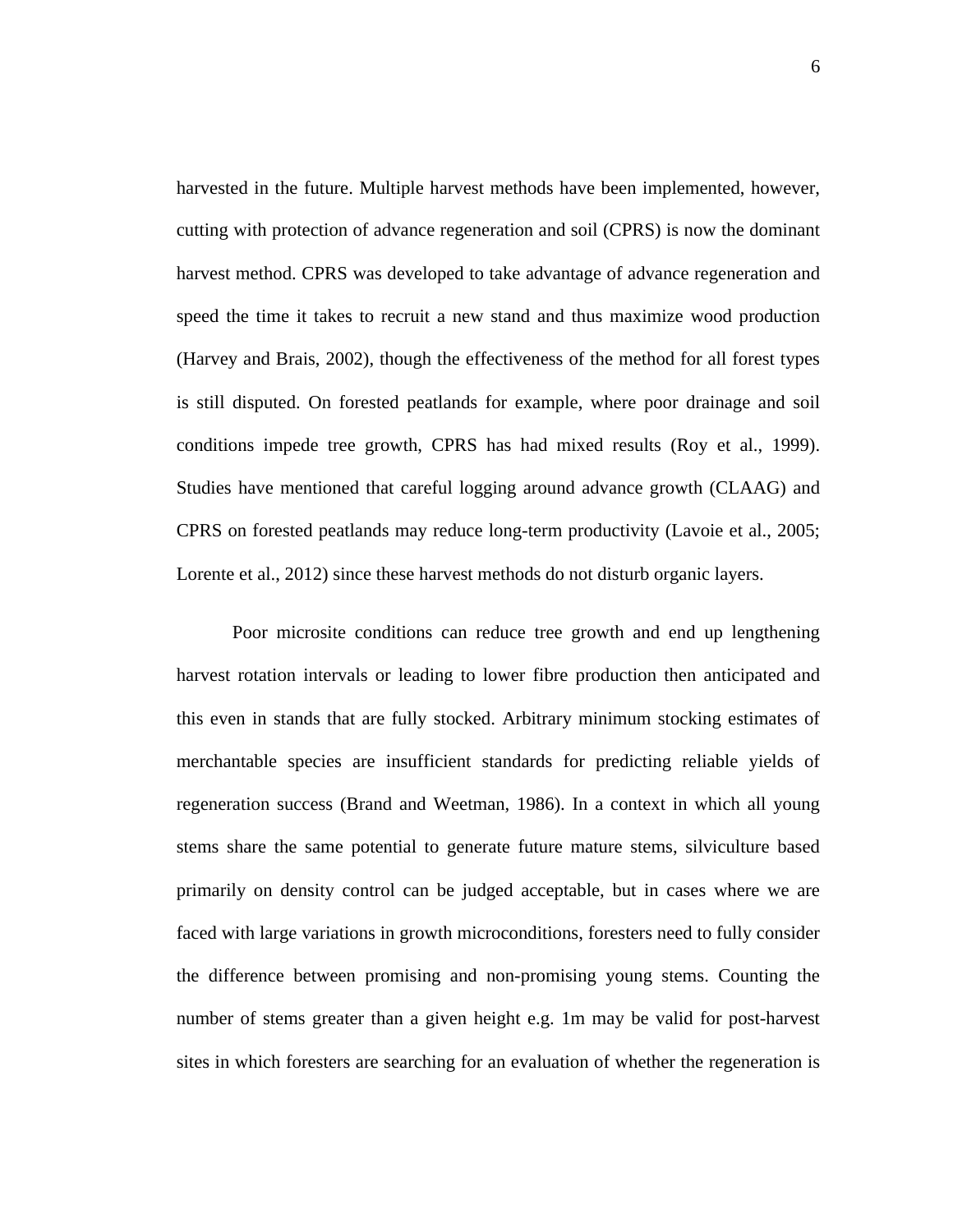harvested in the future. Multiple harvest methods have been implemented, however, cutting with protection of advance regeneration and soil (CPRS) is now the dominant harvest method. CPRS was developed to take advantage of advance regeneration and speed the time it takes to recruit a new stand and thus maximize wood production (Harvey and Brais, 2002), though the effectiveness of the method for all forest types is still disputed. On forested peatlands for example, where poor drainage and soil conditions impede tree growth, CPRS has had mixed results (Roy et al., 1999). Studies have mentioned that careful logging around advance growth (CLAAG) and CPRS on forested peatlands may reduce long-term productivity (Lavoie et al., 2005; Lorente et al., 2012) since these harvest methods do not disturb organic layers.

Poor microsite conditions can reduce tree growth and end up lengthening harvest rotation intervals or leading to lower fibre production then anticipated and this even in stands that are fully stocked. Arbitrary minimum stocking estimates of merchantable species are insufficient standards for predicting reliable yields of regeneration success (Brand and Weetman, 1986). In a context in which all young stems share the same potential to generate future mature stems, silviculture based primarily on density control can be judged acceptable, but in cases where we are faced with large variations in growth microconditions, foresters need to fully consider the difference between promising and non-promising young stems. Counting the number of stems greater than a given height e.g. 1m may be valid for post-harvest sites in which foresters are searching for an evaluation of whether the regeneration is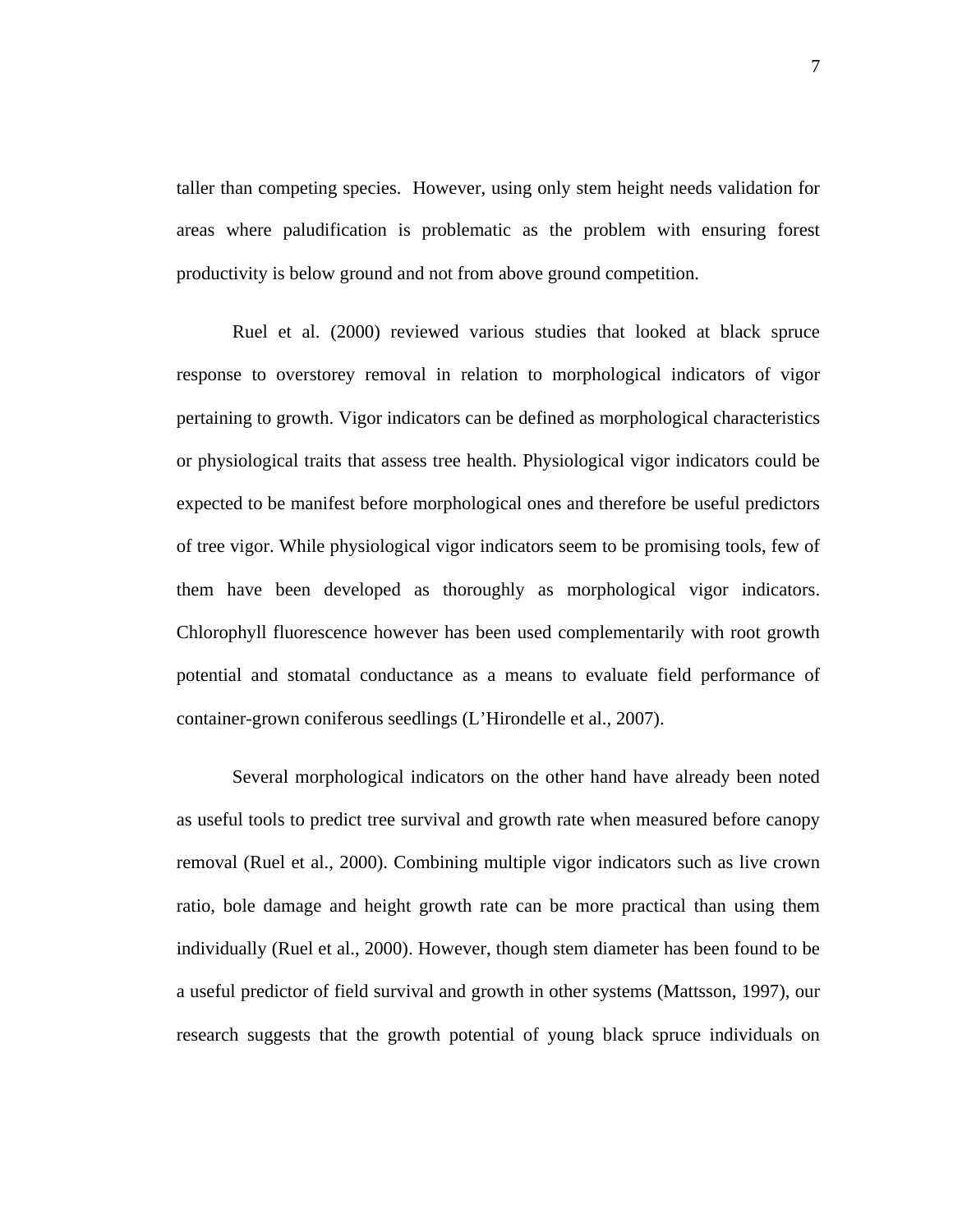taller than competing species. However, using only stem height needs validation for areas where paludification is problematic as the problem with ensuring forest productivity is below ground and not from above ground competition.

Ruel et al. (2000) reviewed various studies that looked at black spruce response to overstorey removal in relation to morphological indicators of vigor pertaining to growth. Vigor indicators can be defined as morphological characteristics or physiological traits that assess tree health. Physiological vigor indicators could be expected to be manifest before morphological ones and therefore be useful predictors of tree vigor. While physiological vigor indicators seem to be promising tools, few of them have been developed as thoroughly as morphological vigor indicators. Chlorophyll fluorescence however has been used complementarily with root growth potential and stomatal conductance as a means to evaluate field performance of container-grown coniferous seedlings (L'Hirondelle et al., 2007).

Several morphological indicators on the other hand have already been noted as useful tools to predict tree survival and growth rate when measured before canopy removal (Ruel et al., 2000). Combining multiple vigor indicators such as live crown ratio, bole damage and height growth rate can be more practical than using them individually (Ruel et al., 2000). However, though stem diameter has been found to be a useful predictor of field survival and growth in other systems (Mattsson, 1997), our research suggests that the growth potential of young black spruce individuals on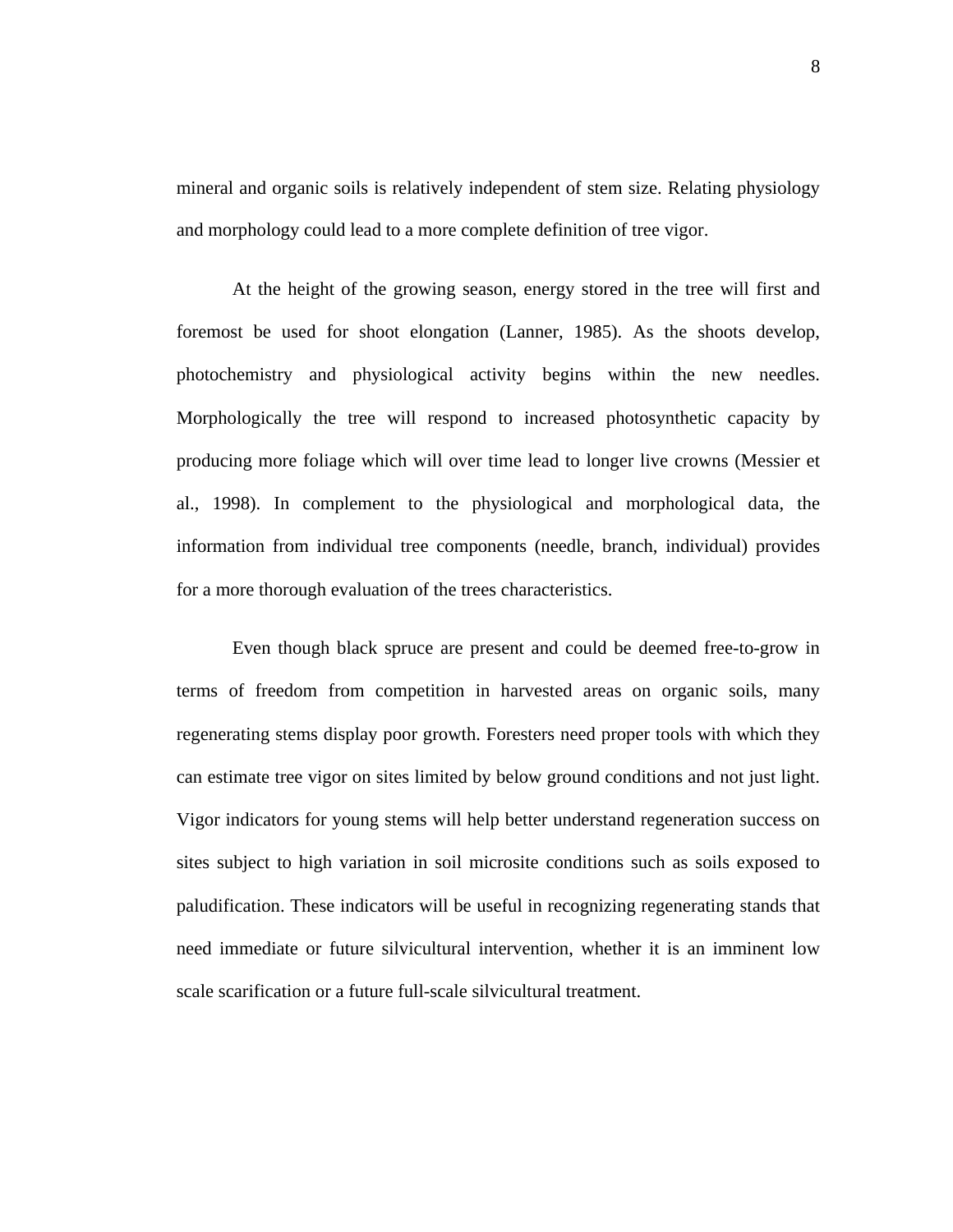mineral and organic soils is relatively independent of stem size. Relating physiology and morphology could lead to a more complete definition of tree vigor.

At the height of the growing season, energy stored in the tree will first and foremost be used for shoot elongation (Lanner, 1985). As the shoots develop, photochemistry and physiological activity begins within the new needles. Morphologically the tree will respond to increased photosynthetic capacity by producing more foliage which will over time lead to longer live crowns (Messier et al., 1998). In complement to the physiological and morphological data, the information from individual tree components (needle, branch, individual) provides for a more thorough evaluation of the trees characteristics.

Even though black spruce are present and could be deemed free-to-grow in terms of freedom from competition in harvested areas on organic soils, many regenerating stems display poor growth. Foresters need proper tools with which they can estimate tree vigor on sites limited by below ground conditions and not just light. Vigor indicators for young stems will help better understand regeneration success on sites subject to high variation in soil microsite conditions such as soils exposed to paludification. These indicators will be useful in recognizing regenerating stands that need immediate or future silvicultural intervention, whether it is an imminent low scale scarification or a future full-scale silvicultural treatment.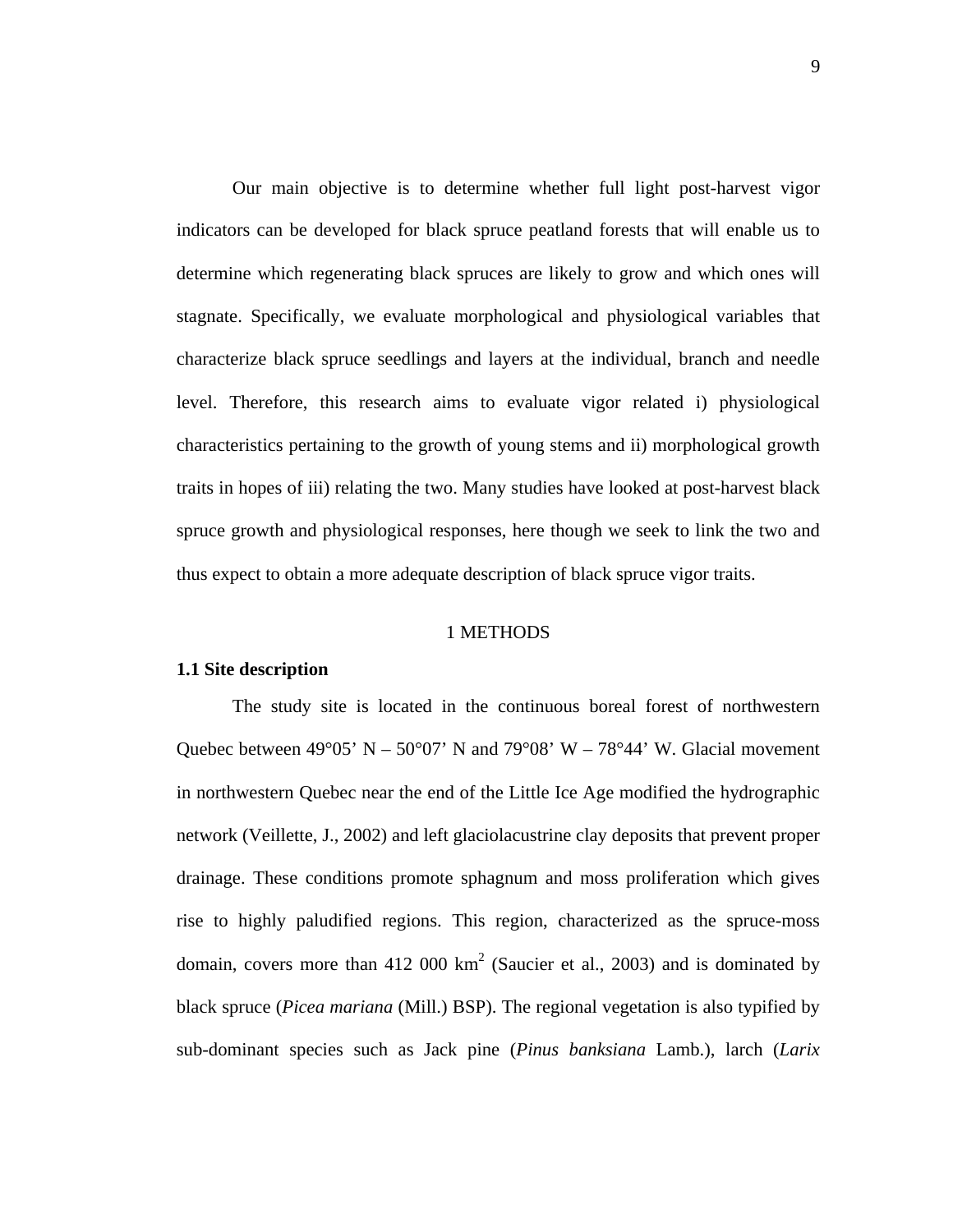Our main objective is to determine whether full light post-harvest vigor indicators can be developed for black spruce peatland forests that will enable us to determine which regenerating black spruces are likely to grow and which ones will stagnate. Specifically, we evaluate morphological and physiological variables that characterize black spruce seedlings and layers at the individual, branch and needle level. Therefore, this research aims to evaluate vigor related i) physiological characteristics pertaining to the growth of young stems and ii) morphological growth traits in hopes of iii) relating the two. Many studies have looked at post-harvest black spruce growth and physiological responses, here though we seek to link the two and thus expect to obtain a more adequate description of black spruce vigor traits.

#### 1 METHODS

#### **1.1 Site description**

The study site is located in the continuous boreal forest of northwestern Quebec between 49°05' N – 50°07' N and 79°08' W – 78°44' W. Glacial movement in northwestern Quebec near the end of the Little Ice Age modified the hydrographic network (Veillette, J., 2002) and left glaciolacustrine clay deposits that prevent proper drainage. These conditions promote sphagnum and moss proliferation which gives rise to highly paludified regions. This region, characterized as the spruce-moss domain, covers more than 412 000  $km^2$  (Saucier et al., 2003) and is dominated by black spruce (*Picea mariana* (Mill.) BSP). The regional vegetation is also typified by sub-dominant species such as Jack pine (*Pinus banksiana* Lamb.), larch (*Larix*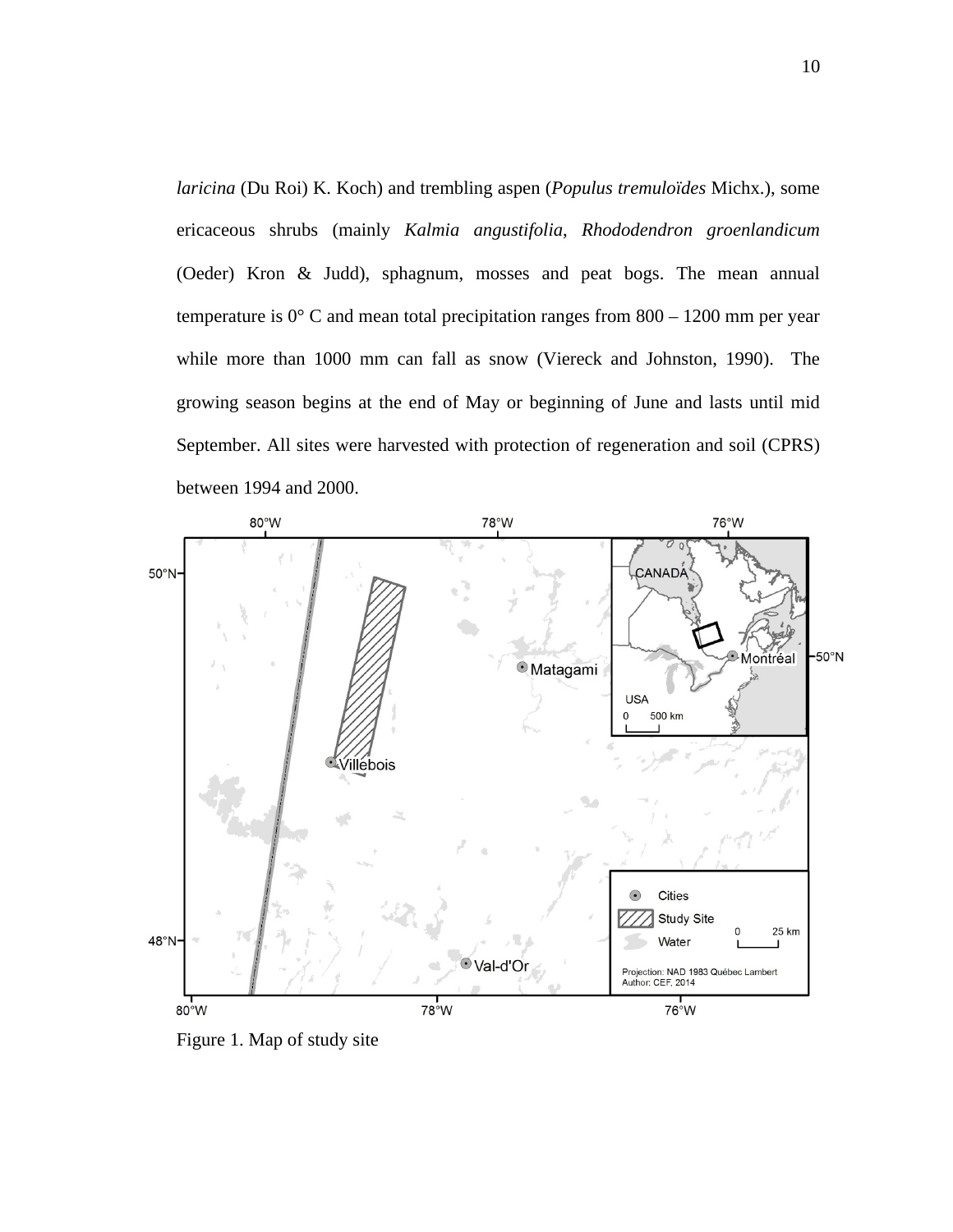*laricina* (Du Roi) K. Koch) and trembling aspen (*Populus tremuloïdes* Michx.), some ericaceous shrubs (mainly *Kalmia angustifolia*, *Rhododendron groenlandicum* (Oeder) Kron & Judd), sphagnum, mosses and peat bogs. The mean annual temperature is  $0^{\circ}$  C and mean total precipitation ranges from  $800 - 1200$  mm per year while more than 1000 mm can fall as snow (Viereck and Johnston, 1990). The growing season begins at the end of May or beginning of June and lasts until mid September. All sites were harvested with protection of regeneration and soil (CPRS) between 1994 and 2000.



Figure 1. Map of study site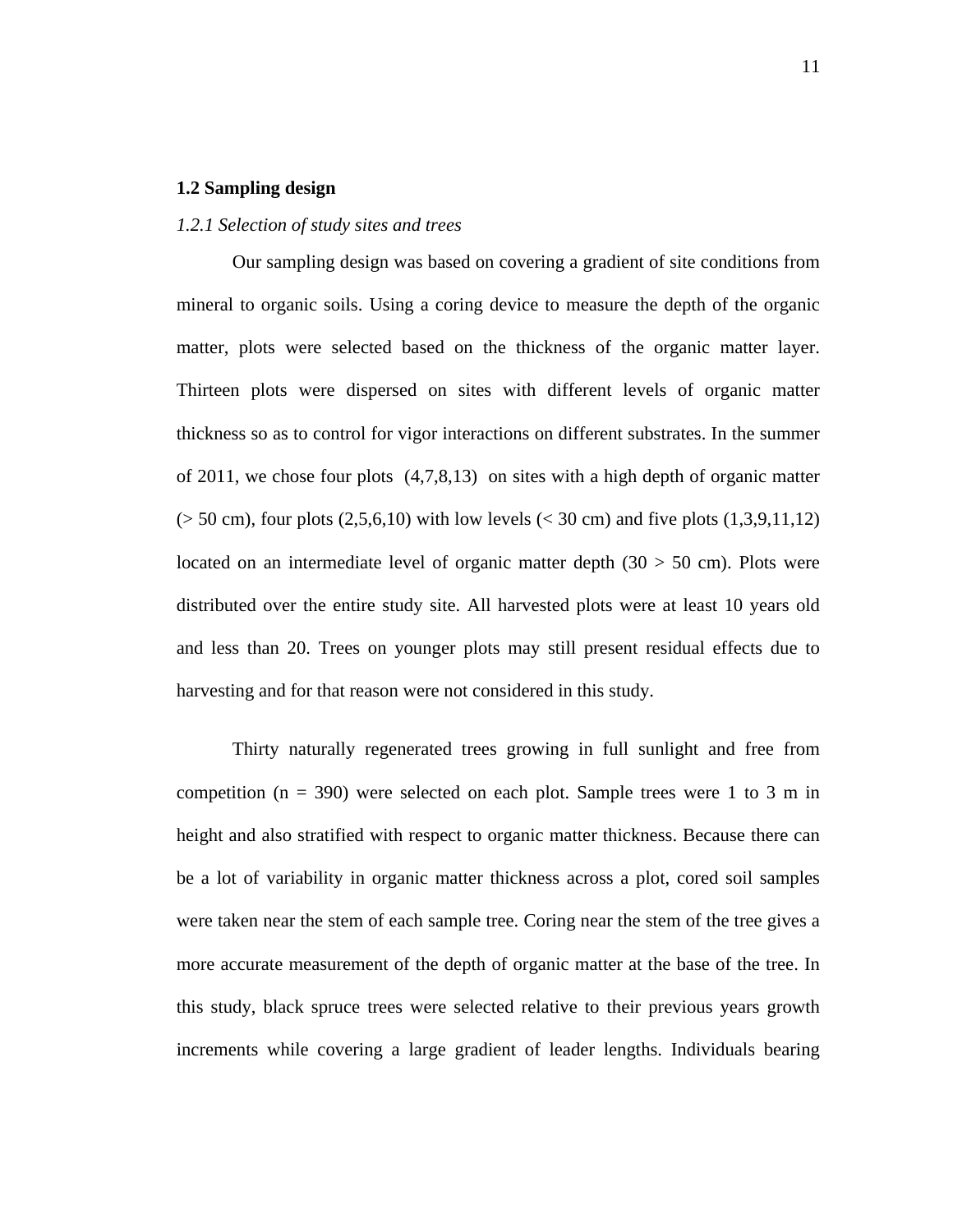## **1.2 Sampling design**

#### *1.2.1 Selection of study sites and trees*

Our sampling design was based on covering a gradient of site conditions from mineral to organic soils. Using a coring device to measure the depth of the organic matter, plots were selected based on the thickness of the organic matter layer. Thirteen plots were dispersed on sites with different levels of organic matter thickness so as to control for vigor interactions on different substrates. In the summer of 2011, we chose four plots (4,7,8,13) on sites with a high depth of organic matter  $(> 50 \text{ cm})$ , four plots  $(2,5,6,10)$  with low levels  $(< 30 \text{ cm})$  and five plots  $(1,3,9,11,12)$ located on an intermediate level of organic matter depth  $(30 > 50$  cm). Plots were distributed over the entire study site. All harvested plots were at least 10 years old and less than 20. Trees on younger plots may still present residual effects due to harvesting and for that reason were not considered in this study.

Thirty naturally regenerated trees growing in full sunlight and free from competition ( $n = 390$ ) were selected on each plot. Sample trees were 1 to 3 m in height and also stratified with respect to organic matter thickness. Because there can be a lot of variability in organic matter thickness across a plot, cored soil samples were taken near the stem of each sample tree. Coring near the stem of the tree gives a more accurate measurement of the depth of organic matter at the base of the tree. In this study, black spruce trees were selected relative to their previous years growth increments while covering a large gradient of leader lengths. Individuals bearing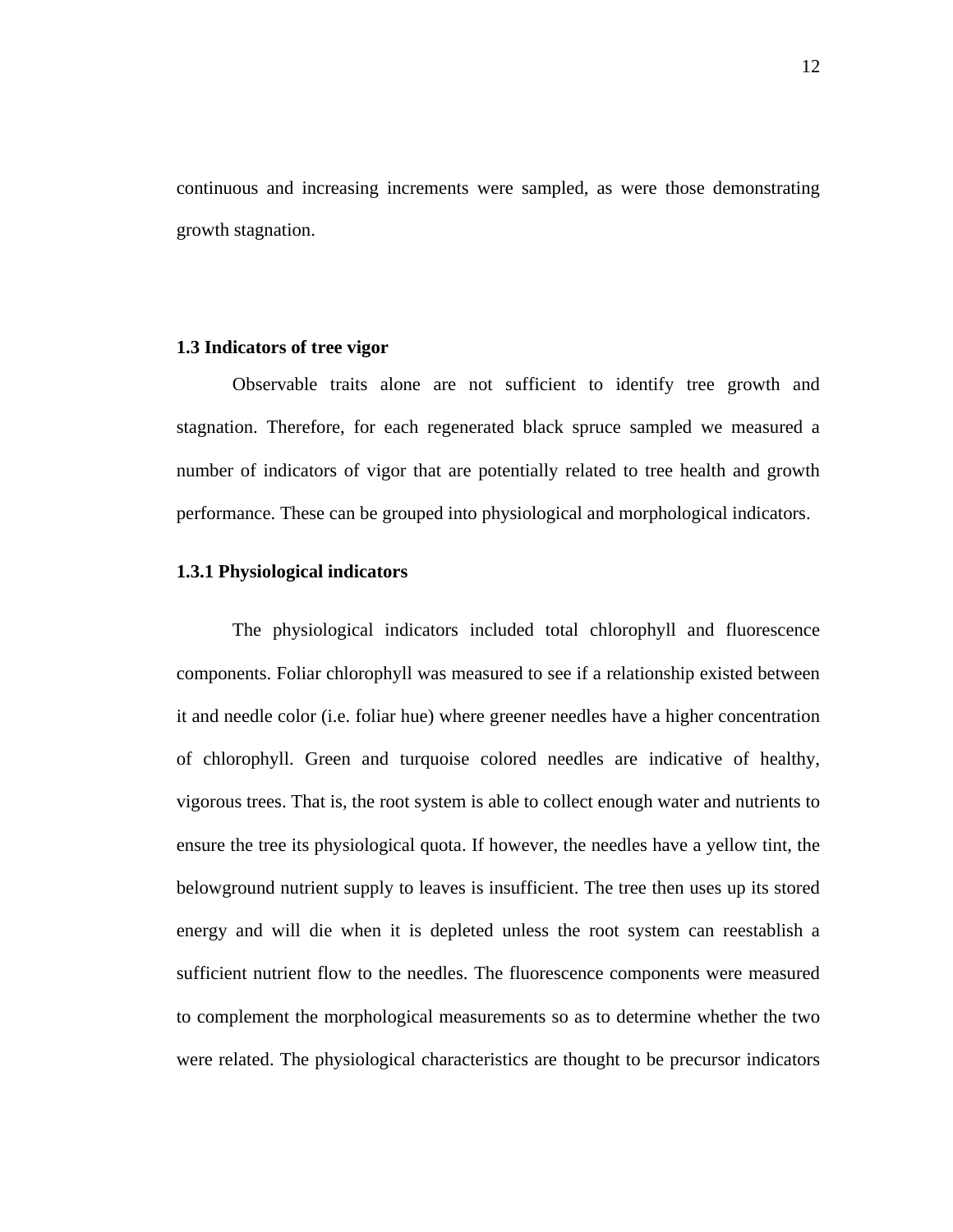continuous and increasing increments were sampled, as were those demonstrating growth stagnation.

## **1.3 Indicators of tree vigor**

Observable traits alone are not sufficient to identify tree growth and stagnation. Therefore, for each regenerated black spruce sampled we measured a number of indicators of vigor that are potentially related to tree health and growth performance. These can be grouped into physiological and morphological indicators.

# **1.3.1 Physiological indicators**

The physiological indicators included total chlorophyll and fluorescence components. Foliar chlorophyll was measured to see if a relationship existed between it and needle color (i.e. foliar hue) where greener needles have a higher concentration of chlorophyll. Green and turquoise colored needles are indicative of healthy, vigorous trees. That is, the root system is able to collect enough water and nutrients to ensure the tree its physiological quota. If however, the needles have a yellow tint, the belowground nutrient supply to leaves is insufficient. The tree then uses up its stored energy and will die when it is depleted unless the root system can reestablish a sufficient nutrient flow to the needles. The fluorescence components were measured to complement the morphological measurements so as to determine whether the two were related. The physiological characteristics are thought to be precursor indicators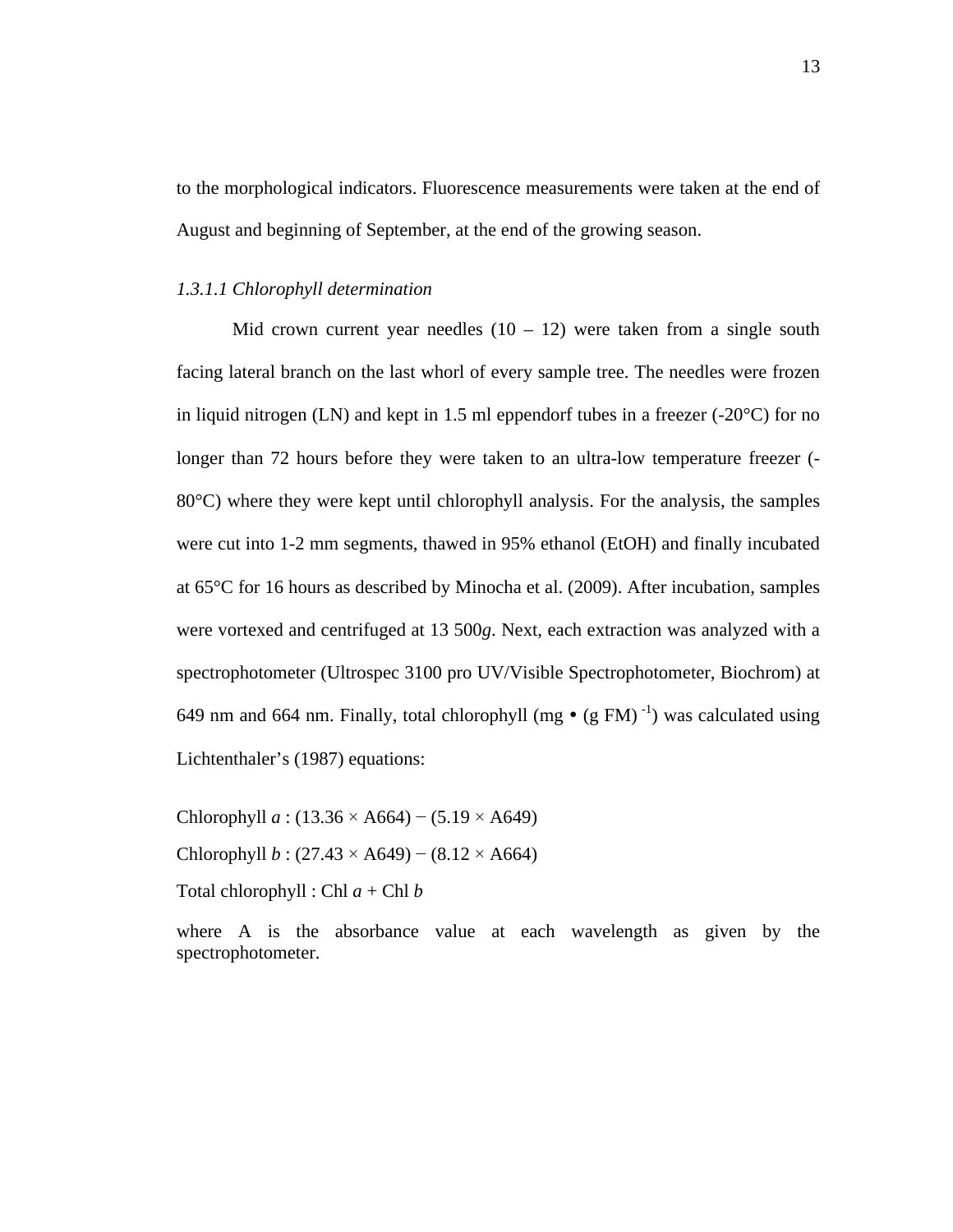to the morphological indicators. Fluorescence measurements were taken at the end of August and beginning of September, at the end of the growing season.

## *1.3.1.1 Chlorophyll determination*

Mid crown current year needles  $(10 - 12)$  were taken from a single south facing lateral branch on the last whorl of every sample tree. The needles were frozen in liquid nitrogen (LN) and kept in 1.5 ml eppendorf tubes in a freezer  $(-20^{\circ}C)$  for no longer than 72 hours before they were taken to an ultra-low temperature freezer (- 80°C) where they were kept until chlorophyll analysis. For the analysis, the samples were cut into 1-2 mm segments, thawed in 95% ethanol (EtOH) and finally incubated at 65°C for 16 hours as described by Minocha et al. (2009). After incubation, samples were vortexed and centrifuged at 13 500*g*. Next, each extraction was analyzed with a spectrophotometer (Ultrospec 3100 pro UV/Visible Spectrophotometer, Biochrom) at 649 nm and 664 nm. Finally, total chlorophyll (mg  $\bullet$  (g FM)<sup>-1</sup>) was calculated using Lichtenthaler's (1987) equations:

Chlorophyll *a* : (13.36 × A664) − (5.19 × A649)

Chlorophyll *b* :  $(27.43 \times A649) - (8.12 \times A664)$ 

Total chlorophyll : Chl *a* + Chl *b*

where A is the absorbance value at each wavelength as given by the spectrophotometer.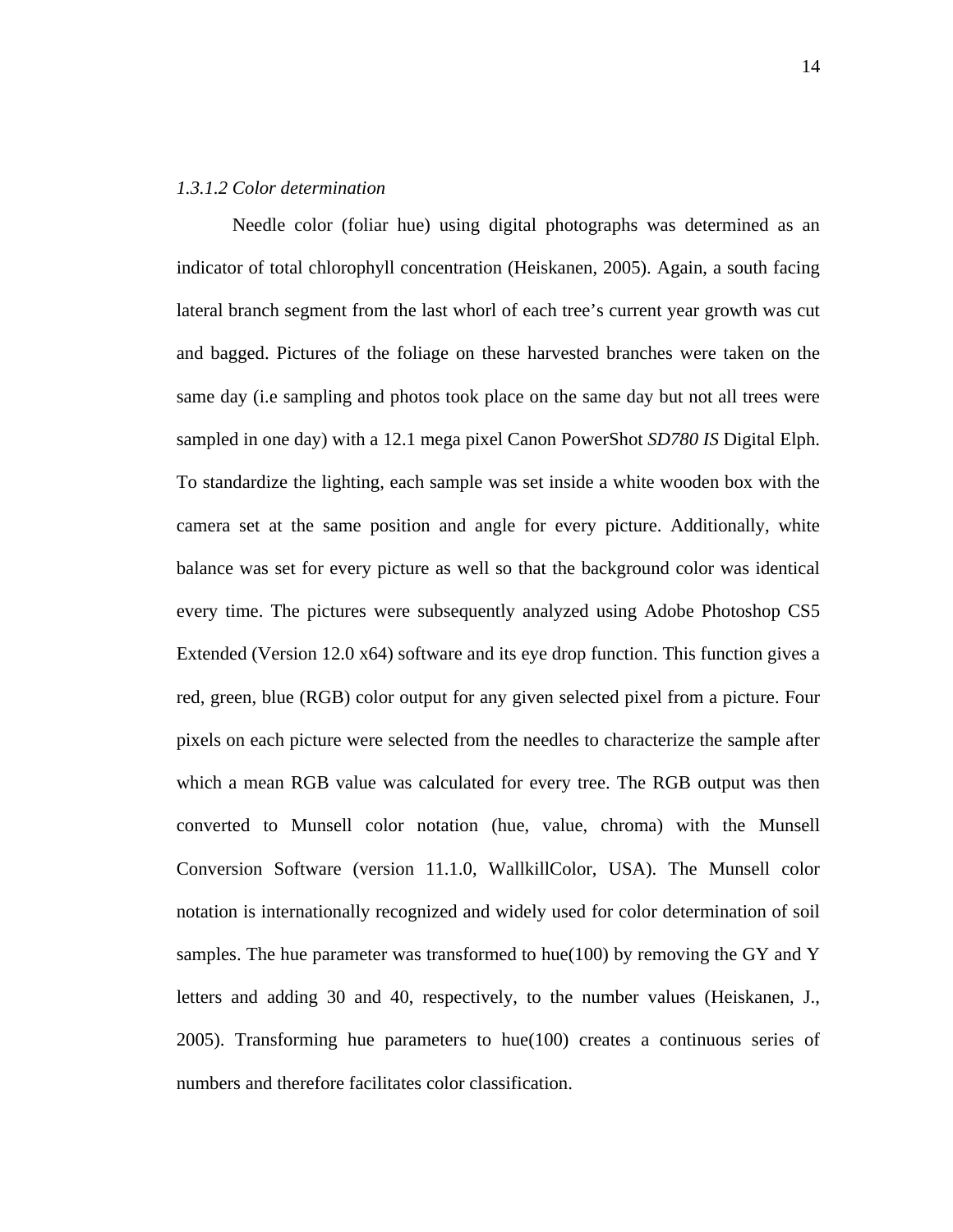# *1.3.1.2 Color determination*

Needle color (foliar hue) using digital photographs was determined as an indicator of total chlorophyll concentration (Heiskanen, 2005). Again, a south facing lateral branch segment from the last whorl of each tree's current year growth was cut and bagged. Pictures of the foliage on these harvested branches were taken on the same day (i.e sampling and photos took place on the same day but not all trees were sampled in one day) with a 12.1 mega pixel Canon PowerShot *SD780 IS* Digital Elph. To standardize the lighting, each sample was set inside a white wooden box with the camera set at the same position and angle for every picture. Additionally, white balance was set for every picture as well so that the background color was identical every time. The pictures were subsequently analyzed using Adobe Photoshop CS5 Extended (Version 12.0 x64) software and its eye drop function. This function gives a red, green, blue (RGB) color output for any given selected pixel from a picture. Four pixels on each picture were selected from the needles to characterize the sample after which a mean RGB value was calculated for every tree. The RGB output was then converted to Munsell color notation (hue, value, chroma) with the Munsell Conversion Software (version 11.1.0, WallkillColor, USA). The Munsell color notation is internationally recognized and widely used for color determination of soil samples. The hue parameter was transformed to hue(100) by removing the GY and Y letters and adding 30 and 40, respectively, to the number values (Heiskanen, J., 2005). Transforming hue parameters to hue(100) creates a continuous series of numbers and therefore facilitates color classification.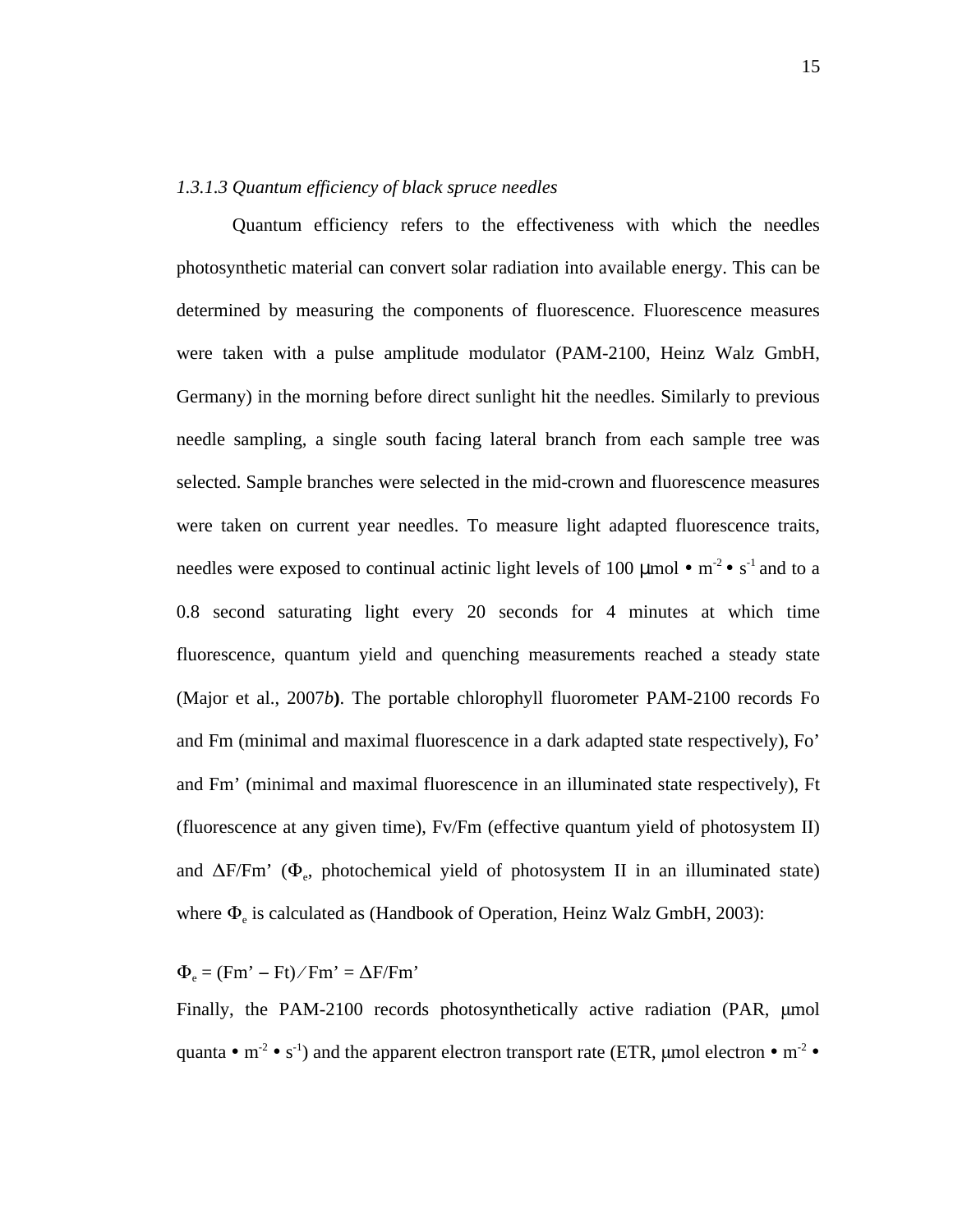# *1.3.1.3 Quantum efficiency of black spruce needles*

Quantum efficiency refers to the effectiveness with which the needles photosynthetic material can convert solar radiation into available energy. This can be determined by measuring the components of fluorescence. Fluorescence measures were taken with a pulse amplitude modulator (PAM-2100, Heinz Walz GmbH, Germany) in the morning before direct sunlight hit the needles. Similarly to previous needle sampling, a single south facing lateral branch from each sample tree was selected. Sample branches were selected in the mid-crown and fluorescence measures were taken on current year needles. To measure light adapted fluorescence traits, needles were exposed to continual actinic light levels of 100  $\mu$ mol  $\cdot$  m<sup>-2</sup>  $\cdot$  s<sup>-1</sup> and to a 0.8 second saturating light every 20 seconds for 4 minutes at which time fluorescence, quantum yield and quenching measurements reached a steady state (Major et al., 2007*b***)**. The portable chlorophyll fluorometer PAM-2100 records Fo and Fm (minimal and maximal fluorescence in a dark adapted state respectively), Fo' and Fm' (minimal and maximal fluorescence in an illuminated state respectively), Ft (fluorescence at any given time), Fv/Fm (effective quantum yield of photosystem II) and  $\Delta F/Fm'$  ( $\Phi_e$ , photochemical yield of photosystem II in an illuminated state) where  $\Phi_e$  is calculated as (Handbook of Operation, Heinz Walz GmbH, 2003):

 $\Phi_e = (Fm' - Ft)/Fm' = \Delta F/Fm'$ 

Finally, the PAM-2100 records photosynthetically active radiation (PAR, μmol quanta  $\cdot$  m<sup>-2</sup>  $\cdot$  s<sup>-1</sup>) and the apparent electron transport rate (ETR, µmol electron  $\cdot$  m<sup>-2</sup>  $\cdot$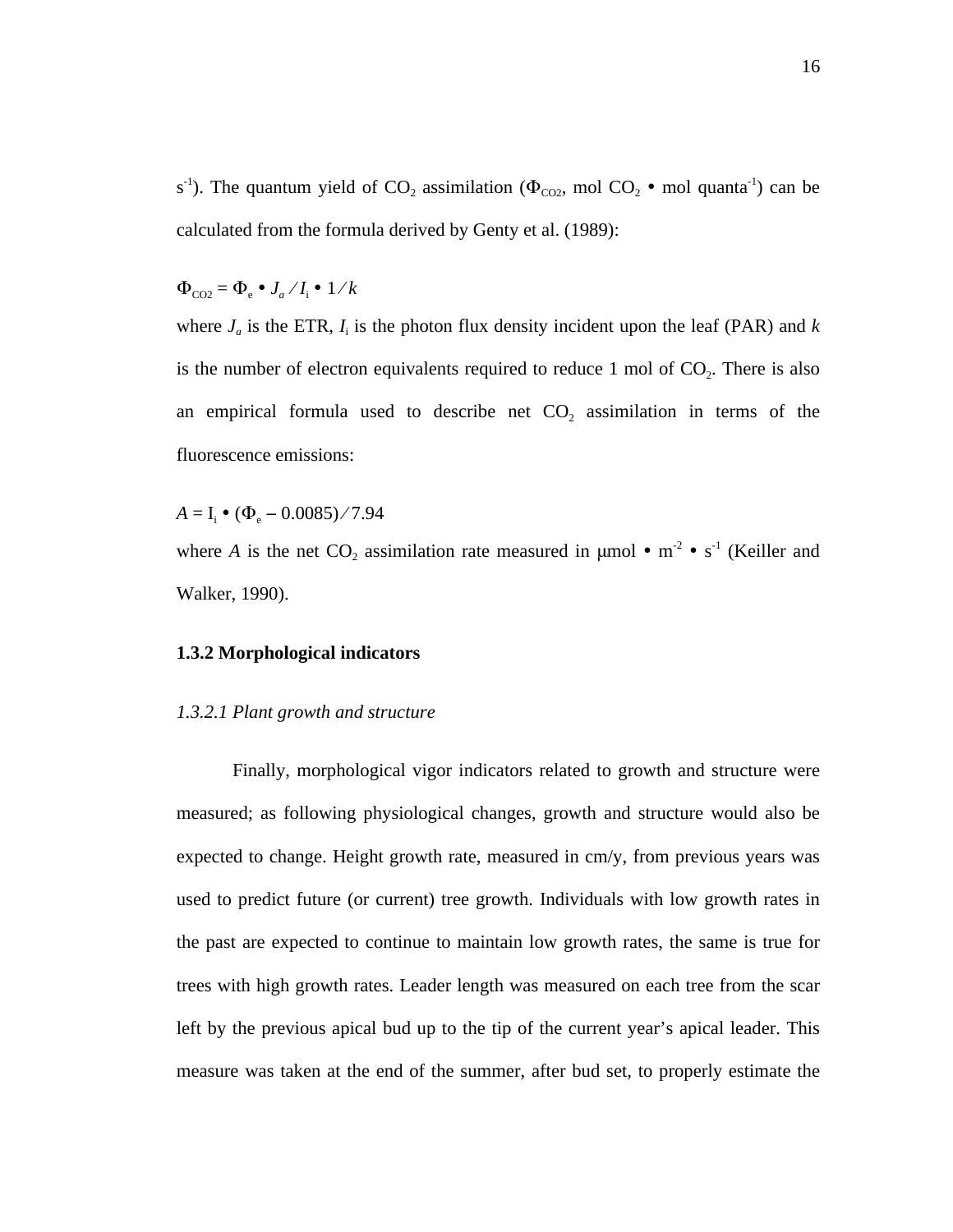s<sup>-1</sup>). The quantum yield of CO<sub>2</sub> assimilation ( $\Phi_{CO2}$ , mol CO<sub>2</sub> • mol quanta<sup>-1</sup>) can be calculated from the formula derived by Genty et al. (1989):

 $\Phi_{\text{CO2}} = \Phi_{\text{e}} \bullet J_a / I_i \bullet 1 / k$ 

where  $J_a$  is the ETR,  $I_i$  is the photon flux density incident upon the leaf (PAR) and  $k$ is the number of electron equivalents required to reduce 1 mol of  $CO<sub>2</sub>$ . There is also an empirical formula used to describe net  $CO<sub>2</sub>$  assimilation in terms of the fluorescence emissions:

 $A = I_i \bullet (\Phi_e - 0.0085) / 7.94$ 

where *A* is the net  $CO_2$  assimilation rate measured in  $\mu$ mol • m<sup>-2</sup> • s<sup>-1</sup> (Keiller and Walker, 1990).

#### **1.3.2 Morphological indicators**

#### *1.3.2.1 Plant growth and structure*

Finally, morphological vigor indicators related to growth and structure were measured; as following physiological changes, growth and structure would also be expected to change. Height growth rate, measured in cm/y, from previous years was used to predict future (or current) tree growth. Individuals with low growth rates in the past are expected to continue to maintain low growth rates, the same is true for trees with high growth rates. Leader length was measured on each tree from the scar left by the previous apical bud up to the tip of the current year's apical leader. This measure was taken at the end of the summer, after bud set, to properly estimate the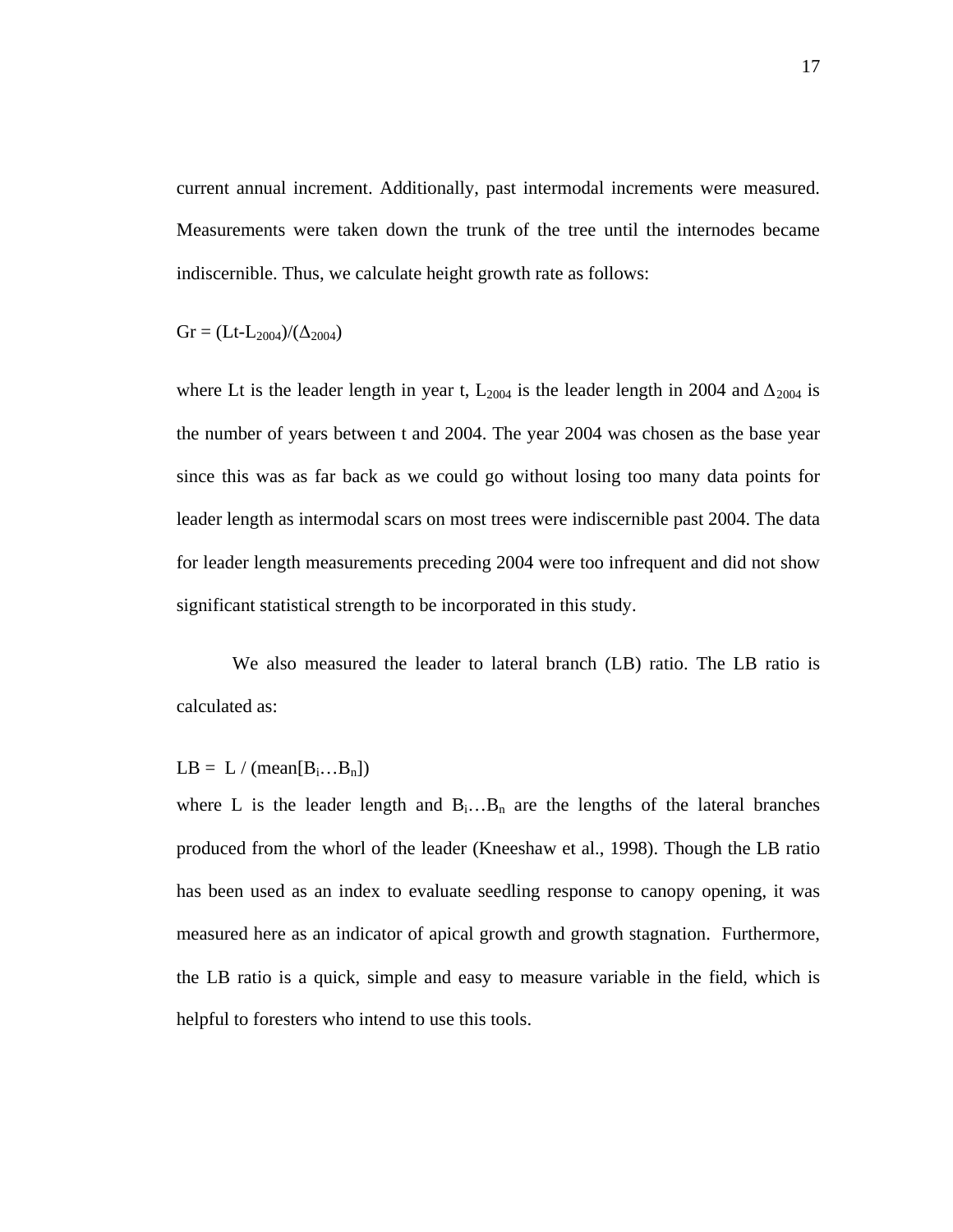current annual increment. Additionally, past intermodal increments were measured. Measurements were taken down the trunk of the tree until the internodes became indiscernible. Thus, we calculate height growth rate as follows:

 $Gr = (Lt-L_{2004})/(\Delta_{2004})$ 

where Lt is the leader length in year t,  $L_{2004}$  is the leader length in 2004 and  $\Delta_{2004}$  is the number of years between t and 2004. The year 2004 was chosen as the base year since this was as far back as we could go without losing too many data points for leader length as intermodal scars on most trees were indiscernible past 2004. The data for leader length measurements preceding 2004 were too infrequent and did not show significant statistical strength to be incorporated in this study.

We also measured the leader to lateral branch (LB) ratio. The LB ratio is calculated as:

 $LB = L / (mean[B_i...B_n])$ 

where L is the leader length and  $B_i...B_n$  are the lengths of the lateral branches produced from the whorl of the leader (Kneeshaw et al., 1998). Though the LB ratio has been used as an index to evaluate seedling response to canopy opening, it was measured here as an indicator of apical growth and growth stagnation. Furthermore, the LB ratio is a quick, simple and easy to measure variable in the field, which is helpful to foresters who intend to use this tools.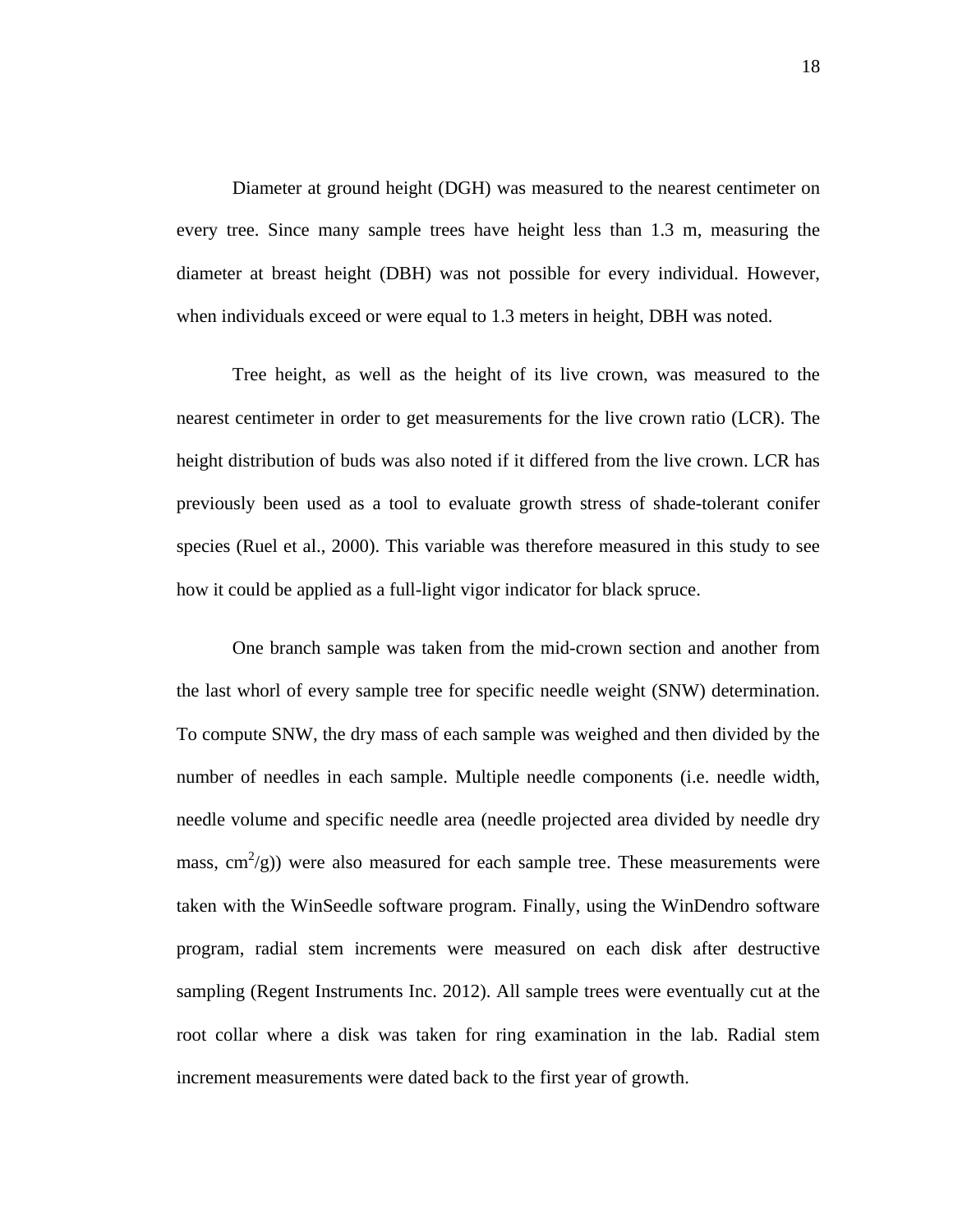Diameter at ground height (DGH) was measured to the nearest centimeter on every tree. Since many sample trees have height less than 1.3 m, measuring the diameter at breast height (DBH) was not possible for every individual. However, when individuals exceed or were equal to 1.3 meters in height, DBH was noted.

Tree height, as well as the height of its live crown, was measured to the nearest centimeter in order to get measurements for the live crown ratio (LCR). The height distribution of buds was also noted if it differed from the live crown. LCR has previously been used as a tool to evaluate growth stress of shade-tolerant conifer species (Ruel et al., 2000). This variable was therefore measured in this study to see how it could be applied as a full-light vigor indicator for black spruce.

One branch sample was taken from the mid-crown section and another from the last whorl of every sample tree for specific needle weight (SNW) determination. To compute SNW, the dry mass of each sample was weighed and then divided by the number of needles in each sample. Multiple needle components (i.e. needle width, needle volume and specific needle area (needle projected area divided by needle dry mass,  $\text{cm}^2/\text{g}$ )) were also measured for each sample tree. These measurements were taken with the WinSeedle software program. Finally, using the WinDendro software program, radial stem increments were measured on each disk after destructive sampling (Regent Instruments Inc. 2012). All sample trees were eventually cut at the root collar where a disk was taken for ring examination in the lab. Radial stem increment measurements were dated back to the first year of growth.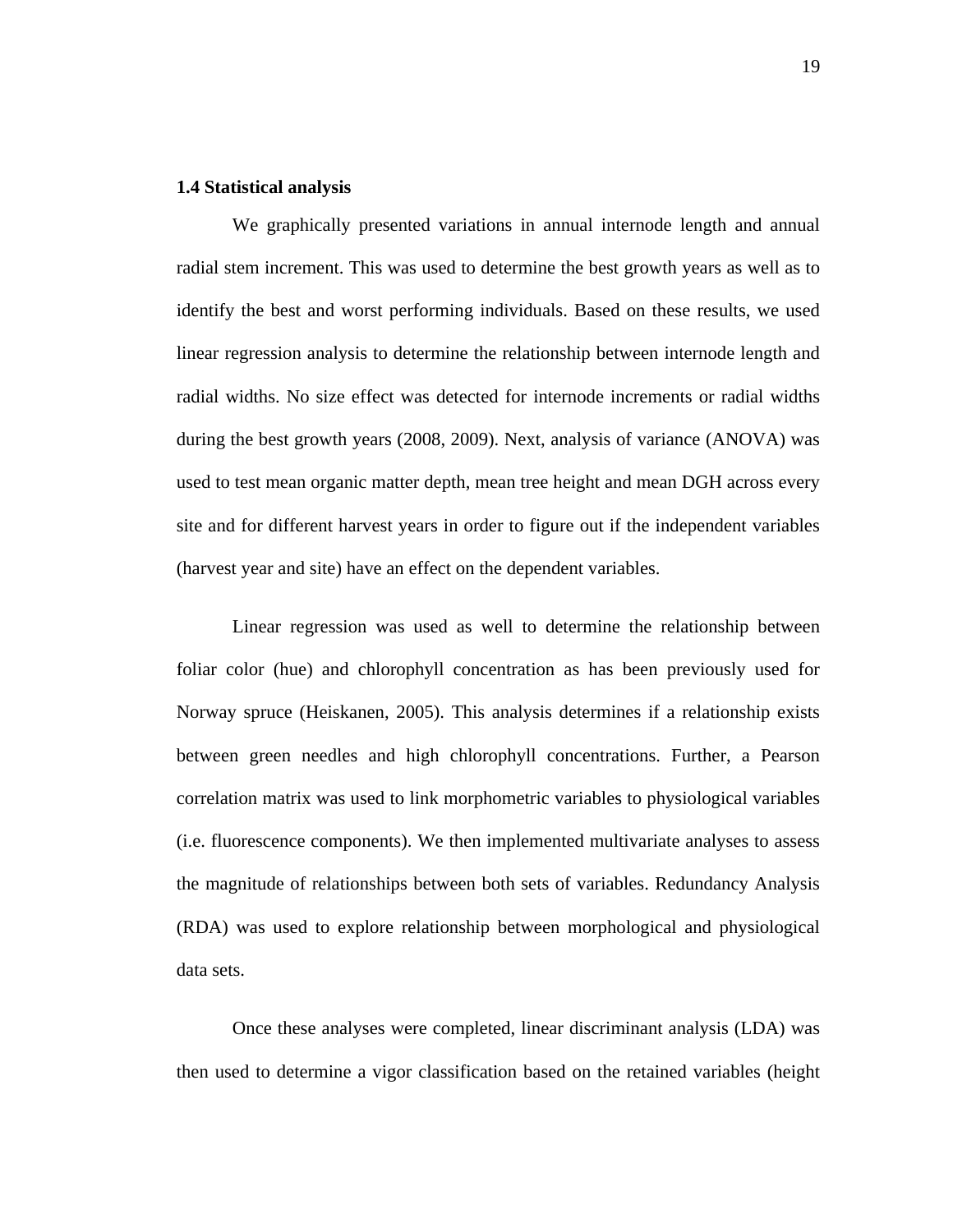## **1.4 Statistical analysis**

We graphically presented variations in annual internode length and annual radial stem increment. This was used to determine the best growth years as well as to identify the best and worst performing individuals. Based on these results, we used linear regression analysis to determine the relationship between internode length and radial widths. No size effect was detected for internode increments or radial widths during the best growth years (2008, 2009). Next, analysis of variance (ANOVA) was used to test mean organic matter depth, mean tree height and mean DGH across every site and for different harvest years in order to figure out if the independent variables (harvest year and site) have an effect on the dependent variables.

Linear regression was used as well to determine the relationship between foliar color (hue) and chlorophyll concentration as has been previously used for Norway spruce (Heiskanen, 2005). This analysis determines if a relationship exists between green needles and high chlorophyll concentrations. Further, a Pearson correlation matrix was used to link morphometric variables to physiological variables (i.e. fluorescence components). We then implemented multivariate analyses to assess the magnitude of relationships between both sets of variables. Redundancy Analysis (RDA) was used to explore relationship between morphological and physiological data sets.

Once these analyses were completed, linear discriminant analysis (LDA) was then used to determine a vigor classification based on the retained variables (height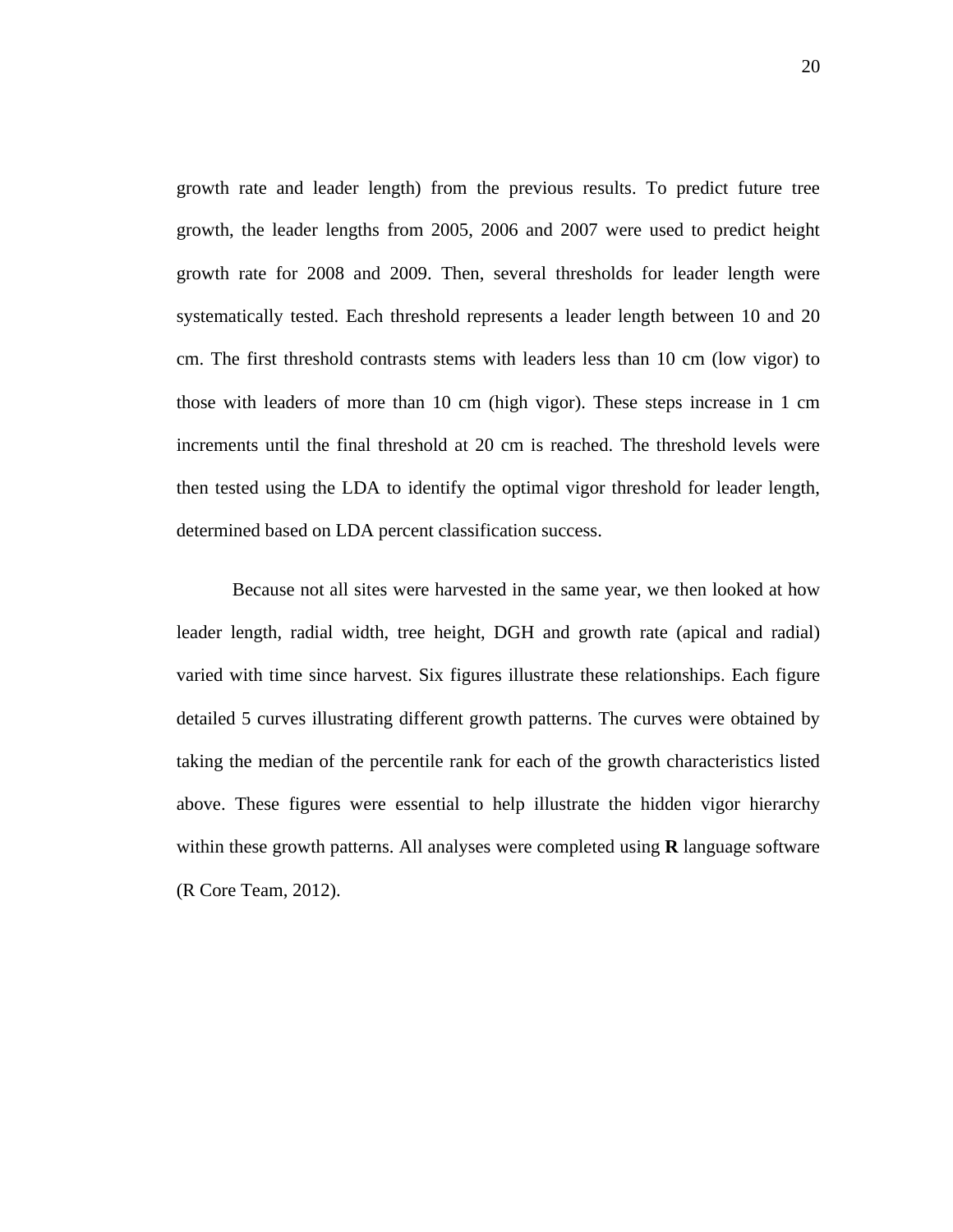growth rate and leader length) from the previous results. To predict future tree growth, the leader lengths from 2005, 2006 and 2007 were used to predict height growth rate for 2008 and 2009. Then, several thresholds for leader length were systematically tested. Each threshold represents a leader length between 10 and 20 cm. The first threshold contrasts stems with leaders less than 10 cm (low vigor) to those with leaders of more than 10 cm (high vigor). These steps increase in 1 cm increments until the final threshold at 20 cm is reached. The threshold levels were then tested using the LDA to identify the optimal vigor threshold for leader length, determined based on LDA percent classification success.

Because not all sites were harvested in the same year, we then looked at how leader length, radial width, tree height, DGH and growth rate (apical and radial) varied with time since harvest. Six figures illustrate these relationships. Each figure detailed 5 curves illustrating different growth patterns. The curves were obtained by taking the median of the percentile rank for each of the growth characteristics listed above. These figures were essential to help illustrate the hidden vigor hierarchy within these growth patterns. All analyses were completed using **R** language software (R Core Team, 2012).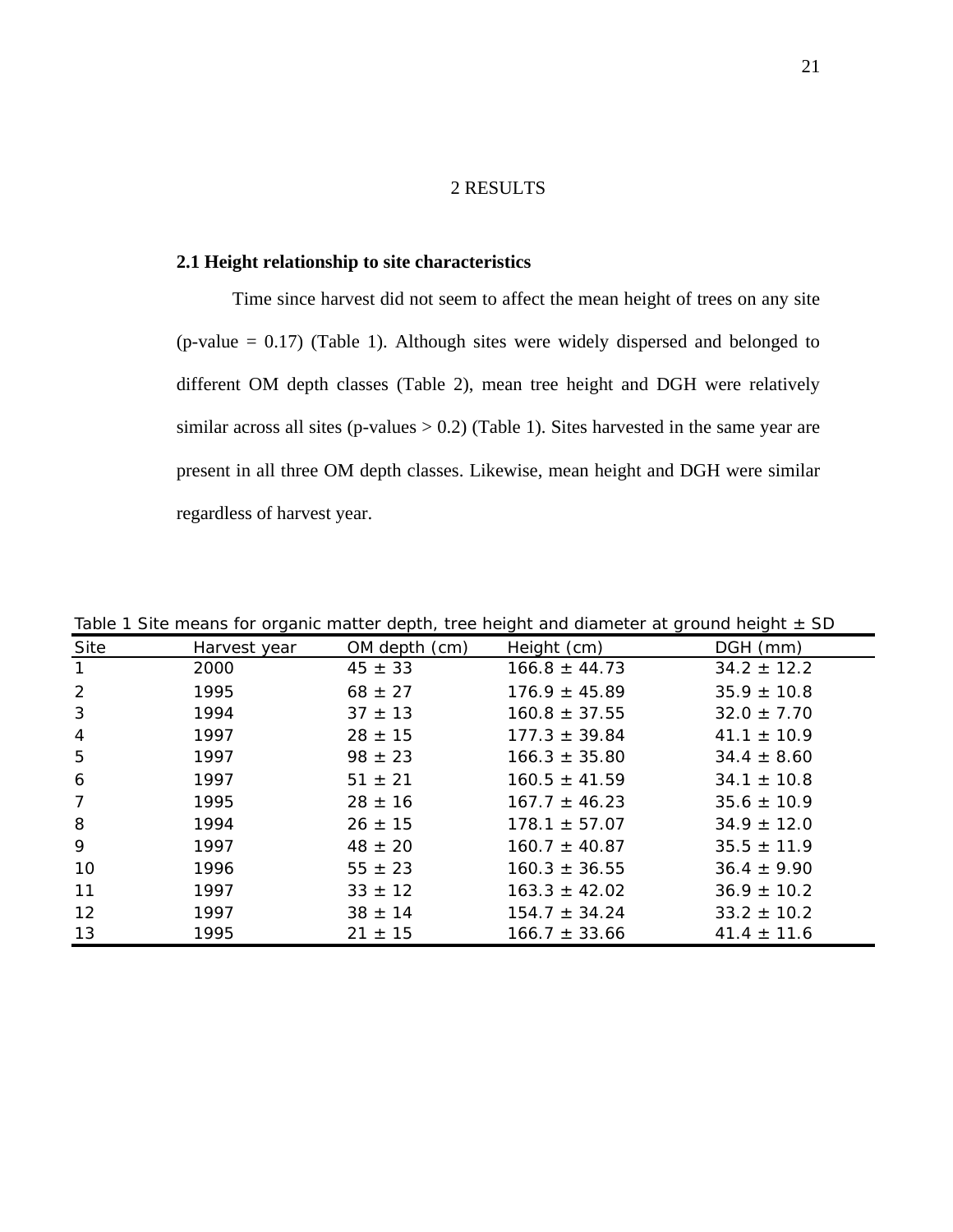#### 2 RESULTS

# **2.1 Height relationship to site characteristics**

Time since harvest did not seem to affect the mean height of trees on any site (p-value  $= 0.17$ ) (Table 1). Although sites were widely dispersed and belonged to different OM depth classes (Table 2), mean tree height and DGH were relatively similar across all sites (p-values  $> 0.2$ ) (Table 1). Sites harvested in the same year are present in all three OM depth classes. Likewise, mean height and DGH were similar regardless of harvest year.

|      |              |               | Table 1 Site means for organic matter depth, tree height and diameter at ground height $\pm$ SD |                 |
|------|--------------|---------------|-------------------------------------------------------------------------------------------------|-----------------|
| Site | Harvest year | OM depth (cm) | Height (cm)                                                                                     | DGH (mm)        |
|      | 2000         | $45 \pm 33$   | $166.8 \pm 44.73$                                                                               | $34.2 \pm 12.2$ |
| 2    | 1995         | $68 \pm 27$   | $176.9 \pm 45.89$                                                                               | $35.9 \pm 10.8$ |
| 3    | 1994         | $37 \pm 13$   | $160.8 \pm 37.55$                                                                               | $32.0 \pm 7.70$ |
| 4    | 1997         | $28 \pm 15$   | $177.3 \pm 39.84$                                                                               | $41.1 \pm 10.9$ |
| 5    | 1997         | $98 \pm 23$   | $166.3 \pm 35.80$                                                                               | $34.4 \pm 8.60$ |
| 6    | 1997         | $51 \pm 21$   | $160.5 \pm 41.59$                                                                               | $34.1 \pm 10.8$ |
| 7    | 1995         | $28 \pm 16$   | $167.7 \pm 46.23$                                                                               | $35.6 \pm 10.9$ |
| 8    | 1994         | $26 \pm 15$   | $178.1 \pm 57.07$                                                                               | $34.9 \pm 12.0$ |
| 9    | 1997         | $48 \pm 20$   | $160.7 \pm 40.87$                                                                               | $35.5 \pm 11.9$ |
| 10   | 1996         | $55 \pm 23$   | $160.3 \pm 36.55$                                                                               | $36.4 \pm 9.90$ |
| 11   | 1997         | $33 \pm 12$   | $163.3 \pm 42.02$                                                                               | $36.9 \pm 10.2$ |
| 12   | 1997         | $38 \pm 14$   | $154.7 \pm 34.24$                                                                               | $33.2 \pm 10.2$ |
| 13   | 1995         | $21 \pm 15$   | $166.7 \pm 33.66$                                                                               | $41.4 \pm 11.6$ |

Table 1 Site means for organic matter depth, tree height and diameter at ground height  $\pm$  SD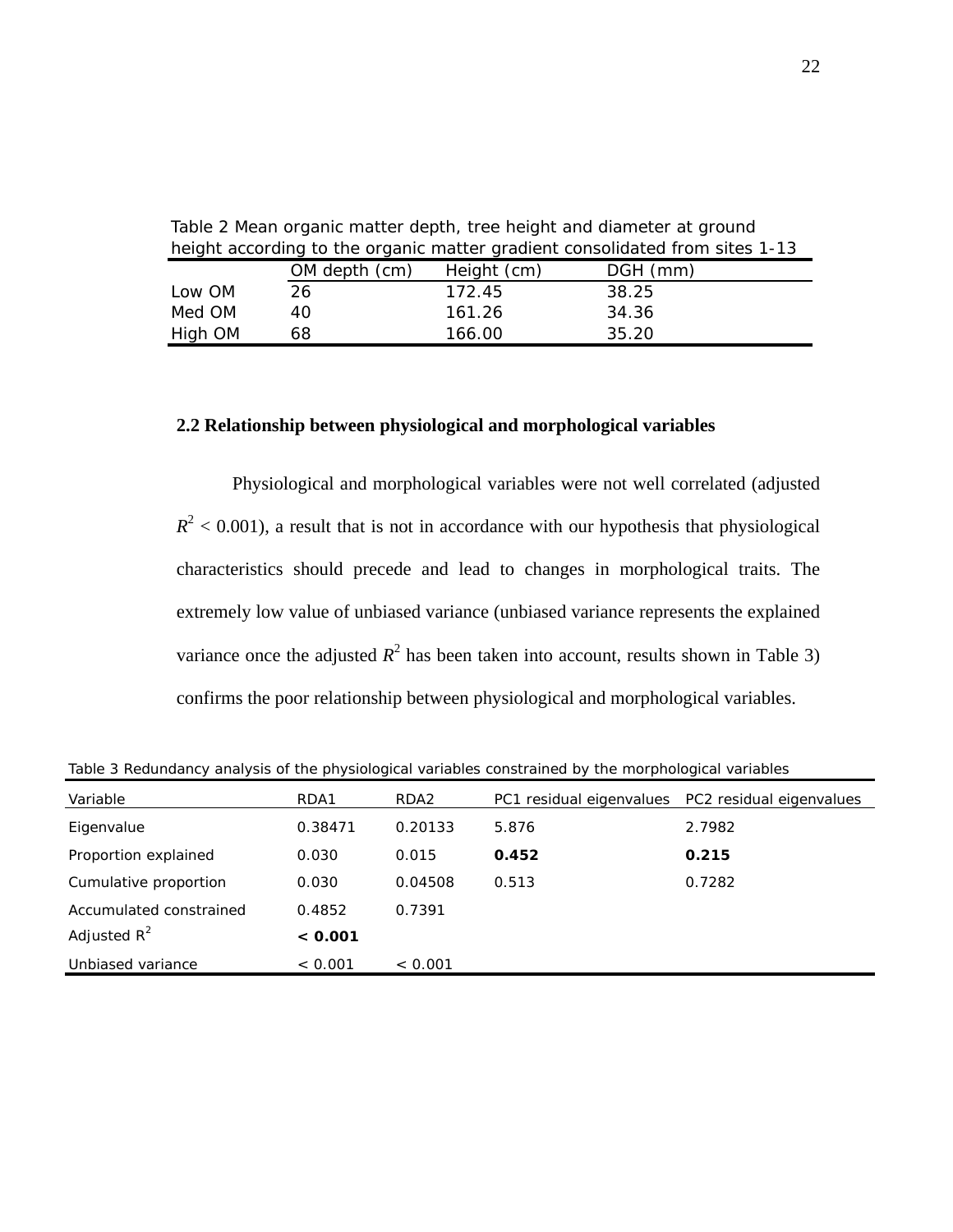| Table 2 Mean organic matter depth, tree height and diameter at ground        |  |
|------------------------------------------------------------------------------|--|
| height according to the organic matter gradient consolidated from sites 1-13 |  |
|                                                                              |  |

|         | OM depth (cm) | Height (cm) | DGH (mm) |
|---------|---------------|-------------|----------|
| Low OM  | 26            | 172.45      | 38.25    |
| Med OM  | 40.           | 161.26      | 34.36    |
| High OM | 68            | 166.00      | 35.20    |

# **2.2 Relationship between physiological and morphological variables**

Physiological and morphological variables were not well correlated (adjusted  $R<sup>2</sup> < 0.001$ ), a result that is not in accordance with our hypothesis that physiological characteristics should precede and lead to changes in morphological traits. The extremely low value of unbiased variance (unbiased variance represents the explained variance once the adjusted  $R^2$  has been taken into account, results shown in Table 3) confirms the poor relationship between physiological and morphological variables.

| Variable                | RDA1    | RDA <sub>2</sub> | PC1 residual eigenvalues | PC2 residual eigenvalues |
|-------------------------|---------|------------------|--------------------------|--------------------------|
| Eigenvalue              | 0.38471 | 0.20133          | 5.876                    | 2.7982                   |
| Proportion explained    | 0.030   | 0.015            | 0.452                    | 0.215                    |
| Cumulative proportion   | 0.030   | 0.04508          | 0.513                    | 0.7282                   |
| Accumulated constrained | 0.4852  | 0.7391           |                          |                          |
| Adjusted $R^2$          | < 0.001 |                  |                          |                          |
| Unbiased variance       | < 0.001 | < 0.001          |                          |                          |

Table 3 Redundancy analysis of the physiological variables constrained by the morphological variables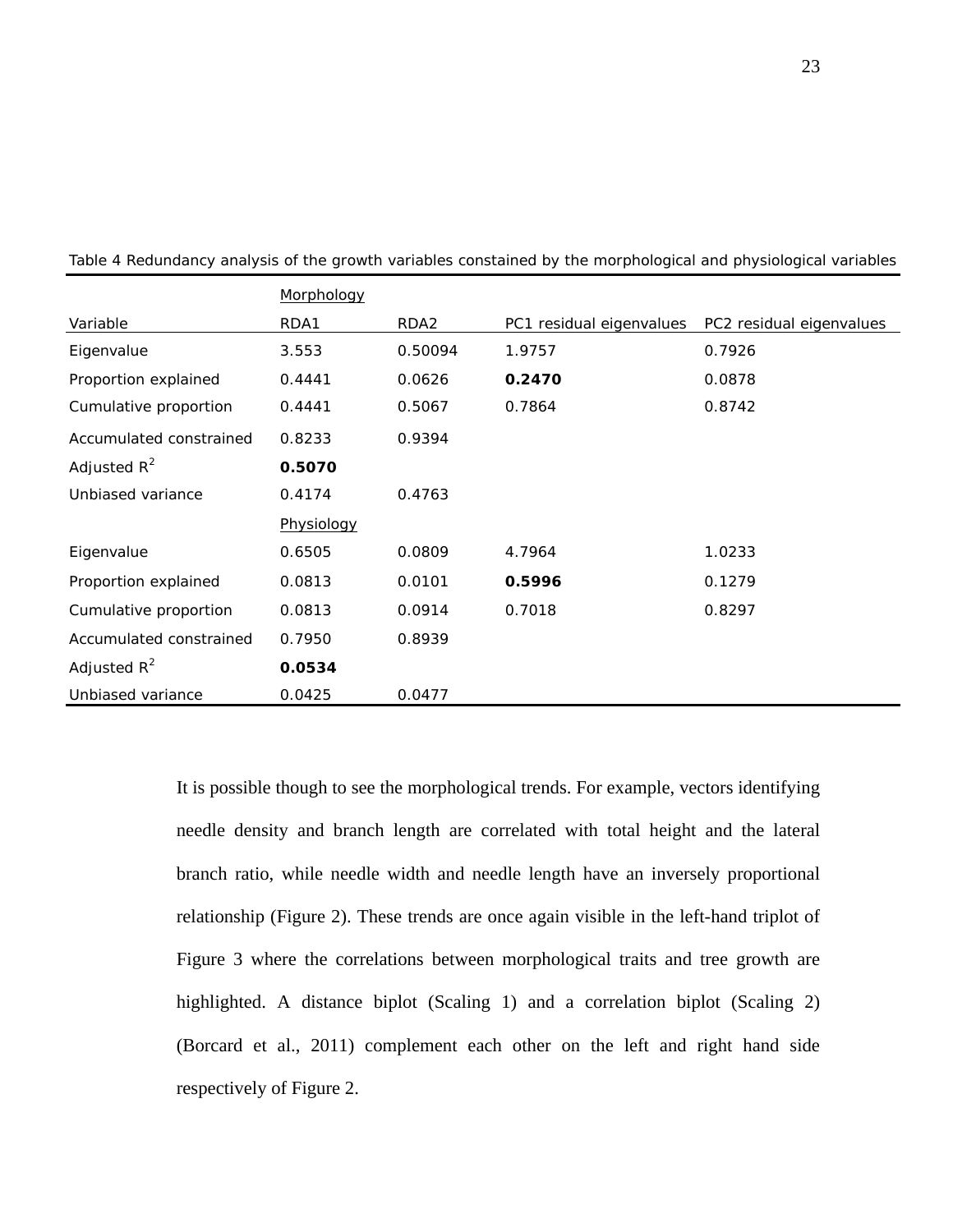|                         | Morphology |                  |                          |                          |
|-------------------------|------------|------------------|--------------------------|--------------------------|
| Variable                | RDA1       | RDA <sub>2</sub> | PC1 residual eigenvalues | PC2 residual eigenvalues |
| Eigenvalue              | 3.553      | 0.50094          | 1.9757                   | 0.7926                   |
| Proportion explained    | 0.4441     | 0.0626           | 0.2470                   | 0.0878                   |
| Cumulative proportion   | 0.4441     | 0.5067           | 0.7864                   | 0.8742                   |
| Accumulated constrained | 0.8233     | 0.9394           |                          |                          |
| Adjusted $R^2$          | 0.5070     |                  |                          |                          |
| Unbiased variance       | 0.4174     | 0.4763           |                          |                          |
|                         | Physiology |                  |                          |                          |
| Eigenvalue              | 0.6505     | 0.0809           | 4.7964                   | 1.0233                   |
| Proportion explained    | 0.0813     | 0.0101           | 0.5996                   | 0.1279                   |
| Cumulative proportion   | 0.0813     | 0.0914           | 0.7018                   | 0.8297                   |
| Accumulated constrained | 0.7950     | 0.8939           |                          |                          |
| Adjusted $R^2$          | 0.0534     |                  |                          |                          |
| Unbiased variance       | 0.0425     | 0.0477           |                          |                          |

Table 4 Redundancy analysis of the growth variables constained by the morphological and physiological variables

It is possible though to see the morphological trends. For example, vectors identifying needle density and branch length are correlated with total height and the lateral branch ratio, while needle width and needle length have an inversely proportional relationship (Figure 2). These trends are once again visible in the left-hand triplot of Figure 3 where the correlations between morphological traits and tree growth are highlighted. A distance biplot (Scaling 1) and a correlation biplot (Scaling 2) (Borcard et al., 2011) complement each other on the left and right hand side respectively of Figure 2.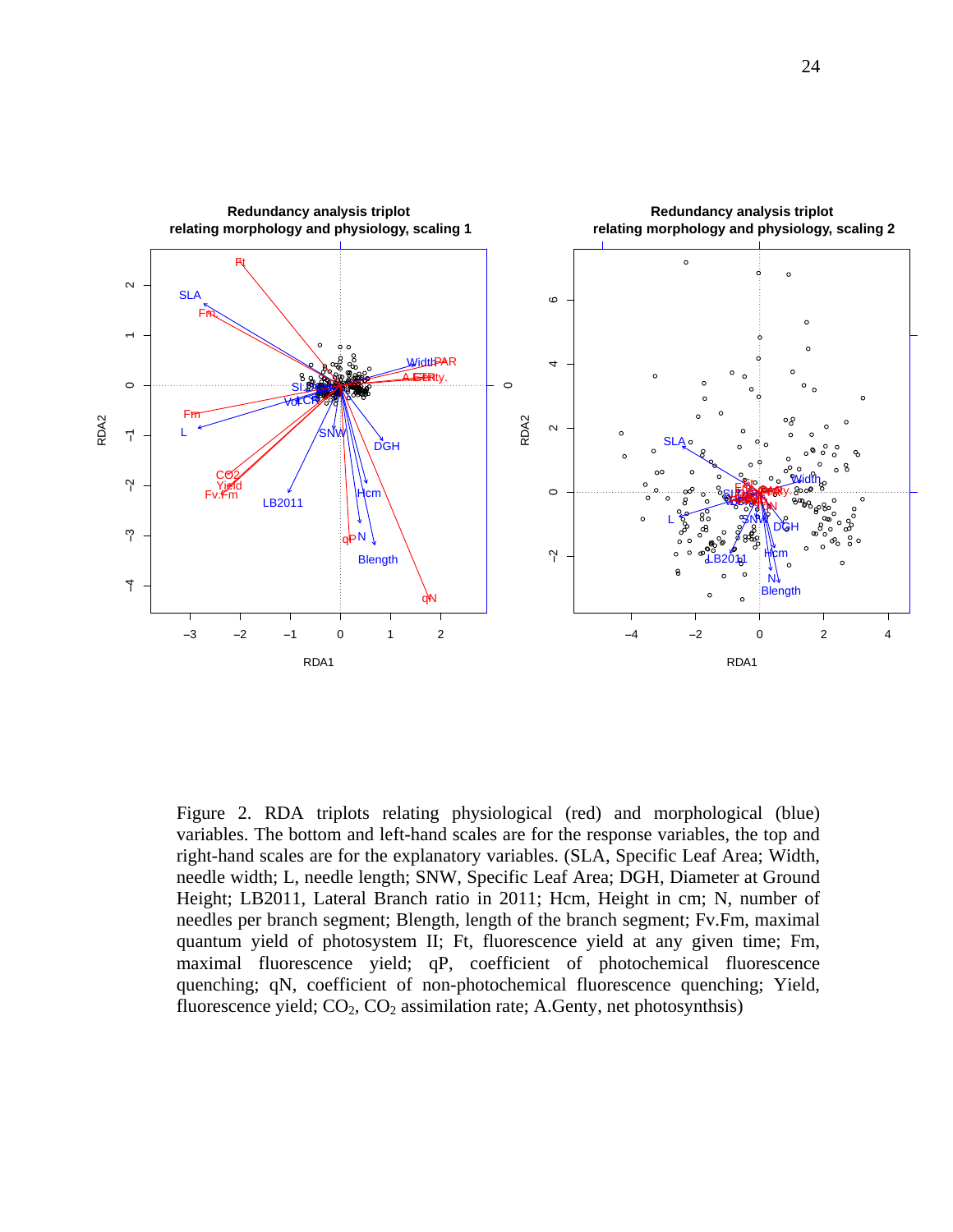

Figure 2. RDA triplots relating physiological (red) and morphological (blue) variables. The bottom and left-hand scales are for the response variables, the top and right-hand scales are for the explanatory variables. (SLA, Specific Leaf Area; Width, needle width; L, needle length; SNW, Specific Leaf Area; DGH, Diameter at Ground Height; LB2011, Lateral Branch ratio in 2011; Hcm, Height in cm; N, number of needles per branch segment; Blength, length of the branch segment; Fv.Fm, maximal quantum yield of photosystem II; Ft, fluorescence yield at any given time; Fm, maximal fluorescence yield; qP, coefficient of photochemical fluorescence quenching; qN, coefficient of non-photochemical fluorescence quenching; Yield, fluorescence yield;  $CO<sub>2</sub>$ ,  $CO<sub>2</sub>$  assimilation rate; A.Genty, net photosynthsis)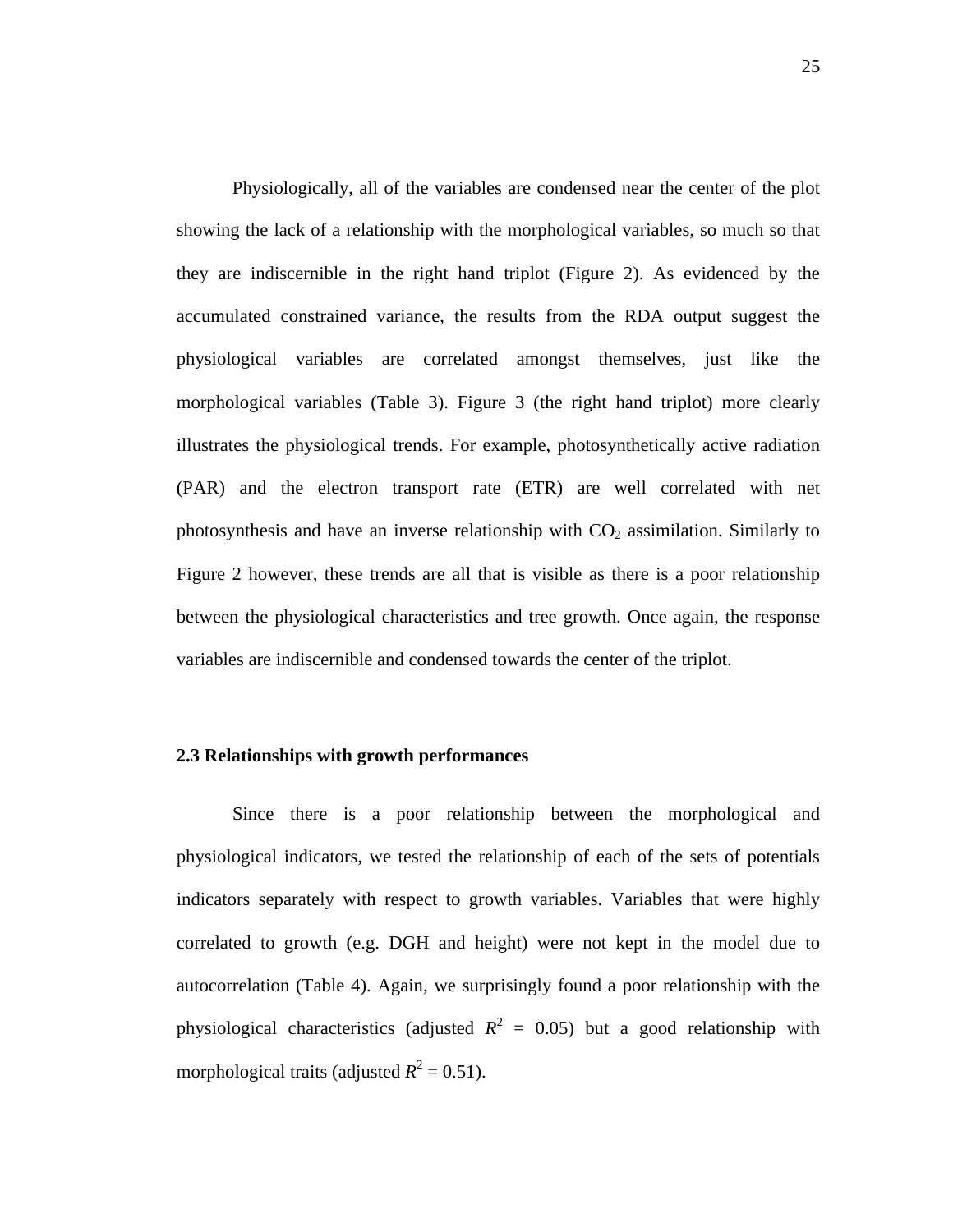Physiologically, all of the variables are condensed near the center of the plot showing the lack of a relationship with the morphological variables, so much so that they are indiscernible in the right hand triplot (Figure 2). As evidenced by the accumulated constrained variance, the results from the RDA output suggest the physiological variables are correlated amongst themselves, just like the morphological variables (Table 3). Figure 3 (the right hand triplot) more clearly illustrates the physiological trends. For example, photosynthetically active radiation (PAR) and the electron transport rate (ETR) are well correlated with net photosynthesis and have an inverse relationship with  $CO<sub>2</sub>$  assimilation. Similarly to Figure 2 however, these trends are all that is visible as there is a poor relationship between the physiological characteristics and tree growth. Once again, the response variables are indiscernible and condensed towards the center of the triplot.

## **2.3 Relationships with growth performances**

Since there is a poor relationship between the morphological and physiological indicators, we tested the relationship of each of the sets of potentials indicators separately with respect to growth variables. Variables that were highly correlated to growth (e.g. DGH and height) were not kept in the model due to autocorrelation (Table 4). Again, we surprisingly found a poor relationship with the physiological characteristics (adjusted  $R^2 = 0.05$ ) but a good relationship with morphological traits (adjusted  $R^2 = 0.51$ ).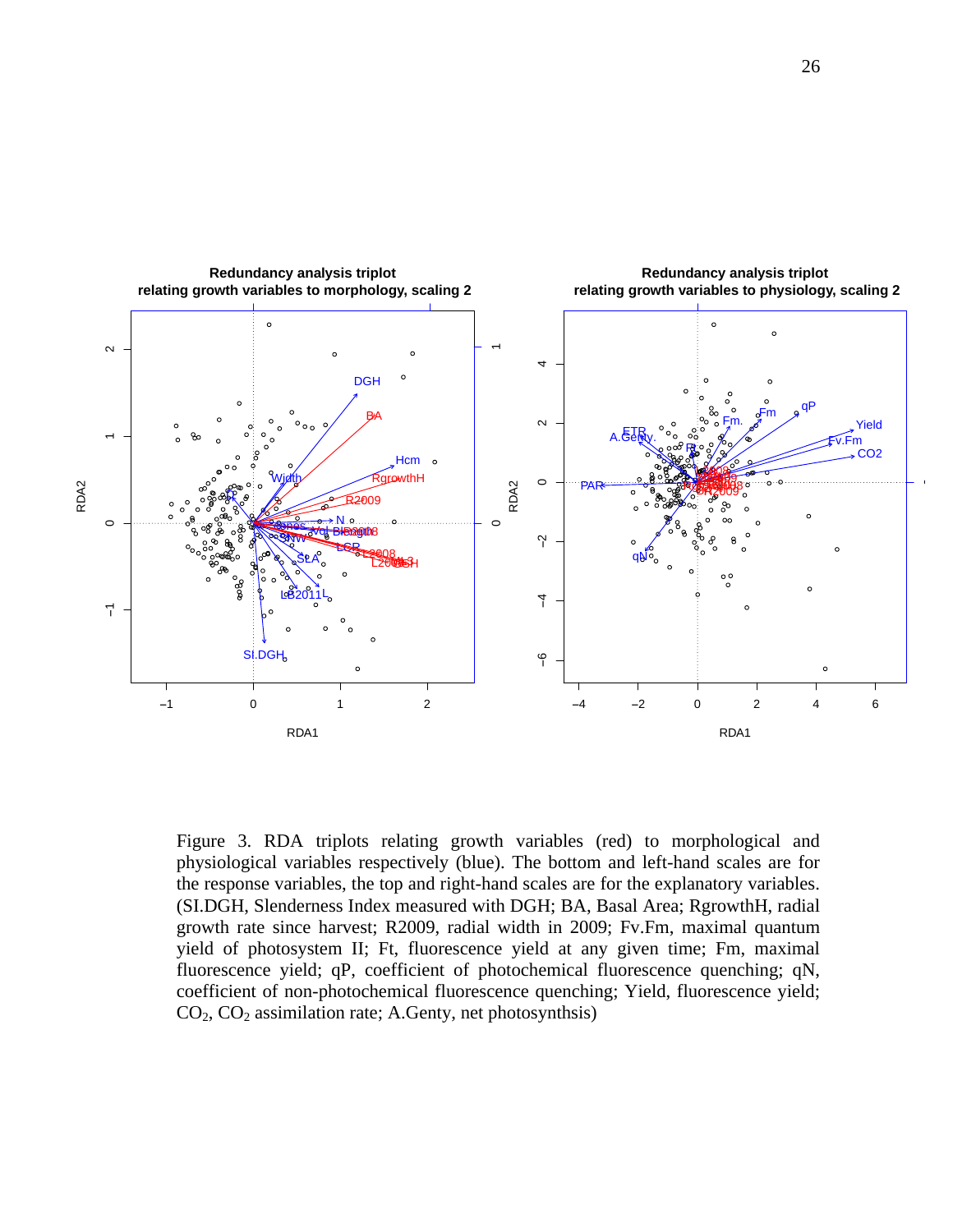

Figure 3. RDA triplots relating growth variables (red) to morphological and physiological variables respectively (blue). The bottom and left-hand scales are for the response variables, the top and right-hand scales are for the explanatory variables. (SI.DGH, Slenderness Index measured with DGH; BA, Basal Area; RgrowthH, radial growth rate since harvest; R2009, radial width in 2009; Fv.Fm, maximal quantum yield of photosystem II; Ft, fluorescence yield at any given time; Fm, maximal fluorescence yield; qP, coefficient of photochemical fluorescence quenching; qN, coefficient of non-photochemical fluorescence quenching; Yield, fluorescence yield; CO2, CO2 assimilation rate; A.Genty, net photosynthsis)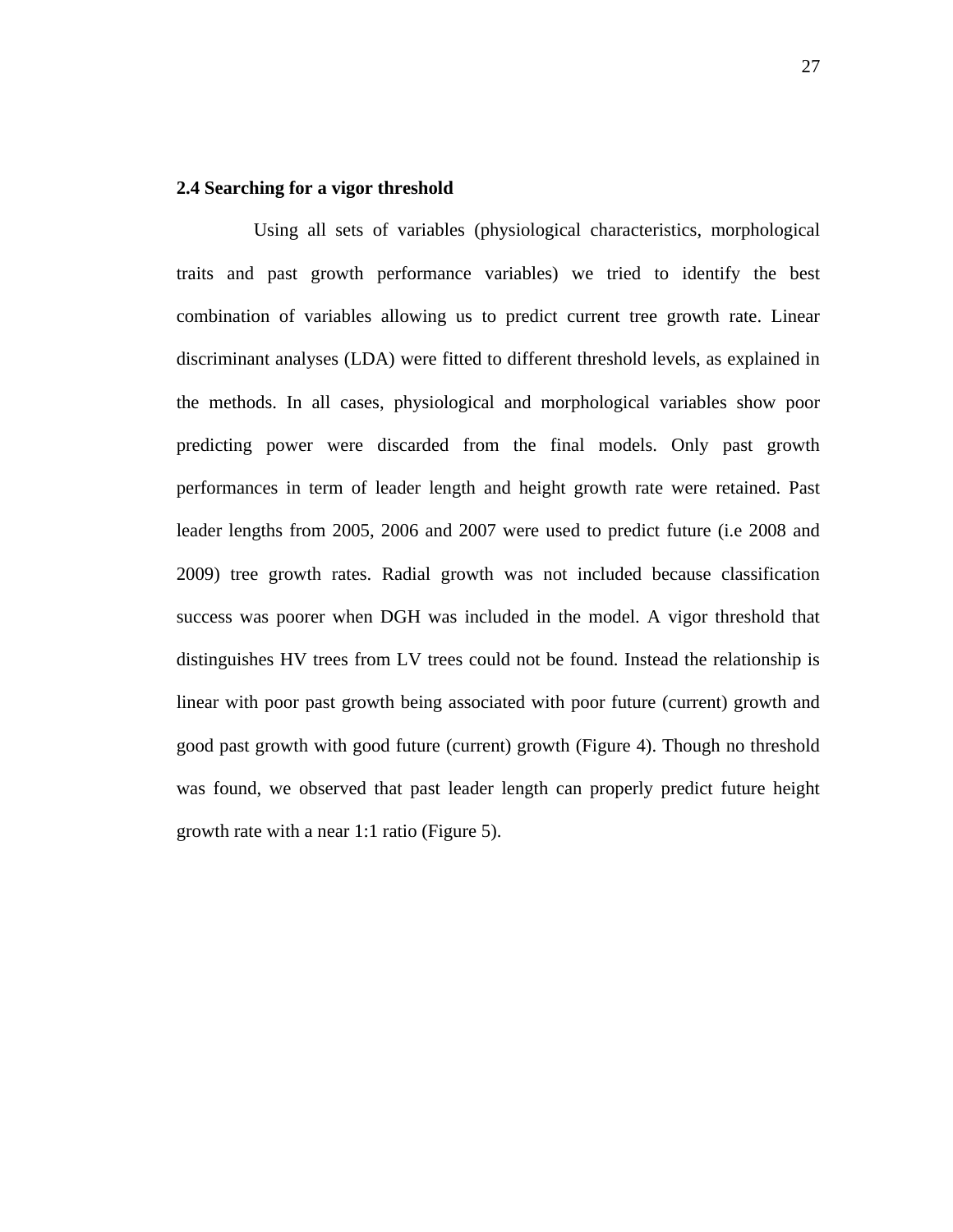# **2.4 Searching for a vigor threshold**

Using all sets of variables (physiological characteristics, morphological traits and past growth performance variables) we tried to identify the best combination of variables allowing us to predict current tree growth rate. Linear discriminant analyses (LDA) were fitted to different threshold levels, as explained in the methods. In all cases, physiological and morphological variables show poor predicting power were discarded from the final models. Only past growth performances in term of leader length and height growth rate were retained. Past leader lengths from 2005, 2006 and 2007 were used to predict future (i.e 2008 and 2009) tree growth rates. Radial growth was not included because classification success was poorer when DGH was included in the model. A vigor threshold that distinguishes HV trees from LV trees could not be found. Instead the relationship is linear with poor past growth being associated with poor future (current) growth and good past growth with good future (current) growth (Figure 4). Though no threshold was found, we observed that past leader length can properly predict future height growth rate with a near 1:1 ratio (Figure 5).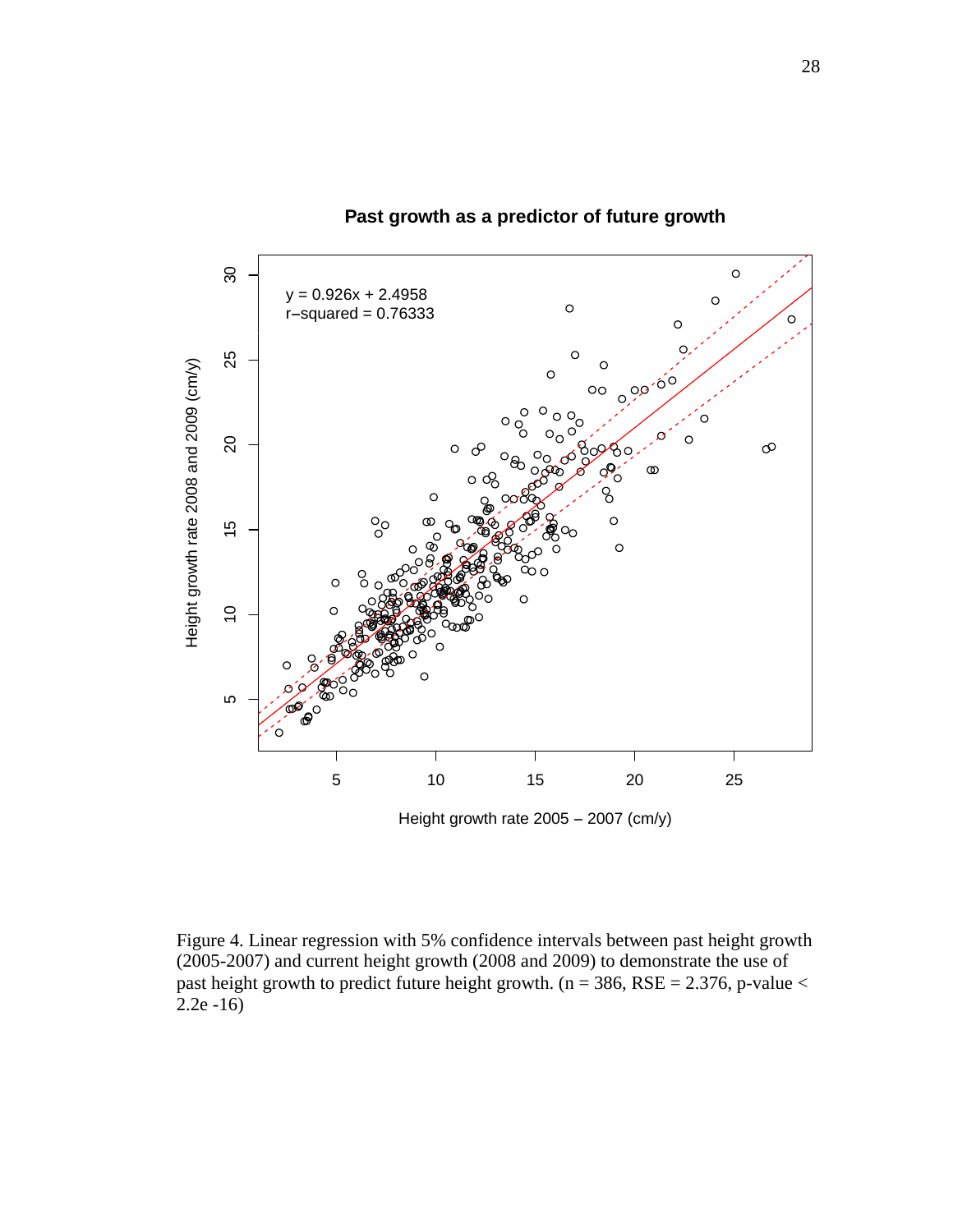

**Past growth as a predictor of future growth**

Figure 4. Linear regression with 5% confidence intervals between past height growth (2005-2007) and current height growth (2008 and 2009) to demonstrate the use of past height growth to predict future height growth. ( $n = 386$ , RSE = 2.376, p-value < 2.2e -16)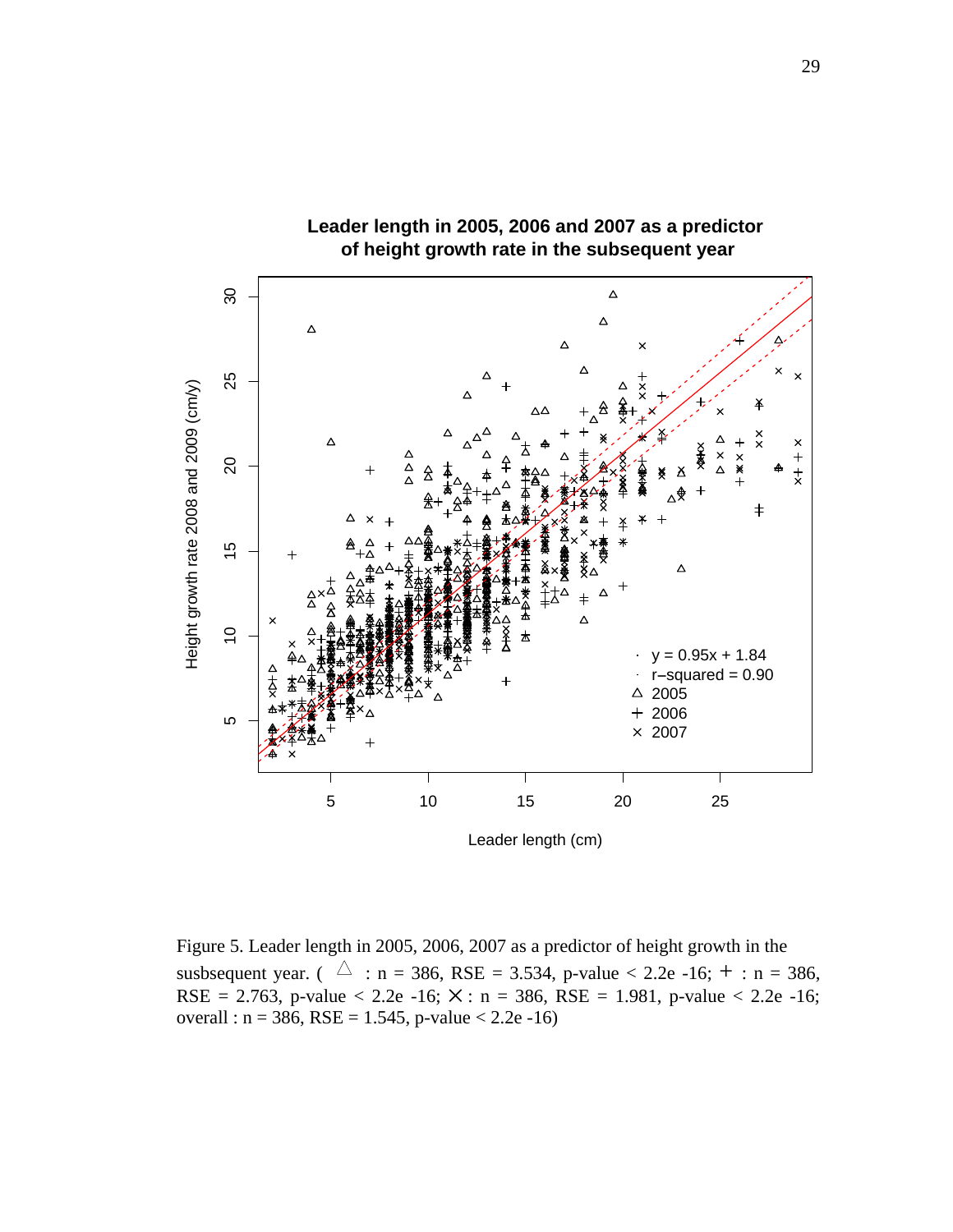

Figure 5. Leader length in 2005, 2006, 2007 as a predictor of height growth in the susbsequent year. (  $\triangle$  : n = 386, RSE = 3.534, p-value < 2.2e -16; + : n = 386, RSE = 2.763, p-value < 2.2e -16;  $\times$  : n = 386, RSE = 1.981, p-value < 2.2e -16; overall :  $n = 386$ ,  $RSE = 1.545$ ,  $p-value < 2.2e -16$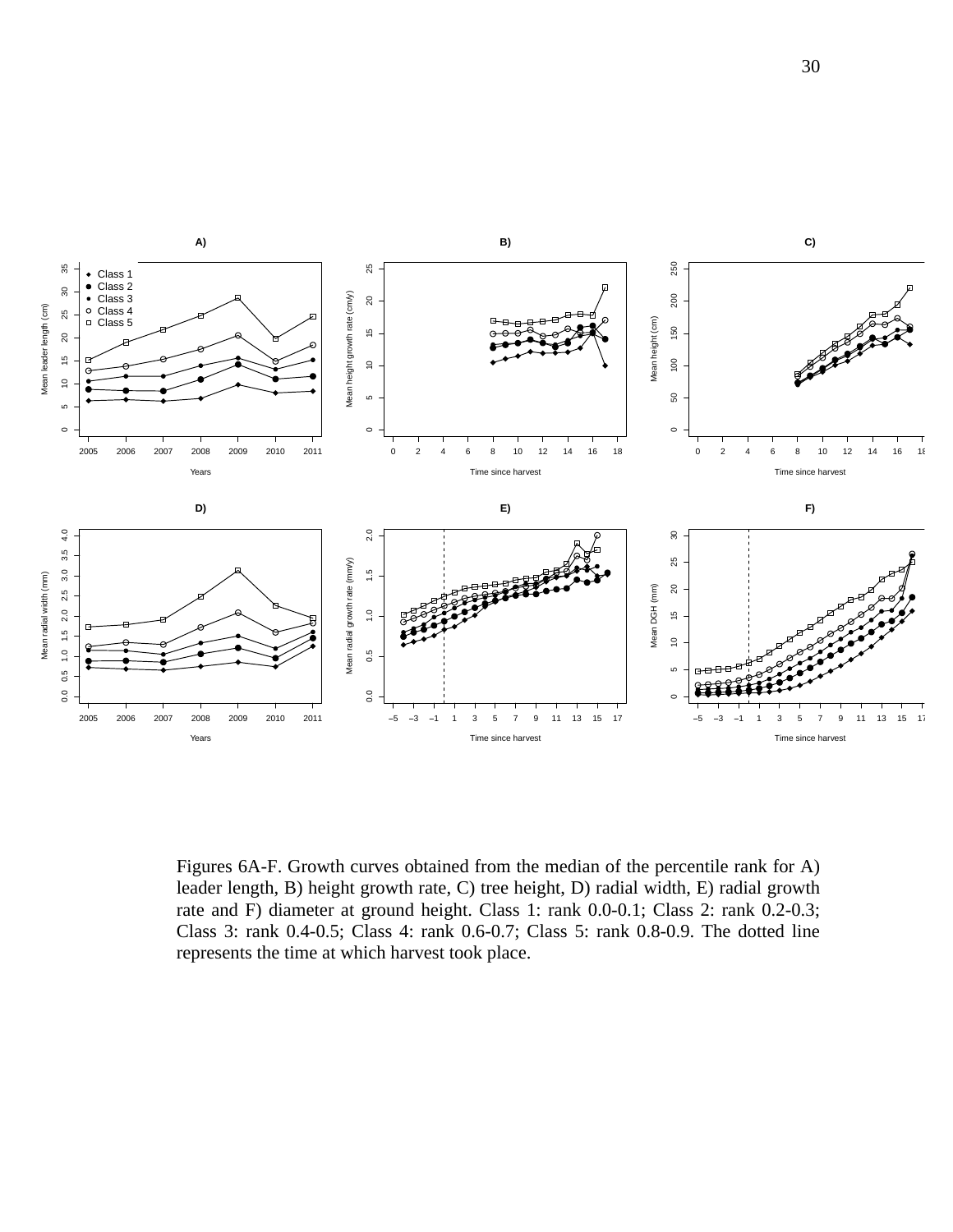

Figures 6A-F. Growth curves obtained from the median of the percentile rank for A) leader length, B) height growth rate, C) tree height, D) radial width, E) radial growth rate and F) diameter at ground height. Class 1: rank 0.0-0.1; Class 2: rank 0.2-0.3; Class 3: rank 0.4-0.5; Class 4: rank 0.6-0.7; Class 5: rank 0.8-0.9. The dotted line represents the time at which harvest took place.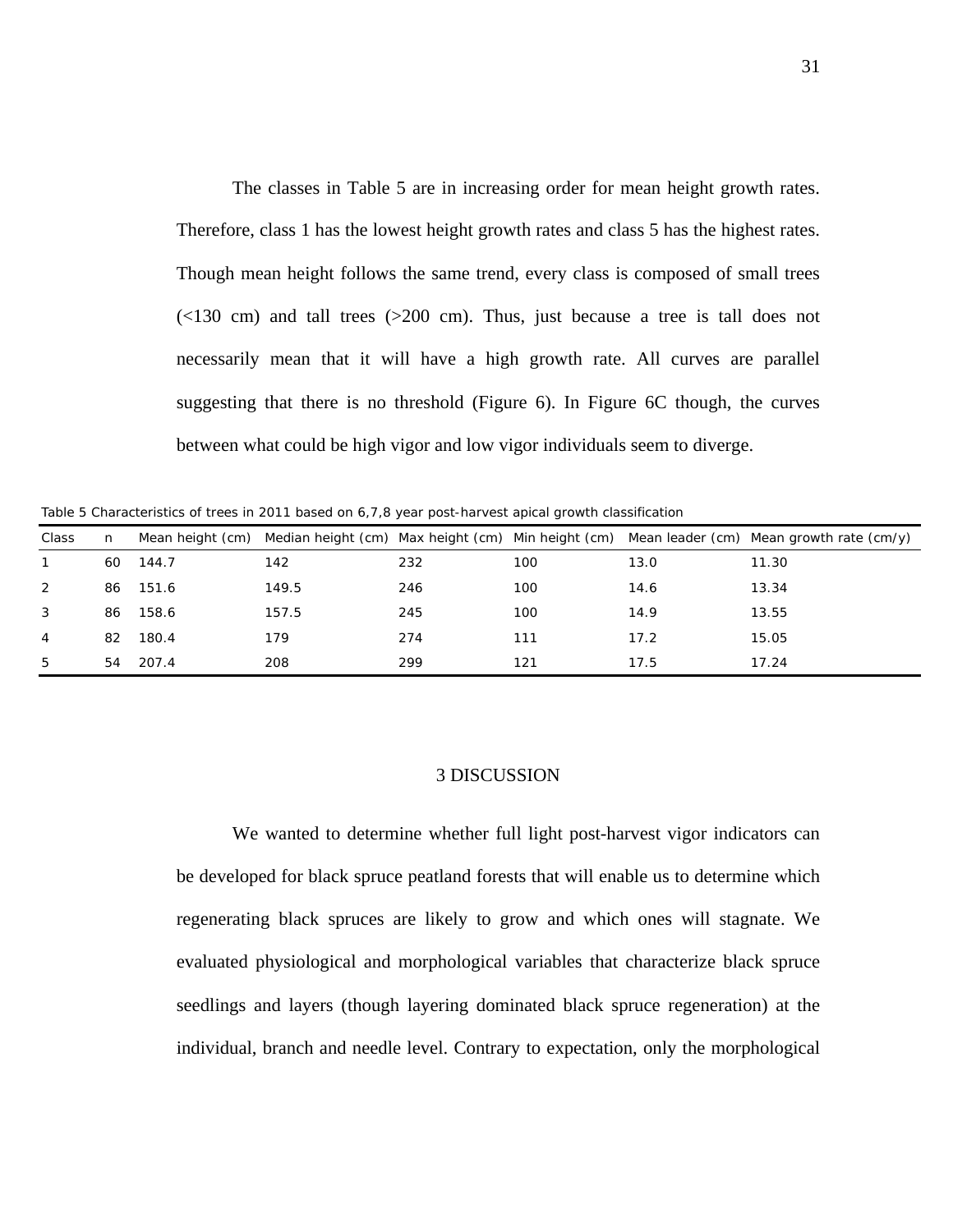The classes in Table 5 are in increasing order for mean height growth rates. Therefore, class 1 has the lowest height growth rates and class 5 has the highest rates. Though mean height follows the same trend, every class is composed of small trees  $\left($  <130 cm) and tall trees ( $>$ 200 cm). Thus, just because a tree is tall does not necessarily mean that it will have a high growth rate. All curves are parallel suggesting that there is no threshold (Figure 6). In Figure 6C though, the curves between what could be high vigor and low vigor individuals seem to diverge.

Table 5 Characteristics of trees in 2011 based on 6,7,8 year post-harvest apical growth classification

| Class          | n. |       |       |     |     |      | Mean height (cm) Median height (cm) Max height (cm) Min height (cm) Mean leader (cm) Mean growth rate (cm/y) |
|----------------|----|-------|-------|-----|-----|------|--------------------------------------------------------------------------------------------------------------|
|                | 60 | 144.7 | 142   | 232 | 100 | 13.0 | 11.30                                                                                                        |
| 2              | 86 | 151.6 | 149.5 | 246 | 100 | 14.6 | 13.34                                                                                                        |
| -3             | 86 | 158.6 | 157.5 | 245 | 100 | 14.9 | 13.55                                                                                                        |
| $\overline{4}$ | 82 | 180.4 | 179   | 274 | 111 | 17.2 | 15.05                                                                                                        |
| -5             | 54 | 207.4 | 208   | 299 | 121 | 17.5 | 17.24                                                                                                        |

#### 3 DISCUSSION

We wanted to determine whether full light post-harvest vigor indicators can be developed for black spruce peatland forests that will enable us to determine which regenerating black spruces are likely to grow and which ones will stagnate. We evaluated physiological and morphological variables that characterize black spruce seedlings and layers (though layering dominated black spruce regeneration) at the individual, branch and needle level. Contrary to expectation, only the morphological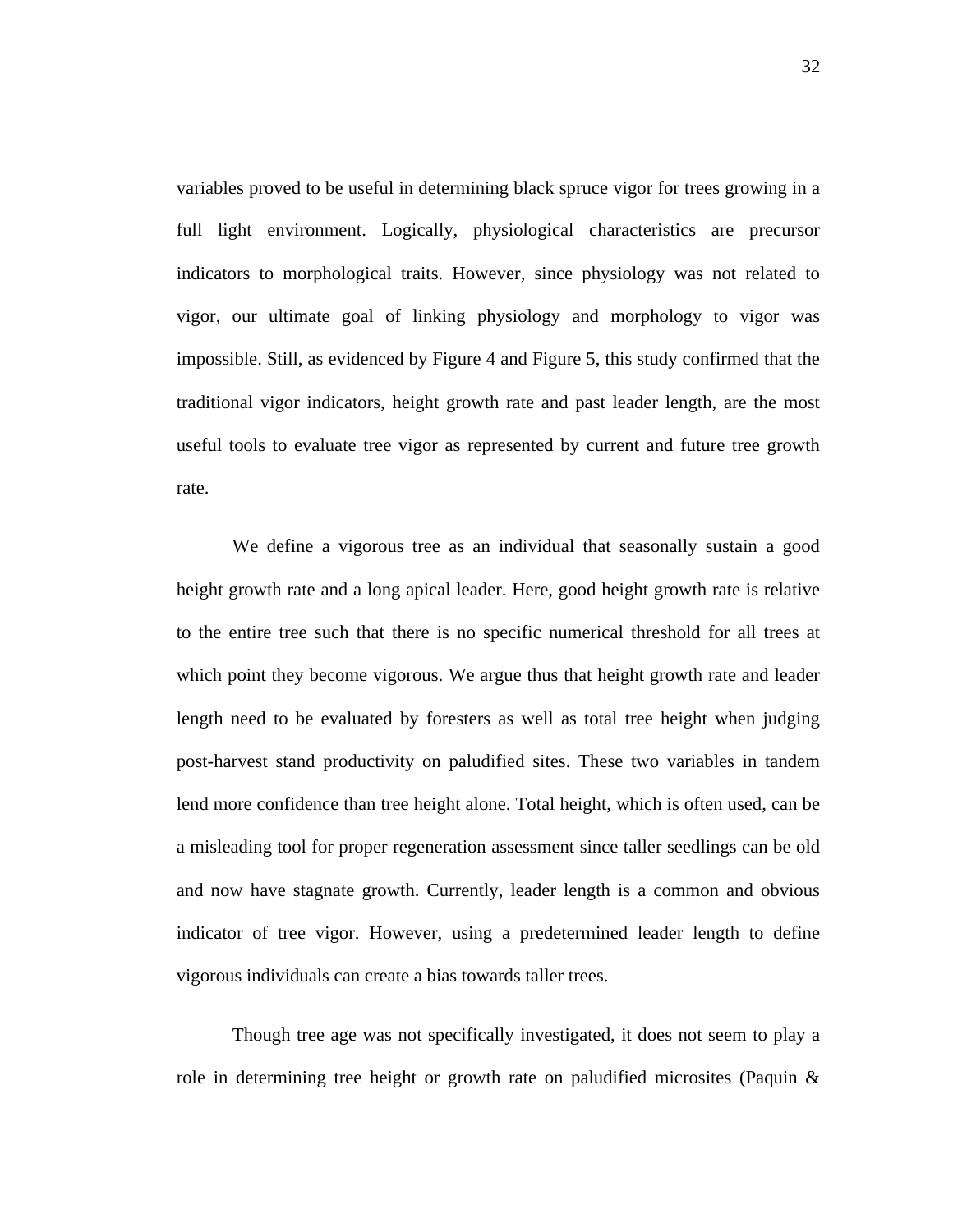variables proved to be useful in determining black spruce vigor for trees growing in a full light environment. Logically, physiological characteristics are precursor indicators to morphological traits. However, since physiology was not related to vigor, our ultimate goal of linking physiology and morphology to vigor was impossible. Still, as evidenced by Figure 4 and Figure 5, this study confirmed that the traditional vigor indicators, height growth rate and past leader length, are the most useful tools to evaluate tree vigor as represented by current and future tree growth rate.

We define a vigorous tree as an individual that seasonally sustain a good height growth rate and a long apical leader. Here, good height growth rate is relative to the entire tree such that there is no specific numerical threshold for all trees at which point they become vigorous. We argue thus that height growth rate and leader length need to be evaluated by foresters as well as total tree height when judging post-harvest stand productivity on paludified sites. These two variables in tandem lend more confidence than tree height alone. Total height, which is often used, can be a misleading tool for proper regeneration assessment since taller seedlings can be old and now have stagnate growth. Currently, leader length is a common and obvious indicator of tree vigor. However, using a predetermined leader length to define vigorous individuals can create a bias towards taller trees.

Though tree age was not specifically investigated, it does not seem to play a role in determining tree height or growth rate on paludified microsites (Paquin &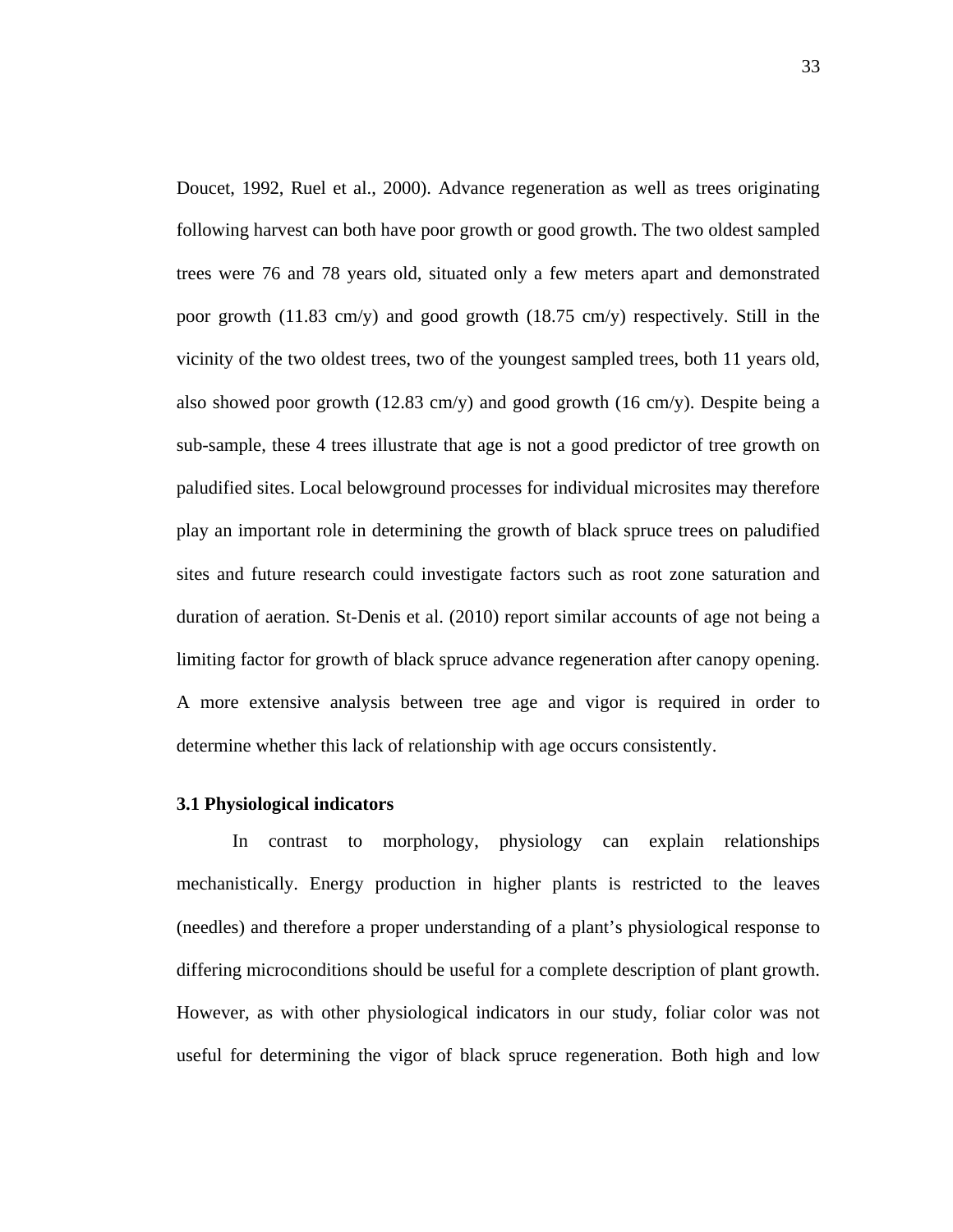Doucet, 1992, Ruel et al., 2000). Advance regeneration as well as trees originating following harvest can both have poor growth or good growth. The two oldest sampled trees were 76 and 78 years old, situated only a few meters apart and demonstrated poor growth (11.83 cm/y) and good growth (18.75 cm/y) respectively. Still in the vicinity of the two oldest trees, two of the youngest sampled trees, both 11 years old, also showed poor growth (12.83 cm/y) and good growth (16 cm/y). Despite being a sub-sample, these 4 trees illustrate that age is not a good predictor of tree growth on paludified sites. Local belowground processes for individual microsites may therefore play an important role in determining the growth of black spruce trees on paludified sites and future research could investigate factors such as root zone saturation and duration of aeration. St-Denis et al. (2010) report similar accounts of age not being a limiting factor for growth of black spruce advance regeneration after canopy opening. A more extensive analysis between tree age and vigor is required in order to determine whether this lack of relationship with age occurs consistently.

# **3.1 Physiological indicators**

In contrast to morphology, physiology can explain relationships mechanistically. Energy production in higher plants is restricted to the leaves (needles) and therefore a proper understanding of a plant's physiological response to differing microconditions should be useful for a complete description of plant growth. However, as with other physiological indicators in our study, foliar color was not useful for determining the vigor of black spruce regeneration. Both high and low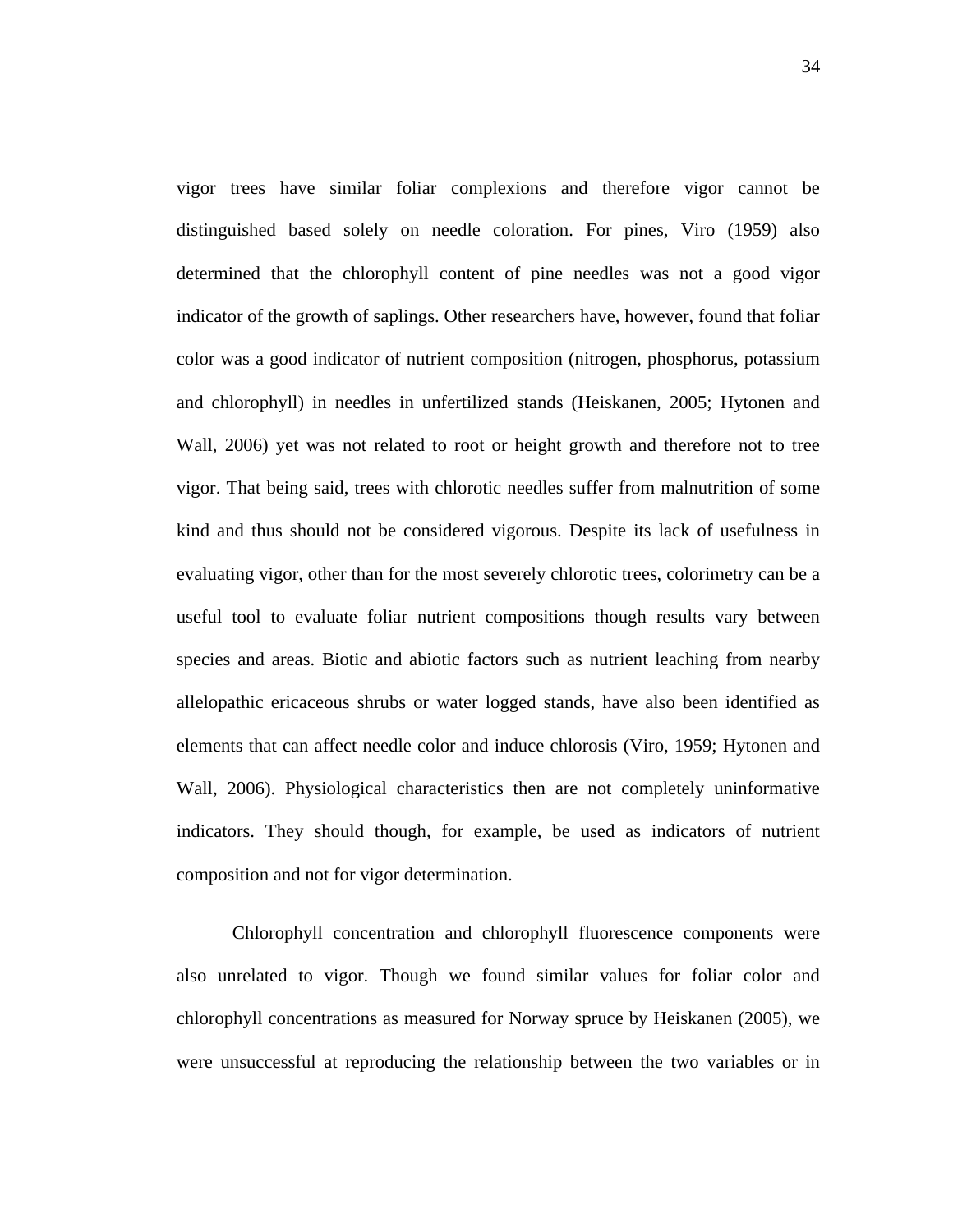vigor trees have similar foliar complexions and therefore vigor cannot be distinguished based solely on needle coloration. For pines, Viro (1959) also determined that the chlorophyll content of pine needles was not a good vigor indicator of the growth of saplings. Other researchers have, however, found that foliar color was a good indicator of nutrient composition (nitrogen, phosphorus, potassium and chlorophyll) in needles in unfertilized stands (Heiskanen, 2005; Hytonen and Wall, 2006) yet was not related to root or height growth and therefore not to tree vigor. That being said, trees with chlorotic needles suffer from malnutrition of some kind and thus should not be considered vigorous. Despite its lack of usefulness in evaluating vigor, other than for the most severely chlorotic trees, colorimetry can be a useful tool to evaluate foliar nutrient compositions though results vary between species and areas. Biotic and abiotic factors such as nutrient leaching from nearby allelopathic ericaceous shrubs or water logged stands, have also been identified as elements that can affect needle color and induce chlorosis (Viro, 1959; Hytonen and Wall, 2006). Physiological characteristics then are not completely uninformative indicators. They should though, for example, be used as indicators of nutrient composition and not for vigor determination.

Chlorophyll concentration and chlorophyll fluorescence components were also unrelated to vigor. Though we found similar values for foliar color and chlorophyll concentrations as measured for Norway spruce by Heiskanen (2005), we were unsuccessful at reproducing the relationship between the two variables or in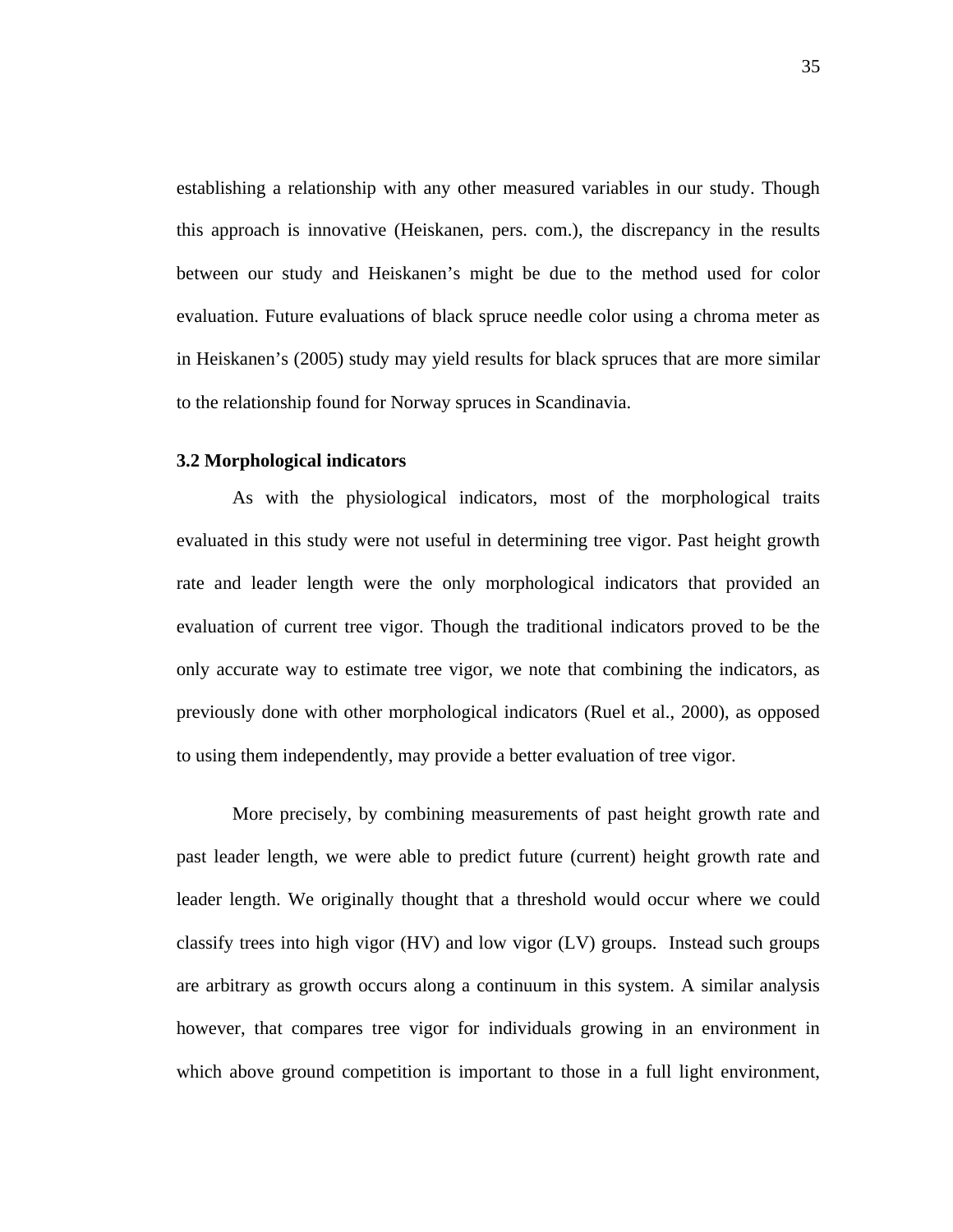establishing a relationship with any other measured variables in our study. Though this approach is innovative (Heiskanen, pers. com.), the discrepancy in the results between our study and Heiskanen's might be due to the method used for color evaluation. Future evaluations of black spruce needle color using a chroma meter as in Heiskanen's (2005) study may yield results for black spruces that are more similar to the relationship found for Norway spruces in Scandinavia.

## **3.2 Morphological indicators**

As with the physiological indicators, most of the morphological traits evaluated in this study were not useful in determining tree vigor. Past height growth rate and leader length were the only morphological indicators that provided an evaluation of current tree vigor. Though the traditional indicators proved to be the only accurate way to estimate tree vigor, we note that combining the indicators, as previously done with other morphological indicators (Ruel et al., 2000), as opposed to using them independently, may provide a better evaluation of tree vigor.

More precisely, by combining measurements of past height growth rate and past leader length, we were able to predict future (current) height growth rate and leader length. We originally thought that a threshold would occur where we could classify trees into high vigor (HV) and low vigor (LV) groups. Instead such groups are arbitrary as growth occurs along a continuum in this system. A similar analysis however, that compares tree vigor for individuals growing in an environment in which above ground competition is important to those in a full light environment,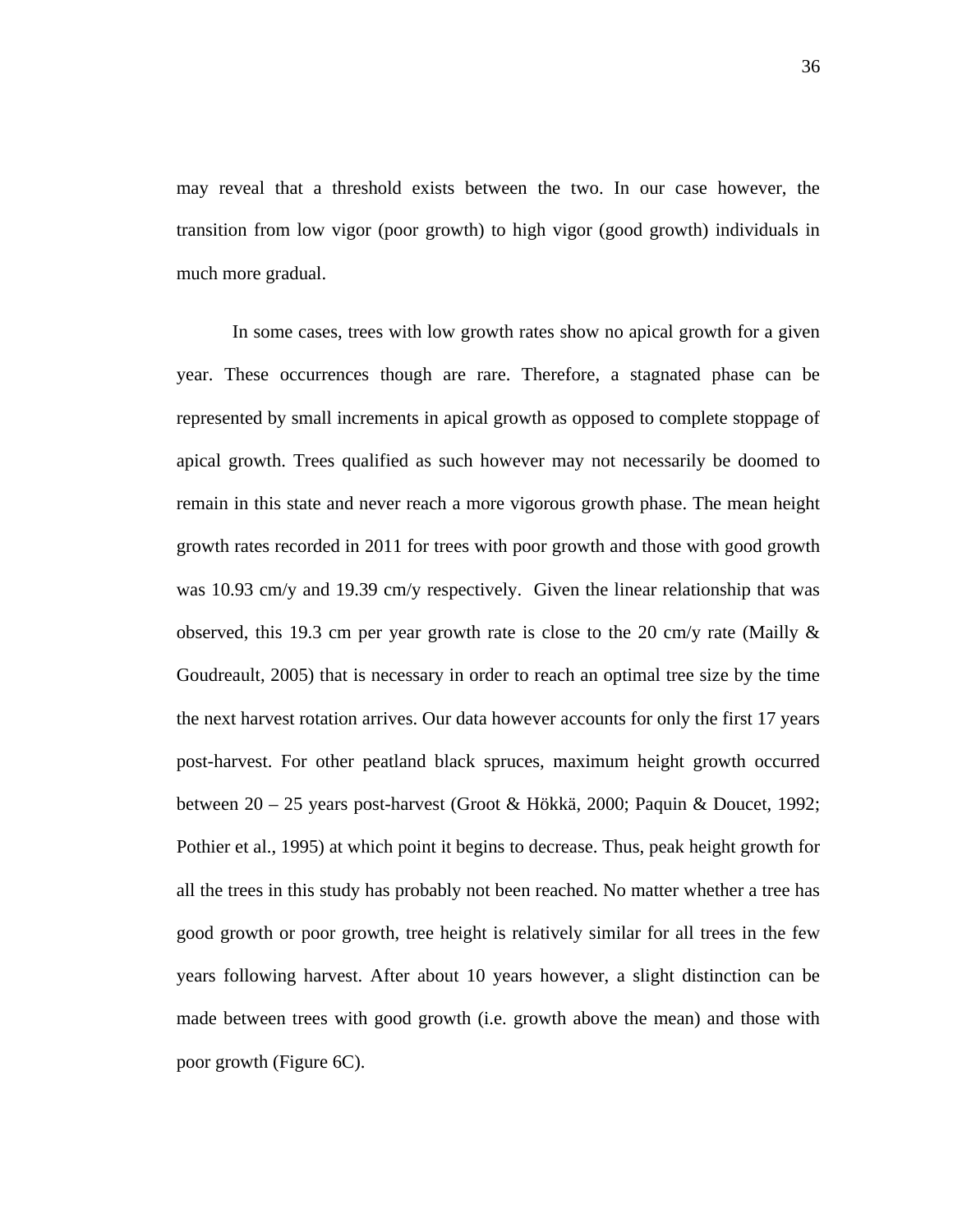may reveal that a threshold exists between the two. In our case however, the transition from low vigor (poor growth) to high vigor (good growth) individuals in much more gradual.

In some cases, trees with low growth rates show no apical growth for a given year. These occurrences though are rare. Therefore, a stagnated phase can be represented by small increments in apical growth as opposed to complete stoppage of apical growth. Trees qualified as such however may not necessarily be doomed to remain in this state and never reach a more vigorous growth phase. The mean height growth rates recorded in 2011 for trees with poor growth and those with good growth was 10.93 cm/y and 19.39 cm/y respectively. Given the linear relationship that was observed, this 19.3 cm per year growth rate is close to the 20 cm/y rate (Mailly & Goudreault, 2005) that is necessary in order to reach an optimal tree size by the time the next harvest rotation arrives. Our data however accounts for only the first 17 years post-harvest. For other peatland black spruces, maximum height growth occurred between 20 – 25 years post-harvest (Groot & Hökkä, 2000; Paquin & Doucet, 1992; Pothier et al., 1995) at which point it begins to decrease. Thus, peak height growth for all the trees in this study has probably not been reached. No matter whether a tree has good growth or poor growth, tree height is relatively similar for all trees in the few years following harvest. After about 10 years however, a slight distinction can be made between trees with good growth (i.e. growth above the mean) and those with poor growth (Figure 6C).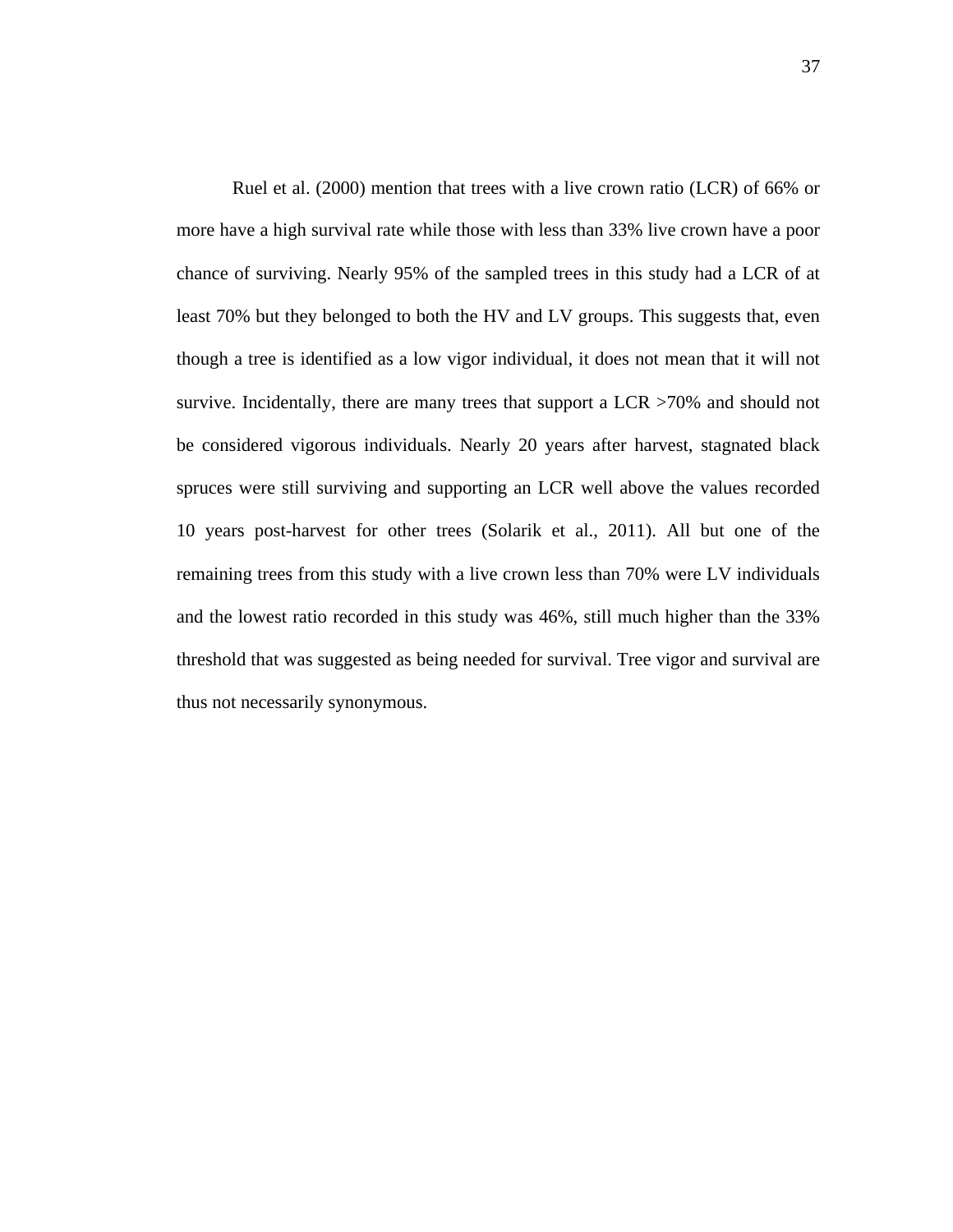Ruel et al. (2000) mention that trees with a live crown ratio (LCR) of 66% or more have a high survival rate while those with less than 33% live crown have a poor chance of surviving. Nearly 95% of the sampled trees in this study had a LCR of at least 70% but they belonged to both the HV and LV groups. This suggests that, even though a tree is identified as a low vigor individual, it does not mean that it will not survive. Incidentally, there are many trees that support a LCR >70% and should not be considered vigorous individuals. Nearly 20 years after harvest, stagnated black spruces were still surviving and supporting an LCR well above the values recorded 10 years post-harvest for other trees (Solarik et al., 2011). All but one of the remaining trees from this study with a live crown less than 70% were LV individuals and the lowest ratio recorded in this study was 46%, still much higher than the 33% threshold that was suggested as being needed for survival. Tree vigor and survival are thus not necessarily synonymous.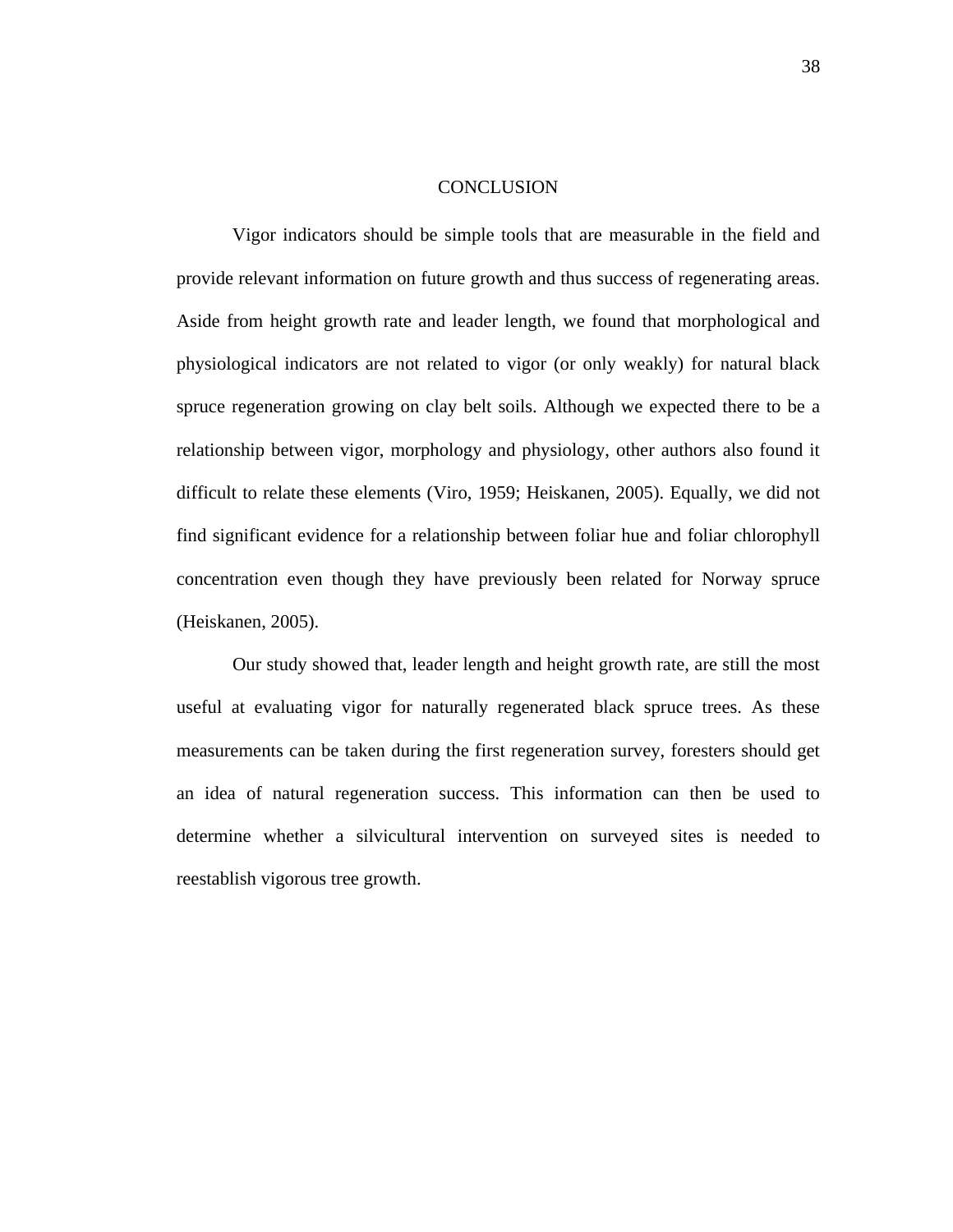# **CONCLUSION**

Vigor indicators should be simple tools that are measurable in the field and provide relevant information on future growth and thus success of regenerating areas. Aside from height growth rate and leader length, we found that morphological and physiological indicators are not related to vigor (or only weakly) for natural black spruce regeneration growing on clay belt soils. Although we expected there to be a relationship between vigor, morphology and physiology, other authors also found it difficult to relate these elements (Viro, 1959; Heiskanen, 2005). Equally, we did not find significant evidence for a relationship between foliar hue and foliar chlorophyll concentration even though they have previously been related for Norway spruce (Heiskanen, 2005).

Our study showed that, leader length and height growth rate, are still the most useful at evaluating vigor for naturally regenerated black spruce trees. As these measurements can be taken during the first regeneration survey, foresters should get an idea of natural regeneration success. This information can then be used to determine whether a silvicultural intervention on surveyed sites is needed to reestablish vigorous tree growth.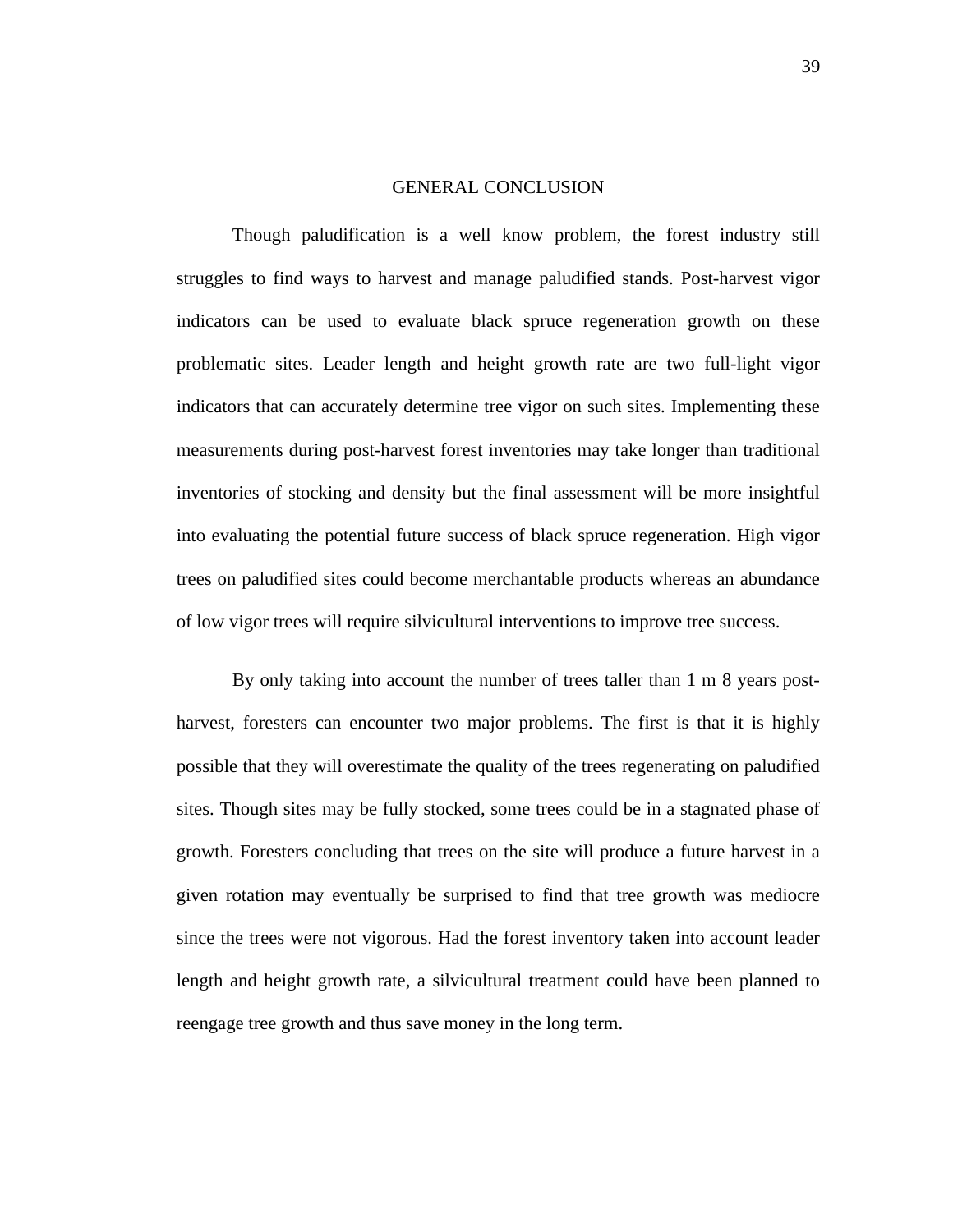#### GENERAL CONCLUSION

Though paludification is a well know problem, the forest industry still struggles to find ways to harvest and manage paludified stands. Post-harvest vigor indicators can be used to evaluate black spruce regeneration growth on these problematic sites. Leader length and height growth rate are two full-light vigor indicators that can accurately determine tree vigor on such sites. Implementing these measurements during post-harvest forest inventories may take longer than traditional inventories of stocking and density but the final assessment will be more insightful into evaluating the potential future success of black spruce regeneration. High vigor trees on paludified sites could become merchantable products whereas an abundance of low vigor trees will require silvicultural interventions to improve tree success.

By only taking into account the number of trees taller than 1 m 8 years postharvest, foresters can encounter two major problems. The first is that it is highly possible that they will overestimate the quality of the trees regenerating on paludified sites. Though sites may be fully stocked, some trees could be in a stagnated phase of growth. Foresters concluding that trees on the site will produce a future harvest in a given rotation may eventually be surprised to find that tree growth was mediocre since the trees were not vigorous. Had the forest inventory taken into account leader length and height growth rate, a silvicultural treatment could have been planned to reengage tree growth and thus save money in the long term.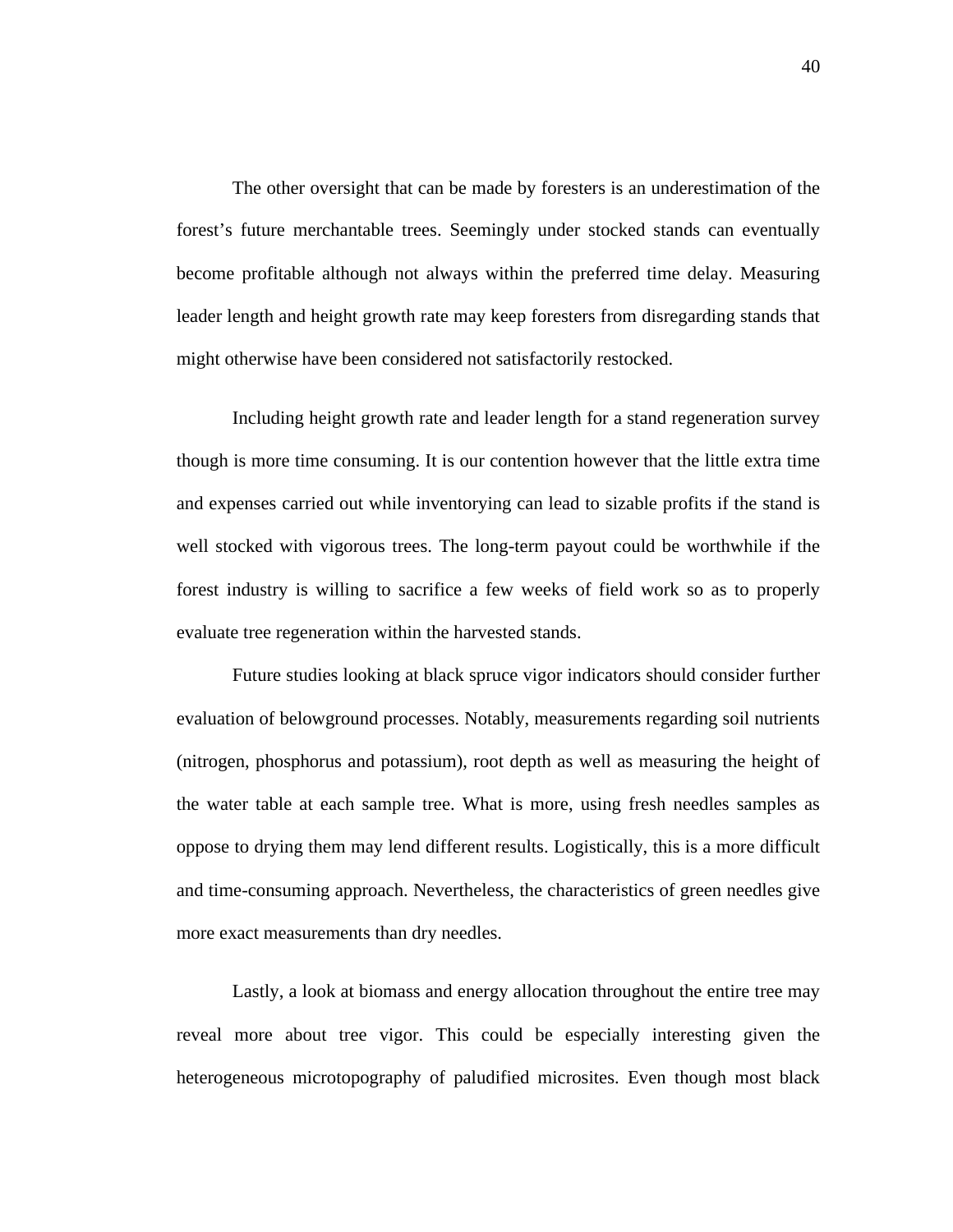The other oversight that can be made by foresters is an underestimation of the forest's future merchantable trees. Seemingly under stocked stands can eventually become profitable although not always within the preferred time delay. Measuring leader length and height growth rate may keep foresters from disregarding stands that might otherwise have been considered not satisfactorily restocked.

Including height growth rate and leader length for a stand regeneration survey though is more time consuming. It is our contention however that the little extra time and expenses carried out while inventorying can lead to sizable profits if the stand is well stocked with vigorous trees. The long-term payout could be worthwhile if the forest industry is willing to sacrifice a few weeks of field work so as to properly evaluate tree regeneration within the harvested stands.

Future studies looking at black spruce vigor indicators should consider further evaluation of belowground processes. Notably, measurements regarding soil nutrients (nitrogen, phosphorus and potassium), root depth as well as measuring the height of the water table at each sample tree. What is more, using fresh needles samples as oppose to drying them may lend different results. Logistically, this is a more difficult and time-consuming approach. Nevertheless, the characteristics of green needles give more exact measurements than dry needles.

Lastly, a look at biomass and energy allocation throughout the entire tree may reveal more about tree vigor. This could be especially interesting given the heterogeneous microtopography of paludified microsites. Even though most black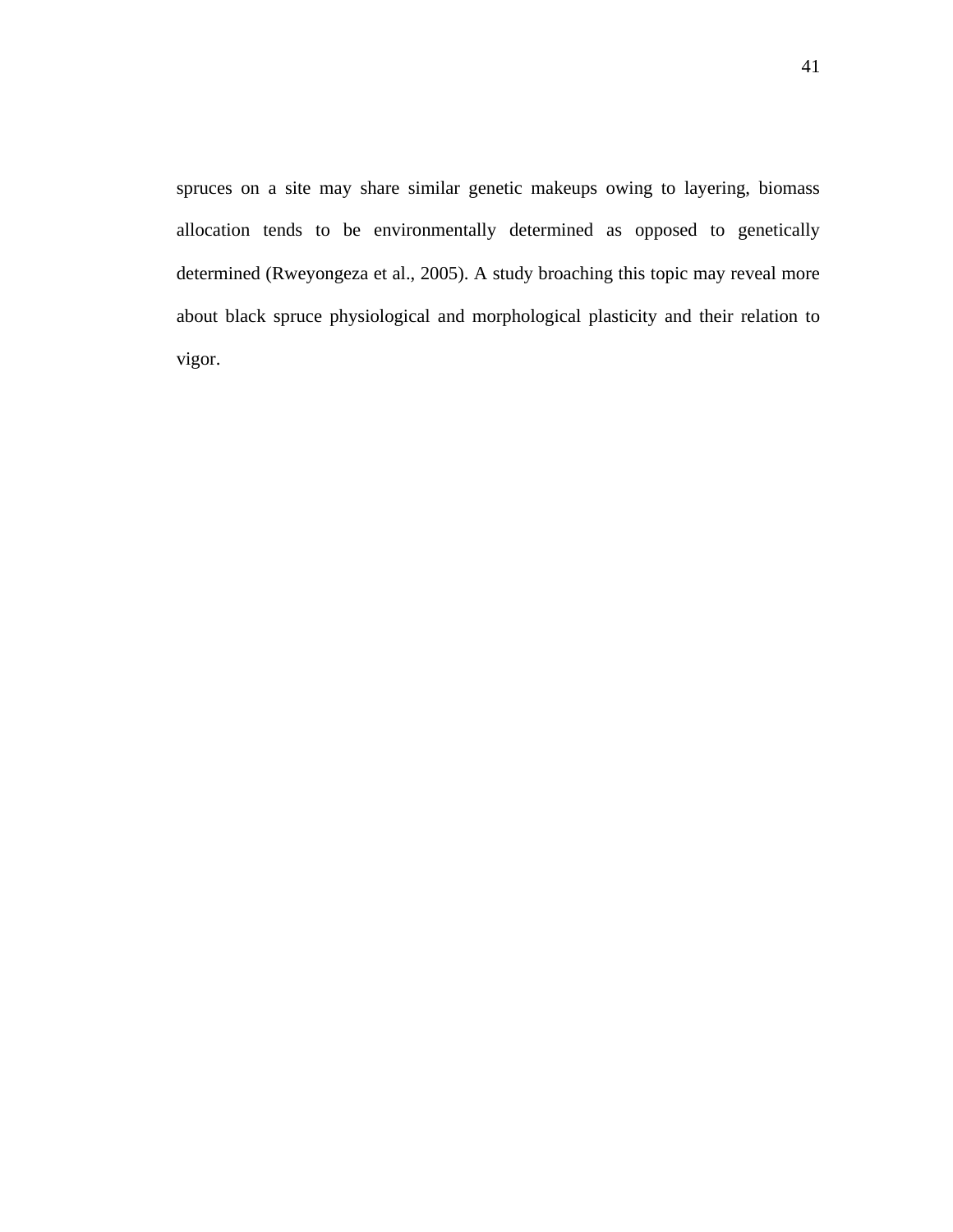spruces on a site may share similar genetic makeups owing to layering, biomass allocation tends to be environmentally determined as opposed to genetically determined (Rweyongeza et al., 2005). A study broaching this topic may reveal more about black spruce physiological and morphological plasticity and their relation to vigor.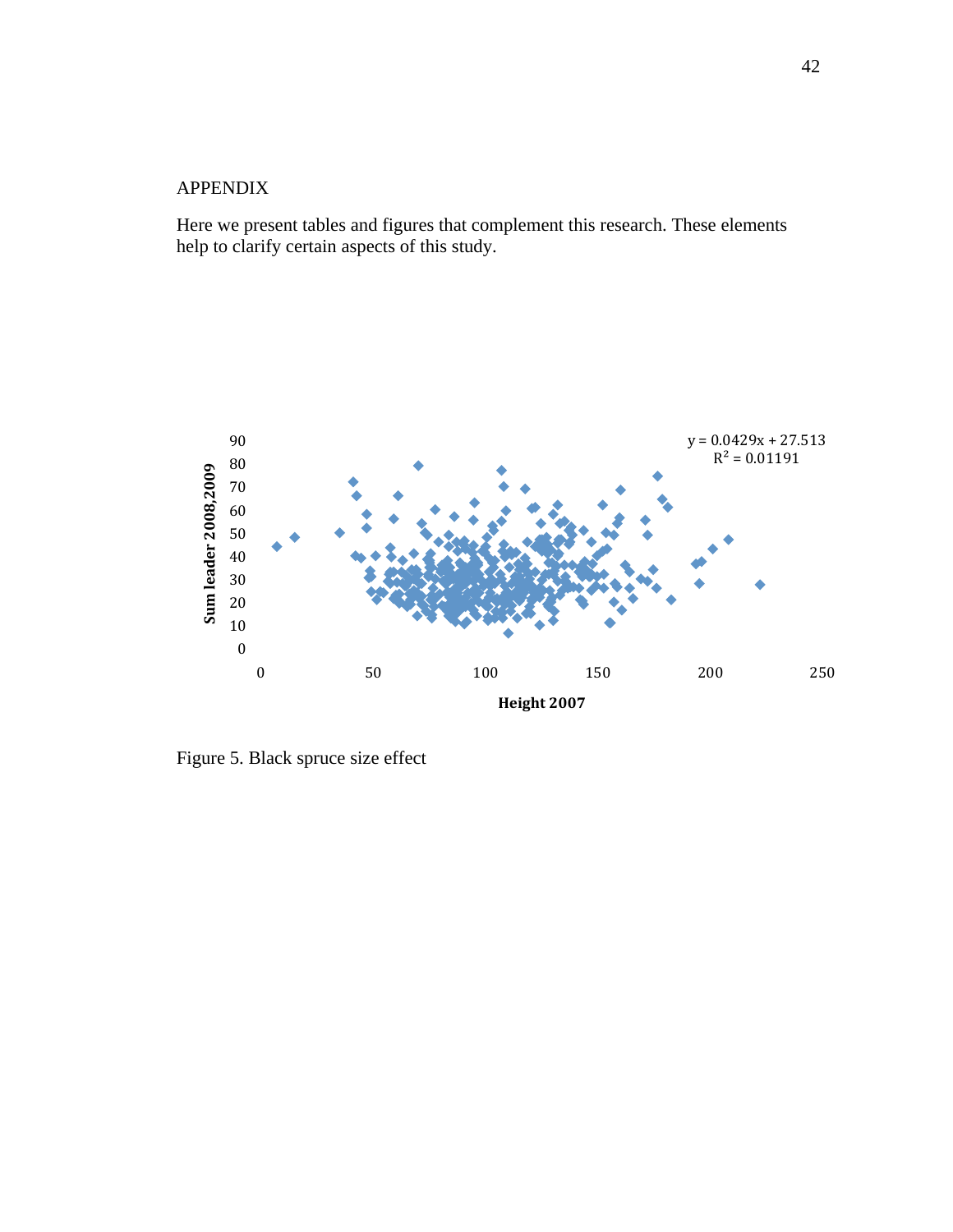# APPENDIX

Here we present tables and figures that complement this research. These elements help to clarify certain aspects of this study.



Figure 5. Black spruce size effect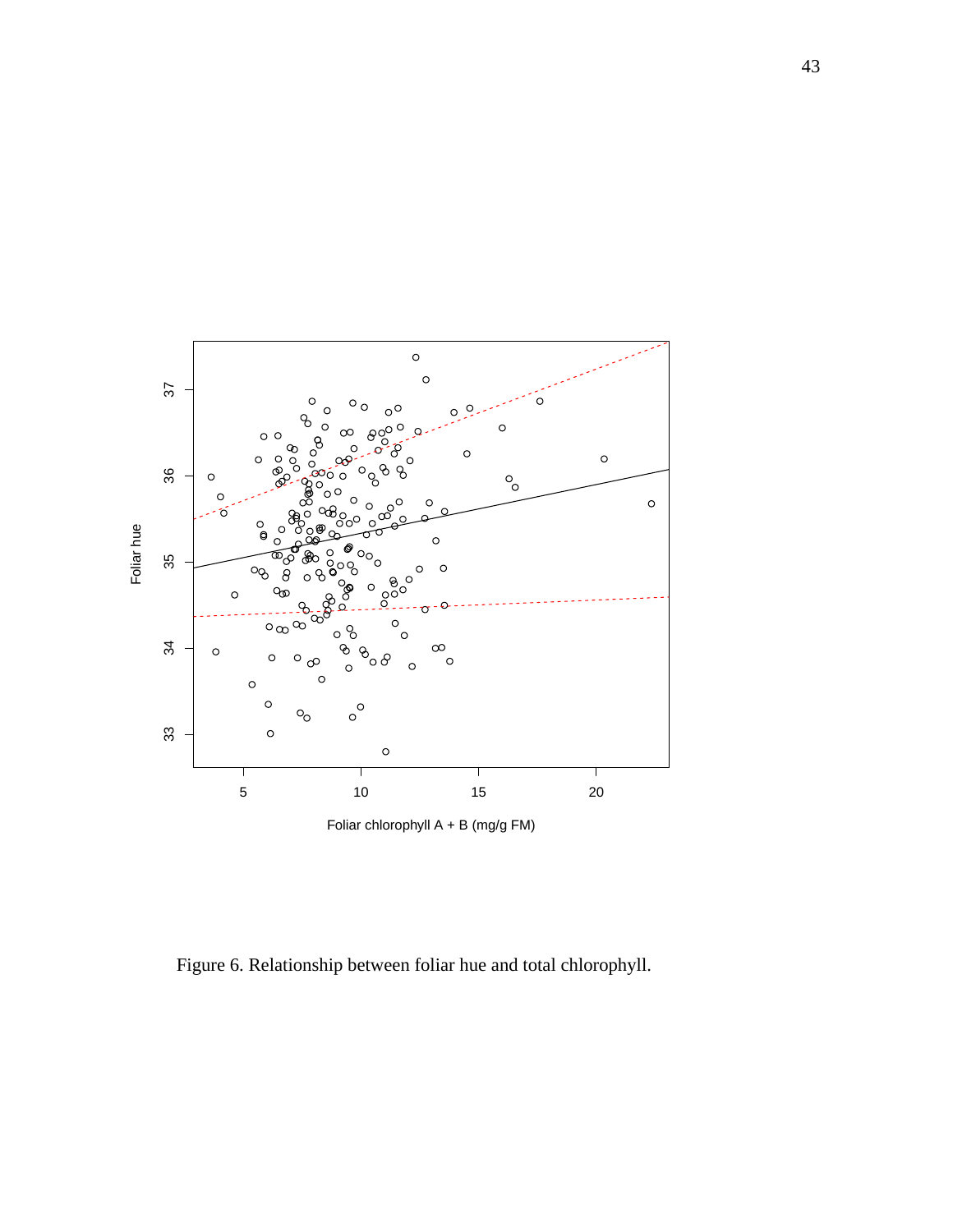

Figure 6. Relationship between foliar hue and total chlorophyll.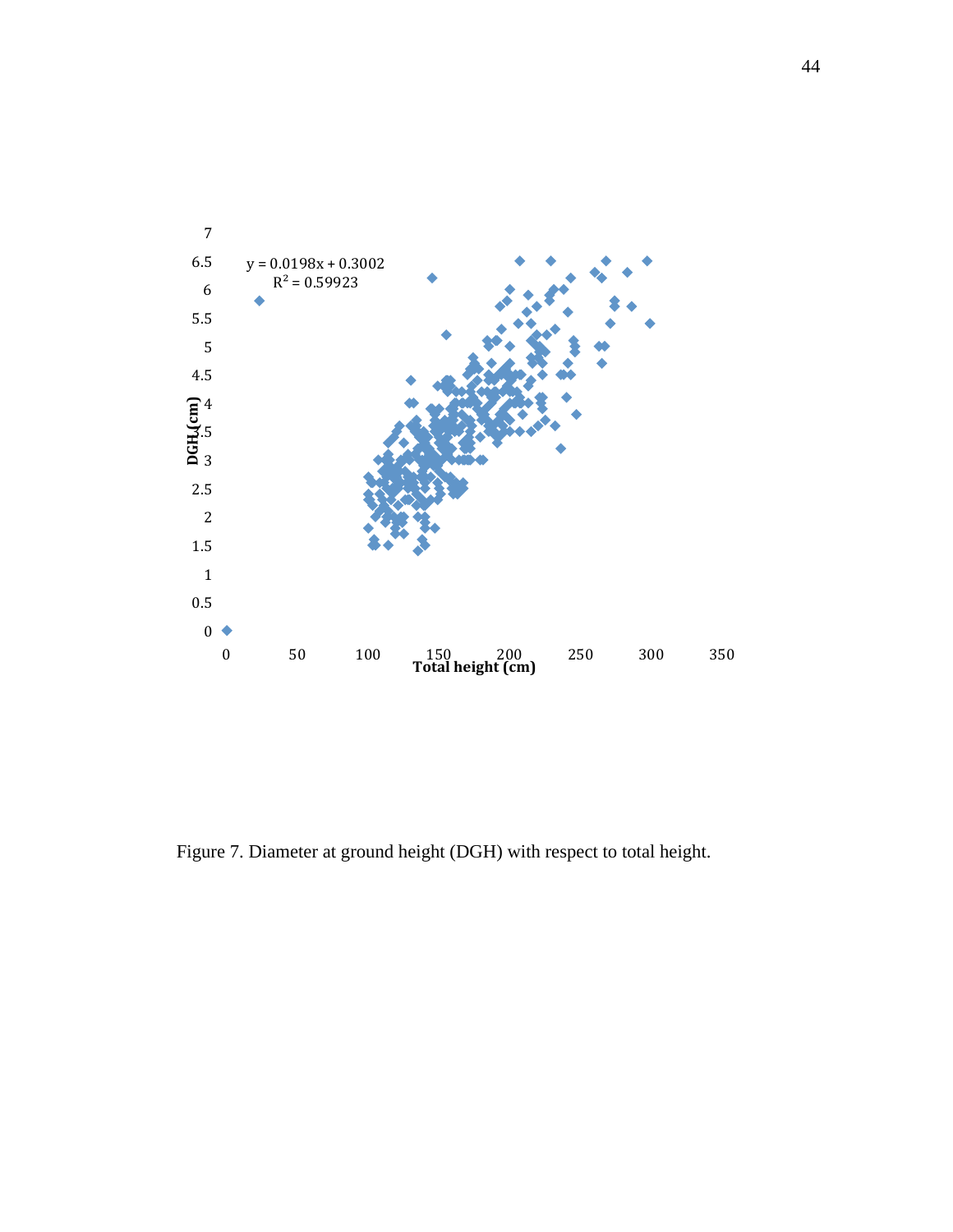

Figure 7. Diameter at ground height (DGH) with respect to total height.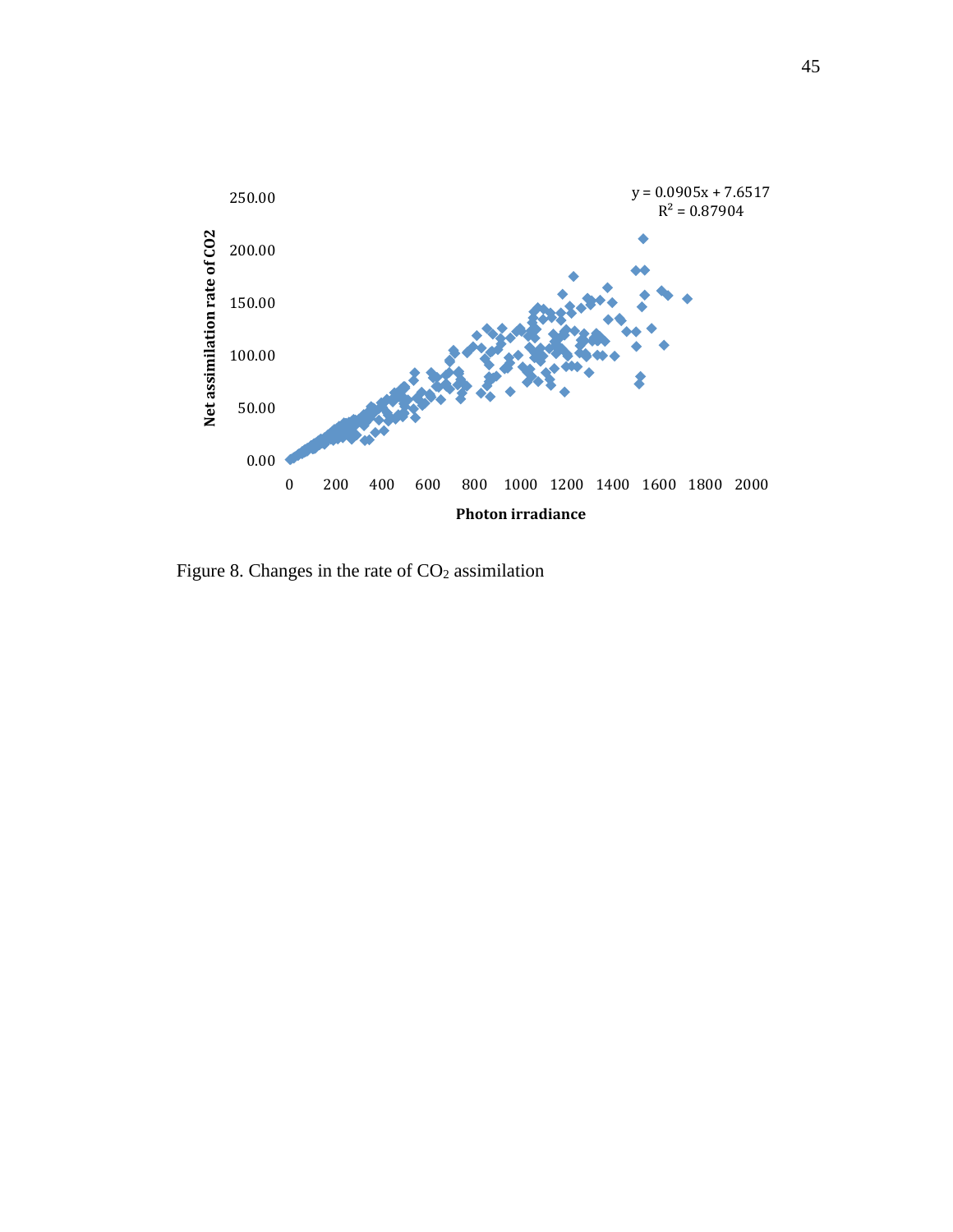

Figure 8. Changes in the rate of  $CO<sub>2</sub>$  assimilation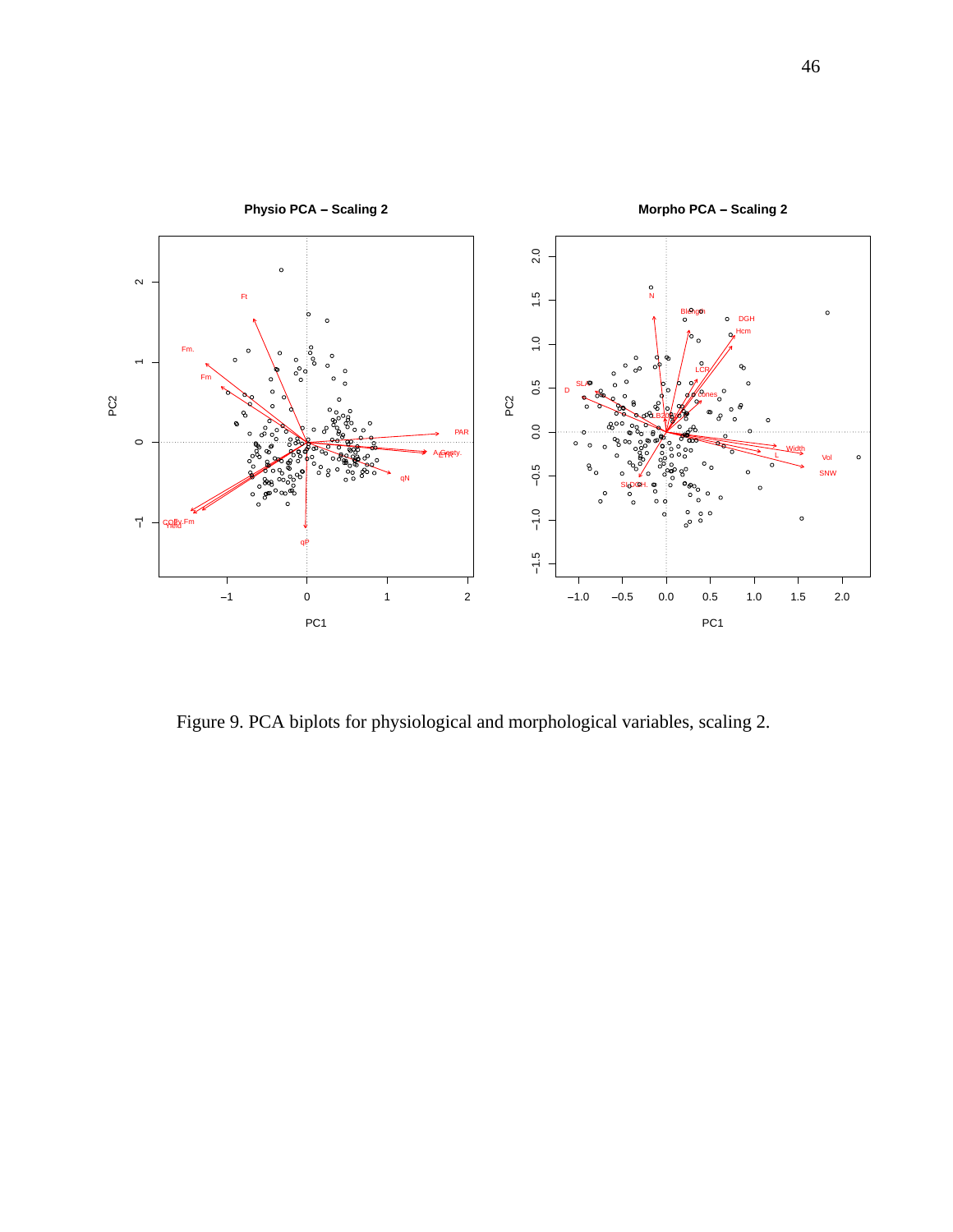

Figure 9. PCA biplots for physiological and morphological variables, scaling 2.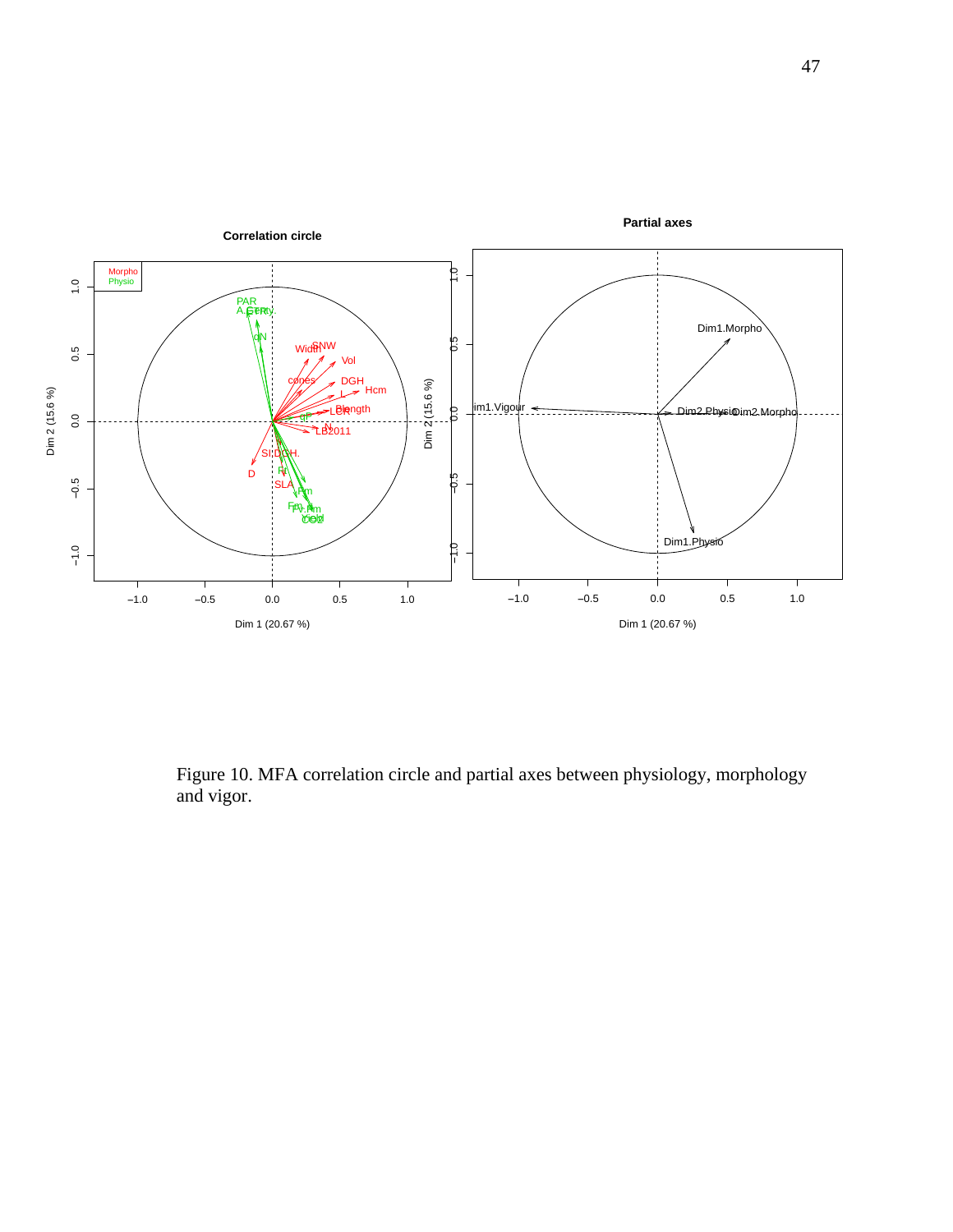

Figure 10. MFA correlation circle and partial axes between physiology, morphology and vigor.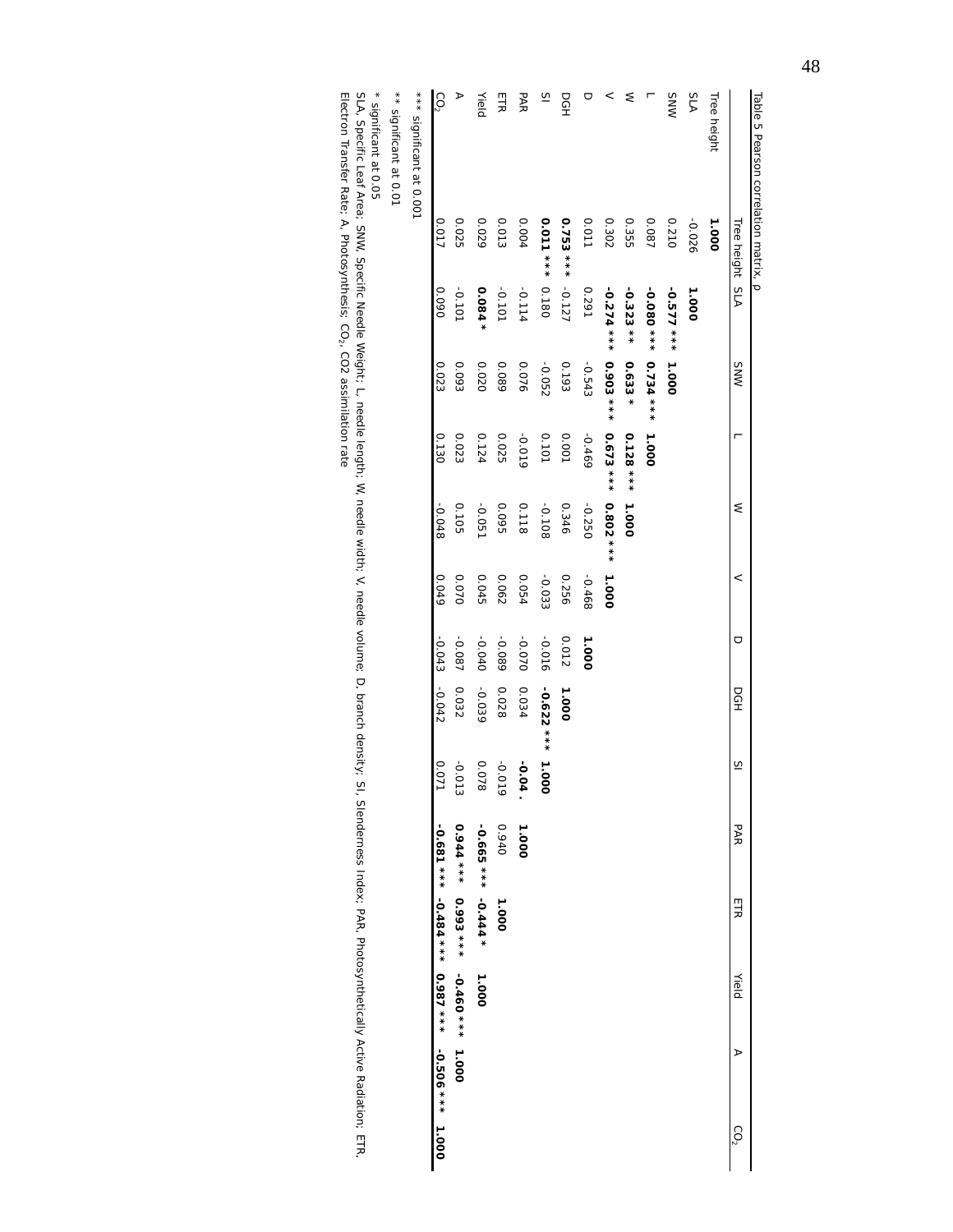|                                               | Tree height SLA      |                    | <b>MNS</b> |            | ₹            | $\,<$        | ヮ               | DGH                | $\overline{6}$ | PAR           | ETR.                     | Yield                                 | ⊅                                                                                                                                                                                                                                                                                                                                                      | CO <sub>2</sub> |
|-----------------------------------------------|----------------------|--------------------|------------|------------|--------------|--------------|-----------------|--------------------|----------------|---------------|--------------------------|---------------------------------------|--------------------------------------------------------------------------------------------------------------------------------------------------------------------------------------------------------------------------------------------------------------------------------------------------------------------------------------------------------|-----------------|
| Tree height                                   | 1.000                |                    |            |            |              |              |                 |                    |                |               |                          |                                       |                                                                                                                                                                                                                                                                                                                                                        |                 |
| <b>ALS</b>                                    | $-0.026$             | 1.000              |            |            |              |              |                 |                    |                |               |                          |                                       |                                                                                                                                                                                                                                                                                                                                                        |                 |
| <b>MNS</b>                                    | 0.210                | $-0.577$ *** 1.000 |            |            |              |              |                 |                    |                |               |                          |                                       |                                                                                                                                                                                                                                                                                                                                                        |                 |
| ┍                                             | 0.087                | $-0.080**$         | $0.734***$ | 1.000      |              |              |                 |                    |                |               |                          |                                       |                                                                                                                                                                                                                                                                                                                                                        |                 |
| ₹                                             | 0.355                | $-0.323**$         | 0.633<br>× | $0.128***$ | 1.000        |              |                 |                    |                |               |                          |                                       |                                                                                                                                                                                                                                                                                                                                                        |                 |
| $\,<$                                         | 0.302                | $-0.274***$        | $0.903***$ | $0.673***$ | $0.802$ ***  | 1.000        |                 |                    |                |               |                          |                                       |                                                                                                                                                                                                                                                                                                                                                        |                 |
|                                               | <b>0.011</b>         | 0.291              | $-0.543$   | -0.469     | $-0.250$     | -0.468       | $000^{\circ}$ L |                    |                |               |                          |                                       |                                                                                                                                                                                                                                                                                                                                                        |                 |
| DGH                                           | $0.753$ *** $-0.127$ |                    | 0.193      | 0.001      | 0.346        | 0.256        | 0.012           | $000^{\circ}$      |                |               |                          |                                       |                                                                                                                                                                                                                                                                                                                                                        |                 |
| $\overline{6}$                                | $0.011$ ***          | 0.180              | $-0.052$   | 0.101      | -0.108       | -0.033       | -0.016          | $-0.622$ *** 1.000 |                |               |                          |                                       |                                                                                                                                                                                                                                                                                                                                                        |                 |
| <b>PAR</b>                                    | 0.004                | $-0.114$           | 0.076      | -0.019     | 0.118        | <b>0.054</b> | -0.070          | 0.034              | $-0.04$ .      | $000^{\circ}$ |                          |                                       |                                                                                                                                                                                                                                                                                                                                                        |                 |
| ETR                                           | 0.013                | $-0.101$           | 0.089      | 0.025      | <b>0.095</b> | 0.062        | -0.089          | 0.028              | -0.019         | 0.940         | 1.000                    |                                       |                                                                                                                                                                                                                                                                                                                                                        |                 |
| Yield                                         | 0.029                | 0.084              | 0.020      | 0.124      | -0.051       | 0.045        | $-0.040$        | -0.039             | 870.0          |               | $-0.665** -0.444*$ 1.000 |                                       |                                                                                                                                                                                                                                                                                                                                                        |                 |
| $\triangleright$                              | 0.025                | $-0.101$           | 0.093      | 0.023      | 0.105        | 0.070        | $-0.087$        | 0.032              | $-0.01$<br>₿   |               |                          | $0.944***$ 0.993 *** -0.460 *** 1.000 |                                                                                                                                                                                                                                                                                                                                                        |                 |
| CO <sub>2</sub>                               | 0.017                | 0600               | 0.023      | 0.130      | -0.048       | 0.049        | $-0.043$        | $-0.042$           | 170.0          |               |                          |                                       | $-0.484 \times 10.484 \times 10.484 \times 10.484 \times 10.484 \times 10.484 \times 10.484 \times 10.484 \times 10.484 \times 10.484 \times 10.484 \times 10.484 \times 10.484 \times 10.484 \times 10.484 \times 10.484 \times 10.484 \times 10.484 \times 10.484 \times 10.484 \times 10.484 \times 10.484 \times 10.484 \times 10.484 \times 10.4$ |                 |
| *** significant at 0.001                      |                      |                    |            |            |              |              |                 |                    |                |               |                          |                                       |                                                                                                                                                                                                                                                                                                                                                        |                 |
| :<br>:<br>:<br>:<br> <br> <br> <br> <br> <br> |                      |                    |            |            |              |              |                 |                    |                |               |                          |                                       |                                                                                                                                                                                                                                                                                                                                                        |                 |

Table 5 Pearson correlation matrix, Table 5 Pearson correlation matrix, p

\*\* significant at 0.01 \* significant at 0.05 \*\* significant at 0.01

\* significant at 0.05<br>SLA, Specific Leaf Area; SNW, Specific Needle Weight; L, needle Iength; W, needle Width; V, needle volume; D, branch density; SI, Slenderness Index; PAR, Photosynthetically Active Radiation; ETR,<br>Elec Electron Transfer Rate; A, Photosynthesis; CO SLA, Specific Leaf Area; SNW, Specific Needle Weight; L, needle length; W, needle width; V, needle volume; D, branch density; SI, Slenderness Index; PAR, Photosynthetically Active Radiation; ETR, 2, CO2 assimilation rate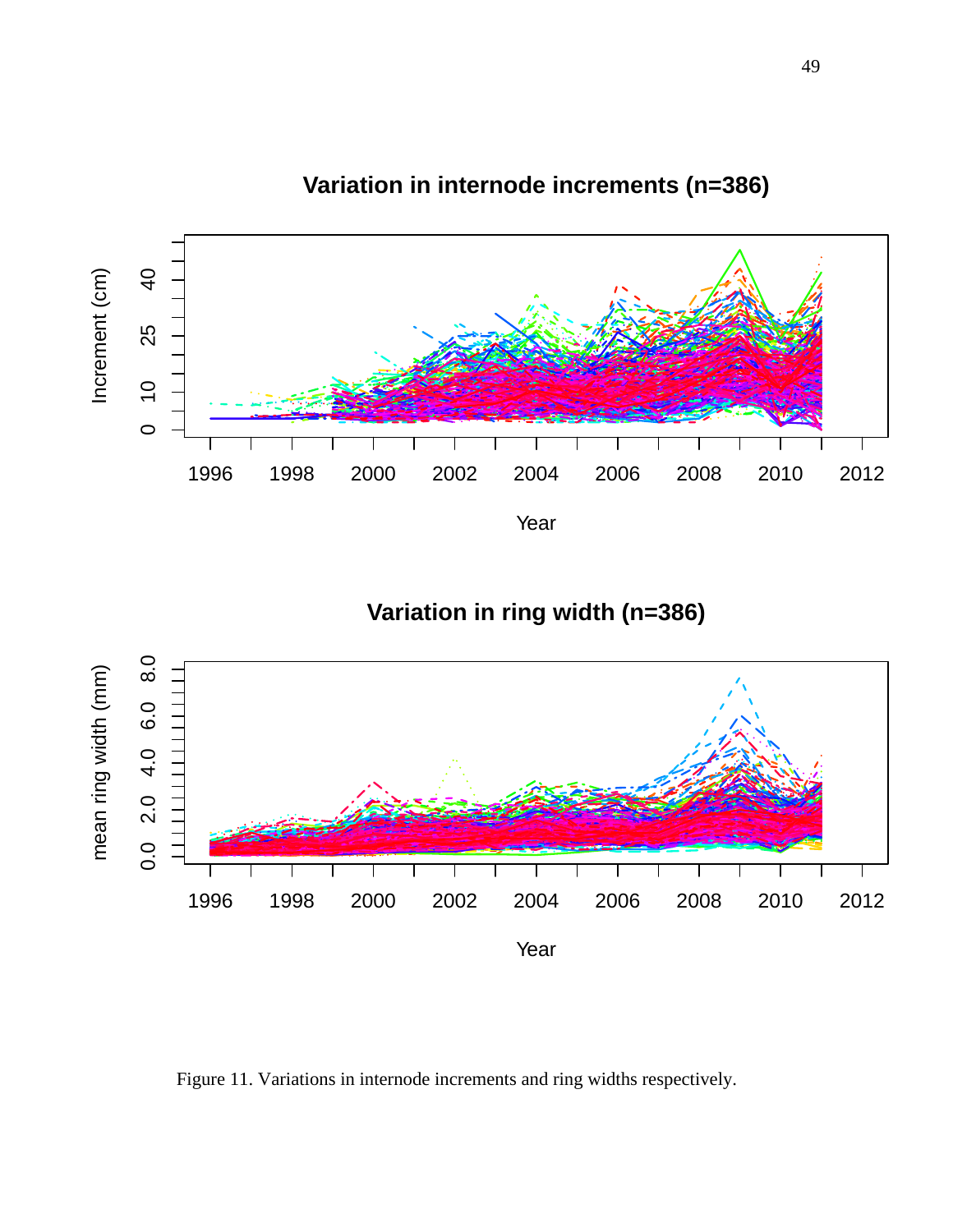

**Variation in internode increments (n=386)**

**Variation in ring width (n=386)**



Figure 11. Variations in internode increments and ring widths respectively.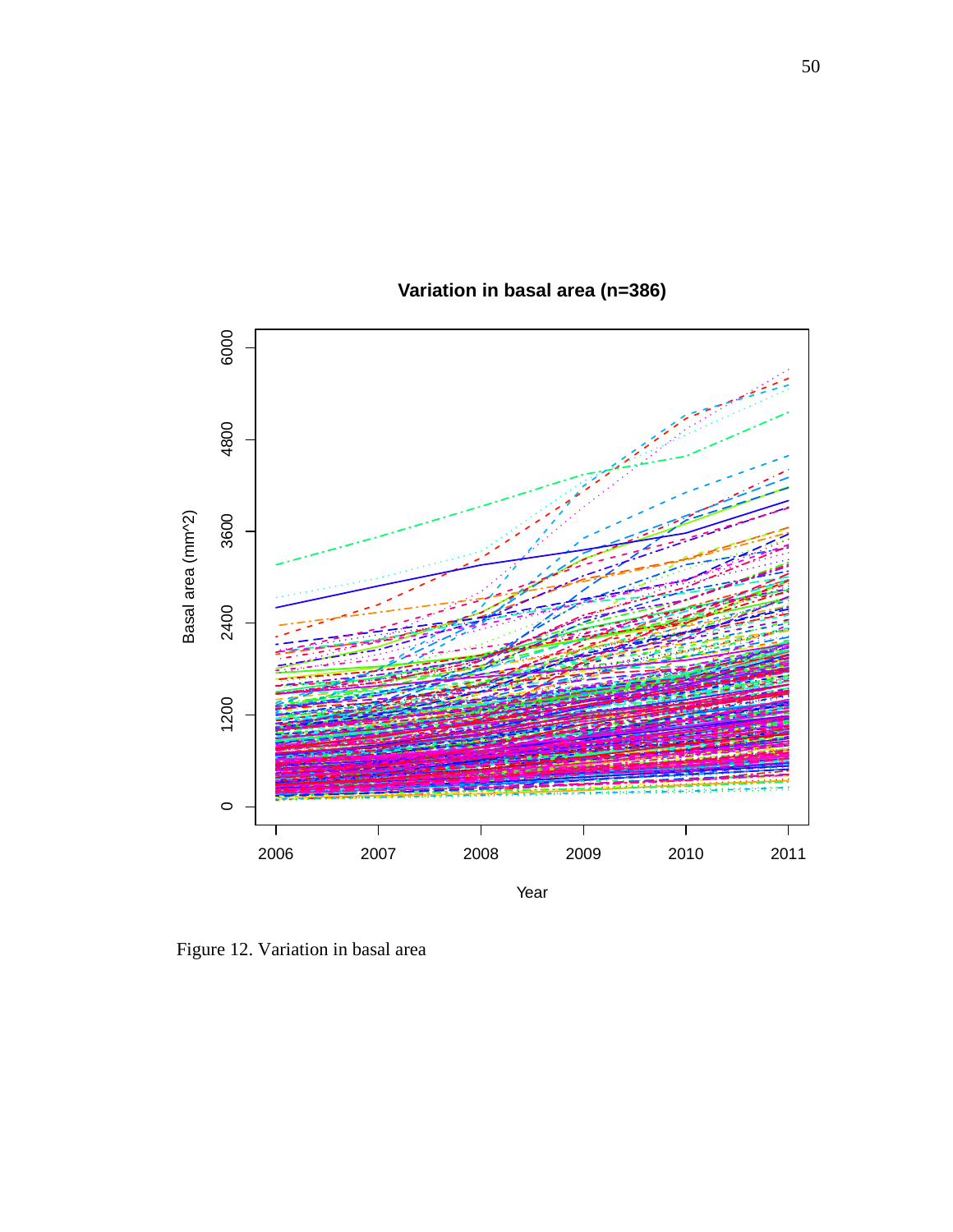

**Variation in basal area (n=386)**

Figure 12. Variation in basal area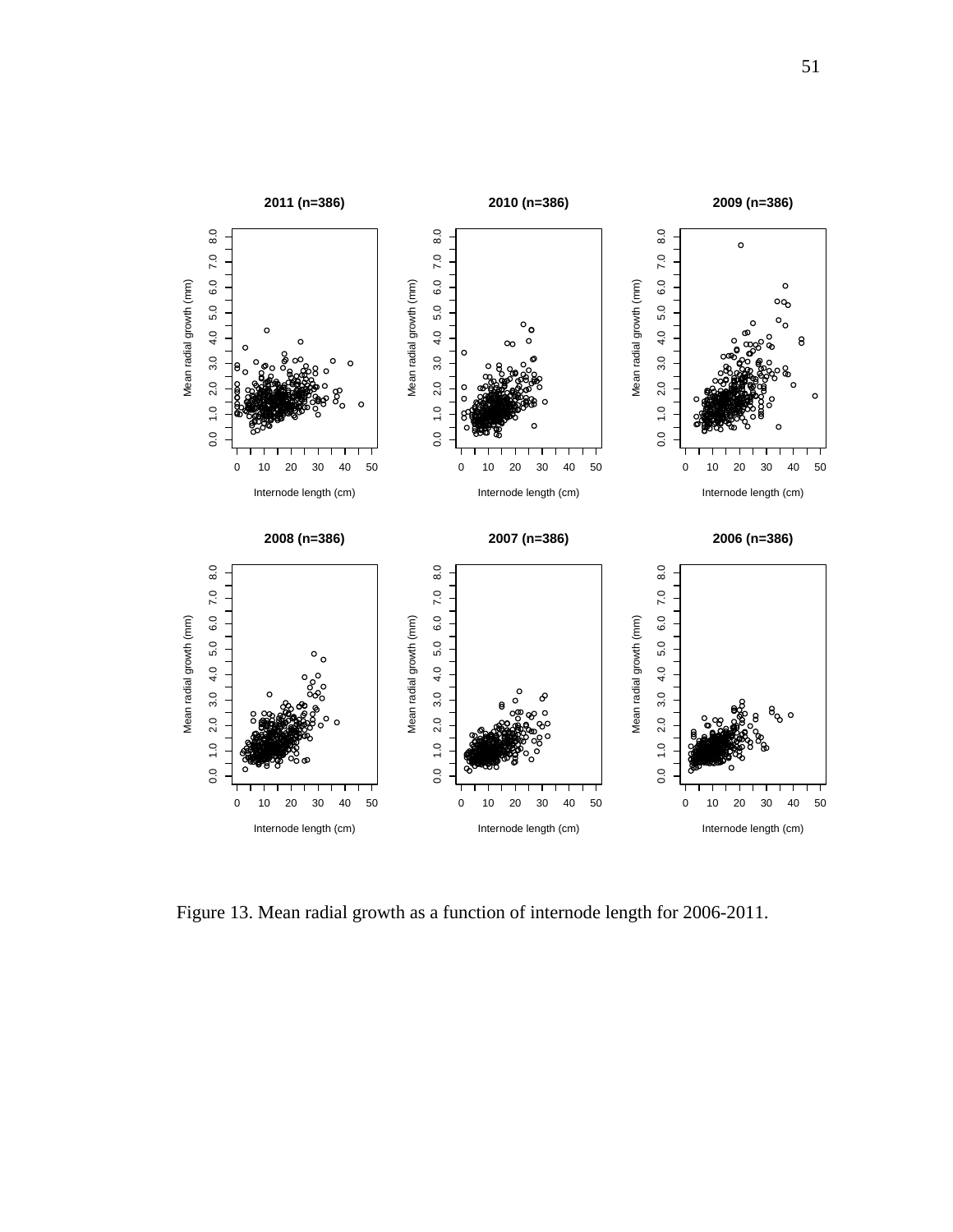

Figure 13. Mean radial growth as a function of internode length for 2006-2011.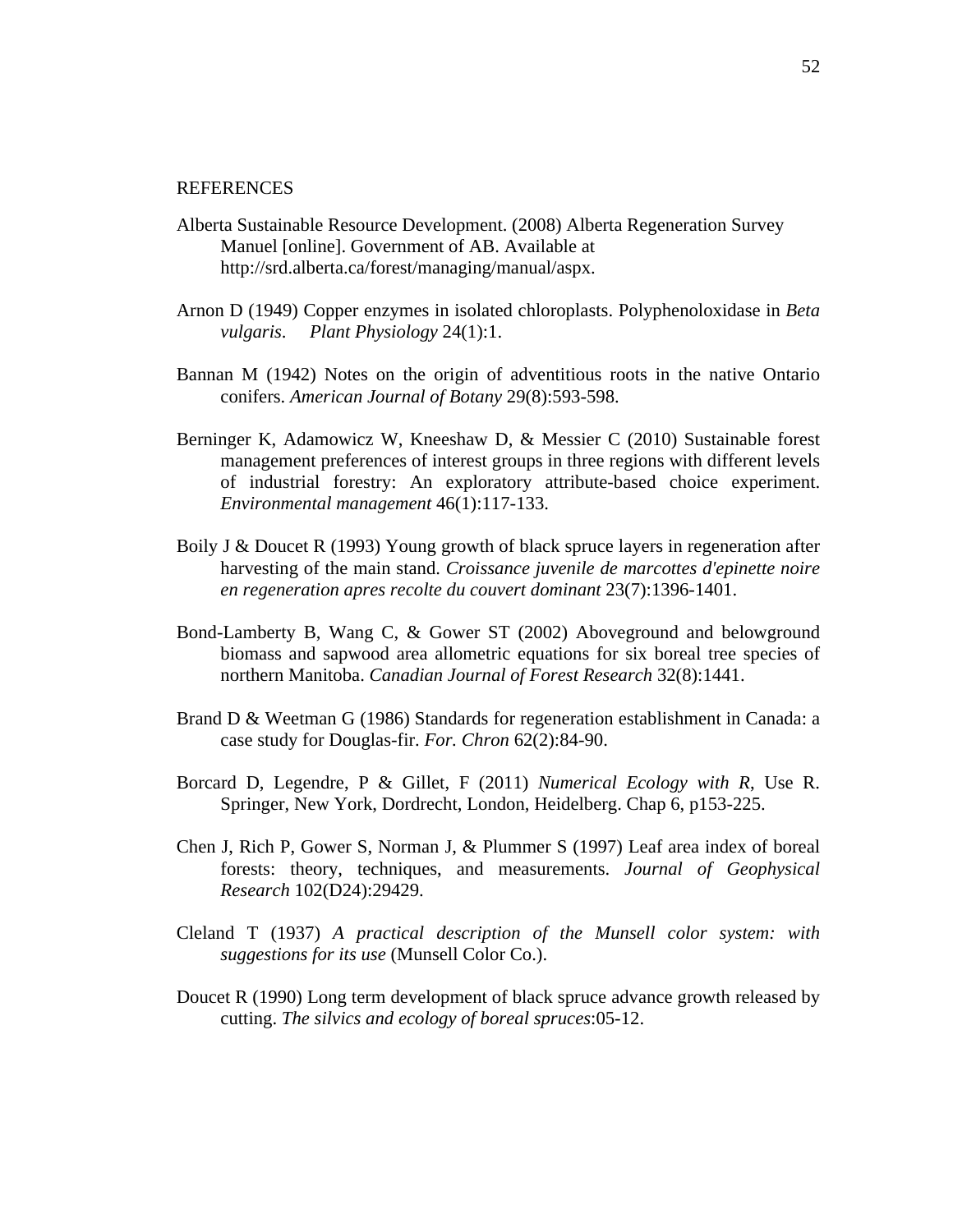# **REFERENCES**

- Alberta Sustainable Resource Development. (2008) Alberta Regeneration Survey Manuel [online]. Government of AB. Available at http://srd.alberta.ca/forest/managing/manual/aspx.
- Arnon D (1949) Copper enzymes in isolated chloroplasts. Polyphenoloxidase in *Beta vulgaris*. *Plant Physiology* 24(1):1.
- Bannan M (1942) Notes on the origin of adventitious roots in the native Ontario conifers. *American Journal of Botany* 29(8):593-598.
- Berninger K, Adamowicz W, Kneeshaw D, & Messier C (2010) Sustainable forest management preferences of interest groups in three regions with different levels of industrial forestry: An exploratory attribute-based choice experiment. *Environmental management* 46(1):117-133.
- Boily J & Doucet R (1993) Young growth of black spruce layers in regeneration after harvesting of the main stand. *Croissance juvenile de marcottes d'epinette noire en regeneration apres recolte du couvert dominant* 23(7):1396-1401.
- Bond-Lamberty B, Wang C, & Gower ST (2002) Aboveground and belowground biomass and sapwood area allometric equations for six boreal tree species of northern Manitoba. *Canadian Journal of Forest Research* 32(8):1441.
- Brand D & Weetman G (1986) Standards for regeneration establishment in Canada: a case study for Douglas-fir. *For. Chron* 62(2):84-90.
- Borcard D, Legendre, P & Gillet, F (2011) *Numerical Ecology with R*, Use R. Springer, New York, Dordrecht, London, Heidelberg. Chap 6, p153-225.
- Chen J, Rich P, Gower S, Norman J, & Plummer S (1997) Leaf area index of boreal forests: theory, techniques, and measurements. *Journal of Geophysical Research* 102(D24):29429.
- Cleland T (1937) *A practical description of the Munsell color system: with suggestions for its use* (Munsell Color Co.).
- Doucet R (1990) Long term development of black spruce advance growth released by cutting. *The silvics and ecology of boreal spruces*:05-12.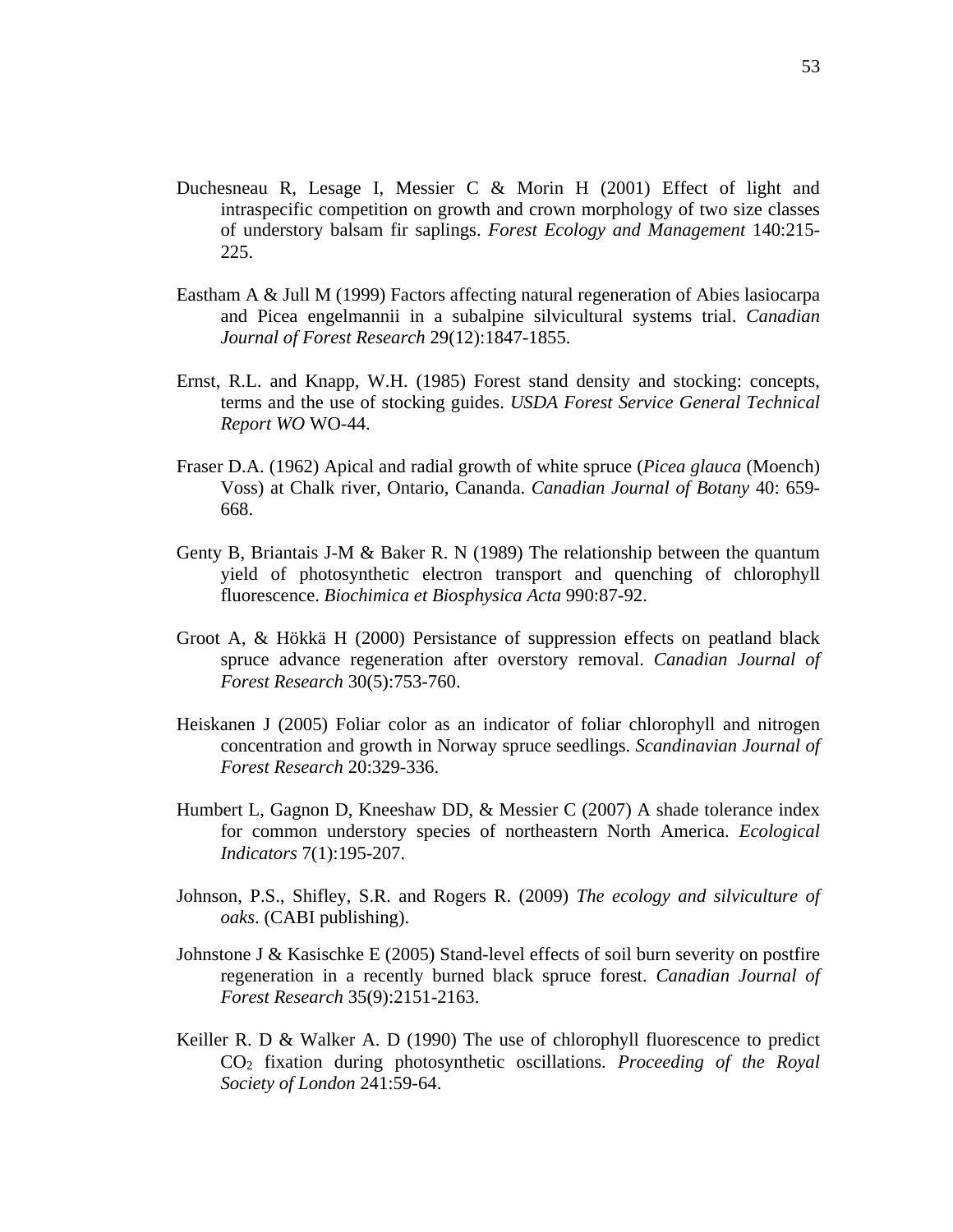- Duchesneau R, Lesage I, Messier C & Morin H (2001) Effect of light and intraspecific competition on growth and crown morphology of two size classes of understory balsam fir saplings. *Forest Ecology and Management* 140:215- 225.
- Eastham A & Jull M (1999) Factors affecting natural regeneration of Abies lasiocarpa and Picea engelmannii in a subalpine silvicultural systems trial. *Canadian Journal of Forest Research* 29(12):1847-1855.
- Ernst, R.L. and Knapp, W.H. (1985) Forest stand density and stocking: concepts, terms and the use of stocking guides. *USDA Forest Service General Technical Report WO* WO-44.
- Fraser D.A. (1962) Apical and radial growth of white spruce (*Picea glauca* (Moench) Voss) at Chalk river, Ontario, Cananda. *Canadian Journal of Botany* 40: 659- 668.
- Genty B, Briantais J-M & Baker R. N (1989) The relationship between the quantum yield of photosynthetic electron transport and quenching of chlorophyll fluorescence. *Biochimica et Biosphysica Acta* 990:87-92.
- Groot A, & Hökkä H (2000) Persistance of suppression effects on peatland black spruce advance regeneration after overstory removal. *Canadian Journal of Forest Research* 30(5):753-760.
- Heiskanen J (2005) Foliar color as an indicator of foliar chlorophyll and nitrogen concentration and growth in Norway spruce seedlings. *Scandinavian Journal of Forest Research* 20:329-336.
- Humbert L, Gagnon D, Kneeshaw DD, & Messier C (2007) A shade tolerance index for common understory species of northeastern North America. *Ecological Indicators* 7(1):195-207.
- Johnson, P.S., Shifley, S.R. and Rogers R. (2009) *The ecology and silviculture of oaks*. (CABI publishing).
- Johnstone J & Kasischke E (2005) Stand-level effects of soil burn severity on postfire regeneration in a recently burned black spruce forest. *Canadian Journal of Forest Research* 35(9):2151-2163.
- Keiller R. D & Walker A. D (1990) The use of chlorophyll fluorescence to predict CO2 fixation during photosynthetic oscillations. *Proceeding of the Royal Society of London* 241:59-64.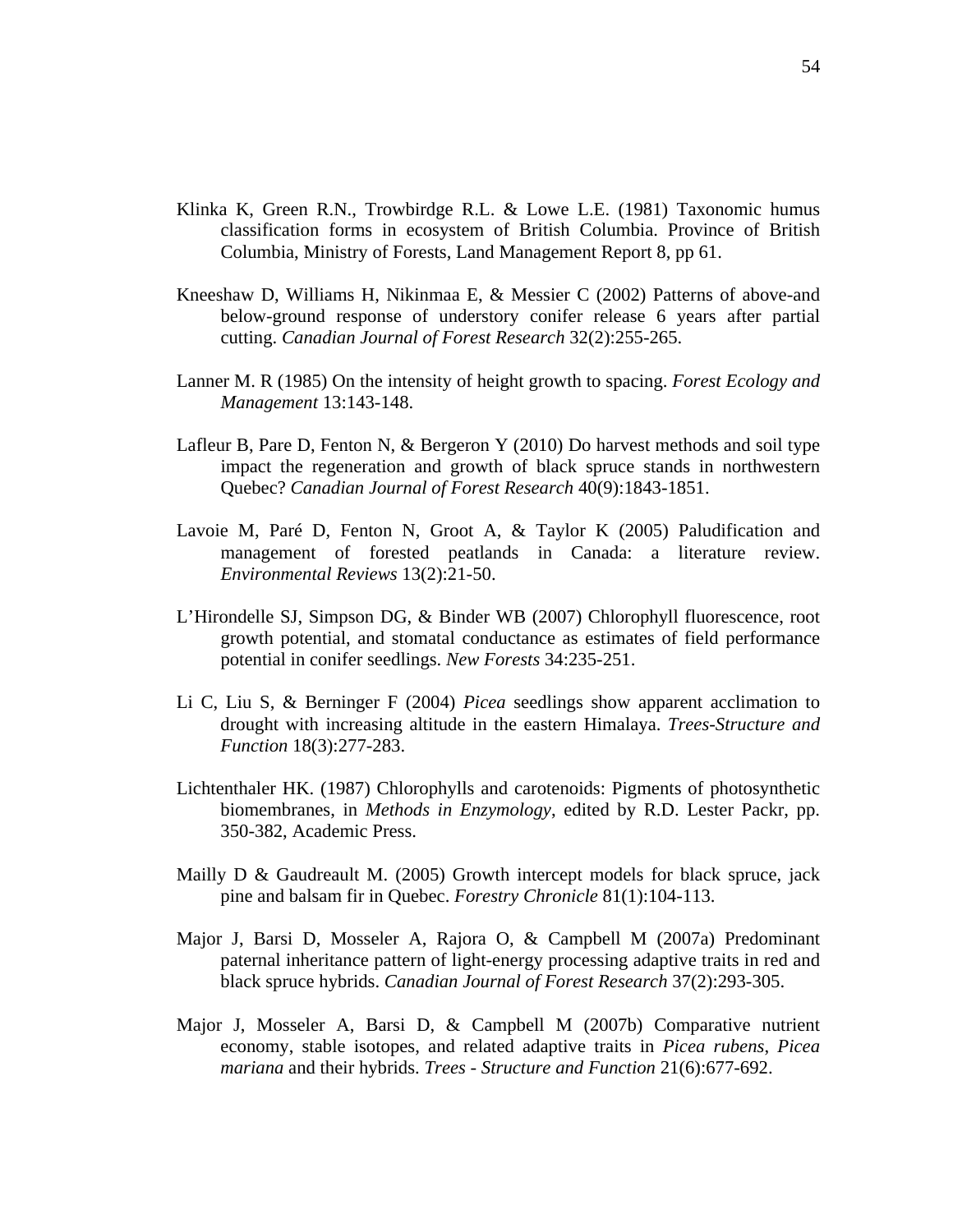- Klinka K, Green R.N., Trowbirdge R.L. & Lowe L.E. (1981) Taxonomic humus classification forms in ecosystem of British Columbia. Province of British Columbia, Ministry of Forests, Land Management Report 8, pp 61.
- Kneeshaw D, Williams H, Nikinmaa E, & Messier C (2002) Patterns of above-and below-ground response of understory conifer release 6 years after partial cutting. *Canadian Journal of Forest Research* 32(2):255-265.
- Lanner M. R (1985) On the intensity of height growth to spacing. *Forest Ecology and Management* 13:143-148.
- Lafleur B, Pare D, Fenton N, & Bergeron Y (2010) Do harvest methods and soil type impact the regeneration and growth of black spruce stands in northwestern Quebec? *Canadian Journal of Forest Research* 40(9):1843-1851.
- Lavoie M, Paré D, Fenton N, Groot A, & Taylor K (2005) Paludification and management of forested peatlands in Canada: a literature review. *Environmental Reviews* 13(2):21-50.
- L'Hirondelle SJ, Simpson DG, & Binder WB (2007) Chlorophyll fluorescence, root growth potential, and stomatal conductance as estimates of field performance potential in conifer seedlings. *New Forests* 34:235-251.
- Li C, Liu S, & Berninger F (2004) *Picea* seedlings show apparent acclimation to drought with increasing altitude in the eastern Himalaya. *Trees-Structure and Function* 18(3):277-283.
- Lichtenthaler HK. (1987) Chlorophylls and carotenoids: Pigments of photosynthetic biomembranes, in *Methods in Enzymology*, edited by R.D. Lester Packr, pp. 350-382, Academic Press.
- Mailly D & Gaudreault M. (2005) Growth intercept models for black spruce, jack pine and balsam fir in Quebec. *Forestry Chronicle* 81(1):104-113.
- Major J, Barsi D, Mosseler A, Rajora O, & Campbell M (2007a) Predominant paternal inheritance pattern of light-energy processing adaptive traits in red and black spruce hybrids. *Canadian Journal of Forest Research* 37(2):293-305.
- Major J, Mosseler A, Barsi D, & Campbell M (2007b) Comparative nutrient economy, stable isotopes, and related adaptive traits in *Picea rubens*, *Picea mariana* and their hybrids. *Trees - Structure and Function* 21(6):677-692.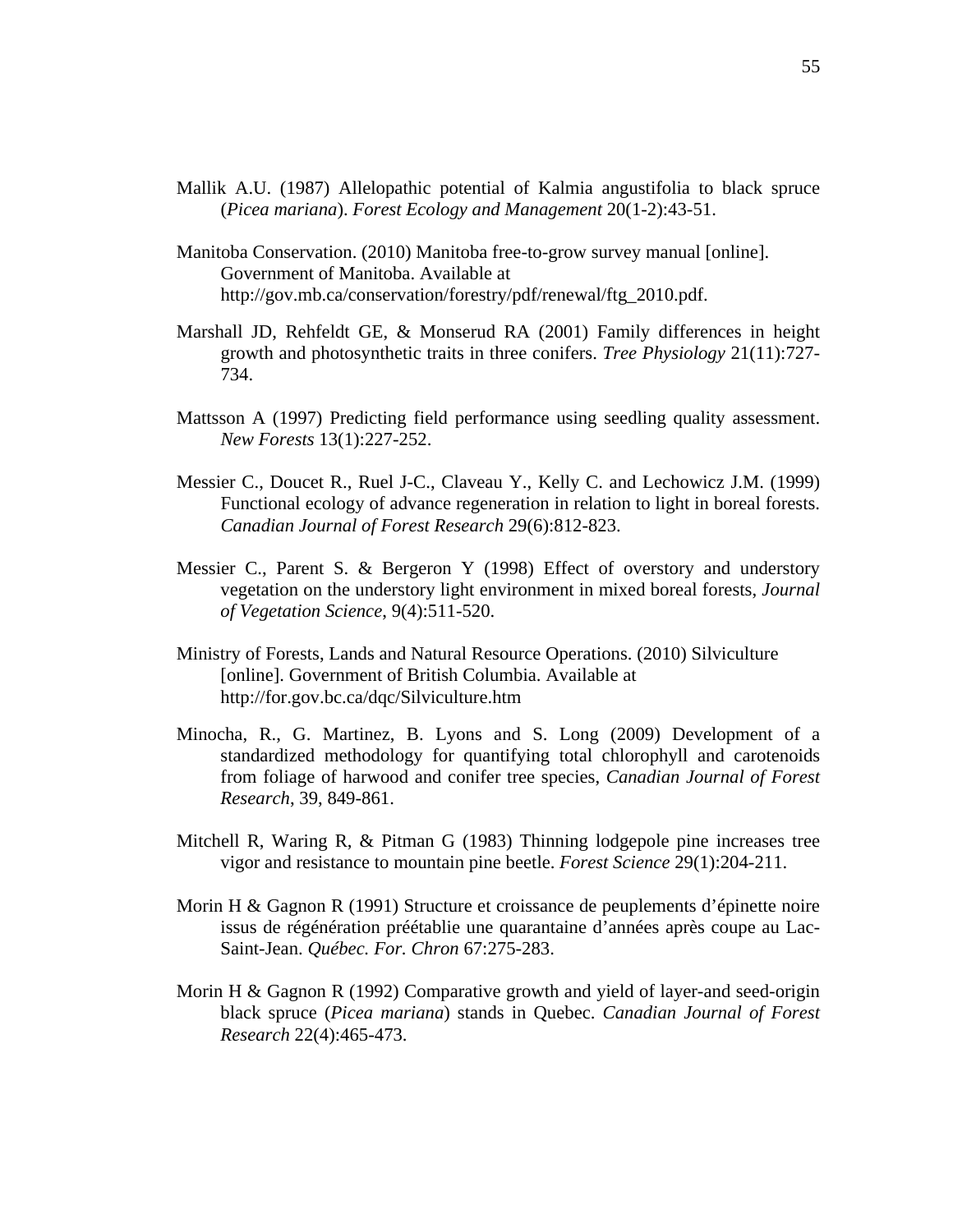- Mallik A.U. (1987) Allelopathic potential of Kalmia angustifolia to black spruce (*Picea mariana*). *Forest Ecology and Management* 20(1-2):43-51.
- Manitoba Conservation. (2010) Manitoba free-to-grow survey manual [online]. Government of Manitoba. Available at http://gov.mb.ca/conservation/forestry/pdf/renewal/ftg\_2010.pdf.
- Marshall JD, Rehfeldt GE, & Monserud RA (2001) Family differences in height growth and photosynthetic traits in three conifers. *Tree Physiology* 21(11):727- 734.
- Mattsson A (1997) Predicting field performance using seedling quality assessment. *New Forests* 13(1):227-252.
- Messier C., Doucet R., Ruel J-C., Claveau Y., Kelly C. and Lechowicz J.M. (1999) Functional ecology of advance regeneration in relation to light in boreal forests. *Canadian Journal of Forest Research* 29(6):812-823.
- Messier C., Parent S. & Bergeron Y (1998) Effect of overstory and understory vegetation on the understory light environment in mixed boreal forests, *Journal of Vegetation Science*, 9(4):511-520.
- Ministry of Forests, Lands and Natural Resource Operations. (2010) Silviculture [online]. Government of British Columbia. Available at http://for.gov.bc.ca/dqc/Silviculture.htm
- Minocha, R., G. Martinez, B. Lyons and S. Long (2009) Development of a standardized methodology for quantifying total chlorophyll and carotenoids from foliage of harwood and conifer tree species, *Canadian Journal of Forest Research*, 39, 849-861.
- Mitchell R, Waring R, & Pitman G (1983) Thinning lodgepole pine increases tree vigor and resistance to mountain pine beetle. *Forest Science* 29(1):204-211.
- Morin H & Gagnon R (1991) Structure et croissance de peuplements d'épinette noire issus de régénération préétablie une quarantaine d'années après coupe au Lac-Saint-Jean. *Québec. For. Chron* 67:275-283.
- Morin H & Gagnon R (1992) Comparative growth and yield of layer-and seed-origin black spruce (*Picea mariana*) stands in Quebec. *Canadian Journal of Forest Research* 22(4):465-473.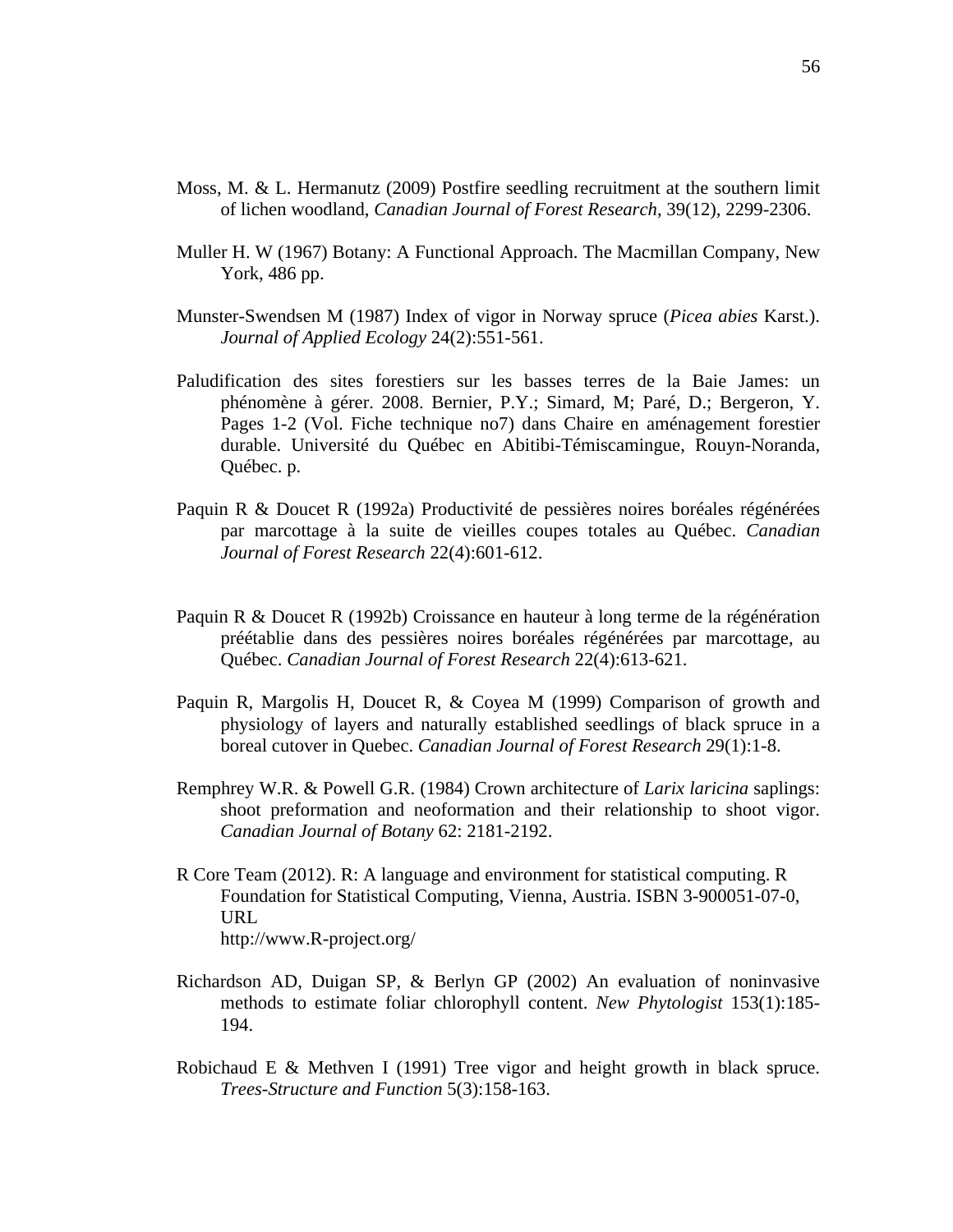- Moss, M. & L. Hermanutz (2009) Postfire seedling recruitment at the southern limit of lichen woodland, *Canadian Journal of Forest Research*, 39(12), 2299-2306.
- Muller H. W (1967) Botany: A Functional Approach. The Macmillan Company, New York, 486 pp.
- Munster-Swendsen M (1987) Index of vigor in Norway spruce (*Picea abies* Karst.). *Journal of Applied Ecology* 24(2):551-561.
- Paludification des sites forestiers sur les basses terres de la Baie James: un phénomène à gérer. 2008. Bernier, P.Y.; Simard, M; Paré, D.; Bergeron, Y. Pages 1-2 (Vol. Fiche technique no7) dans Chaire en aménagement forestier durable. Université du Québec en Abitibi-Témiscamingue, Rouyn-Noranda, Québec. p.
- Paquin R & Doucet R (1992a) Productivité de pessières noires boréales régénérées par marcottage à la suite de vieilles coupes totales au Québec. *Canadian Journal of Forest Research* 22(4):601-612.
- Paquin R & Doucet R (1992b) Croissance en hauteur à long terme de la régénération préétablie dans des pessières noires boréales régénérées par marcottage, au Québec. *Canadian Journal of Forest Research* 22(4):613-621.
- Paquin R, Margolis H, Doucet R, & Coyea M (1999) Comparison of growth and physiology of layers and naturally established seedlings of black spruce in a boreal cutover in Quebec. *Canadian Journal of Forest Research* 29(1):1-8.
- Remphrey W.R. & Powell G.R. (1984) Crown architecture of *Larix laricina* saplings: shoot preformation and neoformation and their relationship to shoot vigor. *Canadian Journal of Botany* 62: 2181-2192.
- R Core Team (2012). R: A language and environment for statistical computing. R Foundation for Statistical Computing, Vienna, Austria. ISBN 3-900051-07-0, URL http://www.R-project.org/
- Richardson AD, Duigan SP, & Berlyn GP (2002) An evaluation of noninvasive methods to estimate foliar chlorophyll content. *New Phytologist* 153(1):185- 194.
- Robichaud E & Methven I (1991) Tree vigor and height growth in black spruce. *Trees-Structure and Function* 5(3):158-163.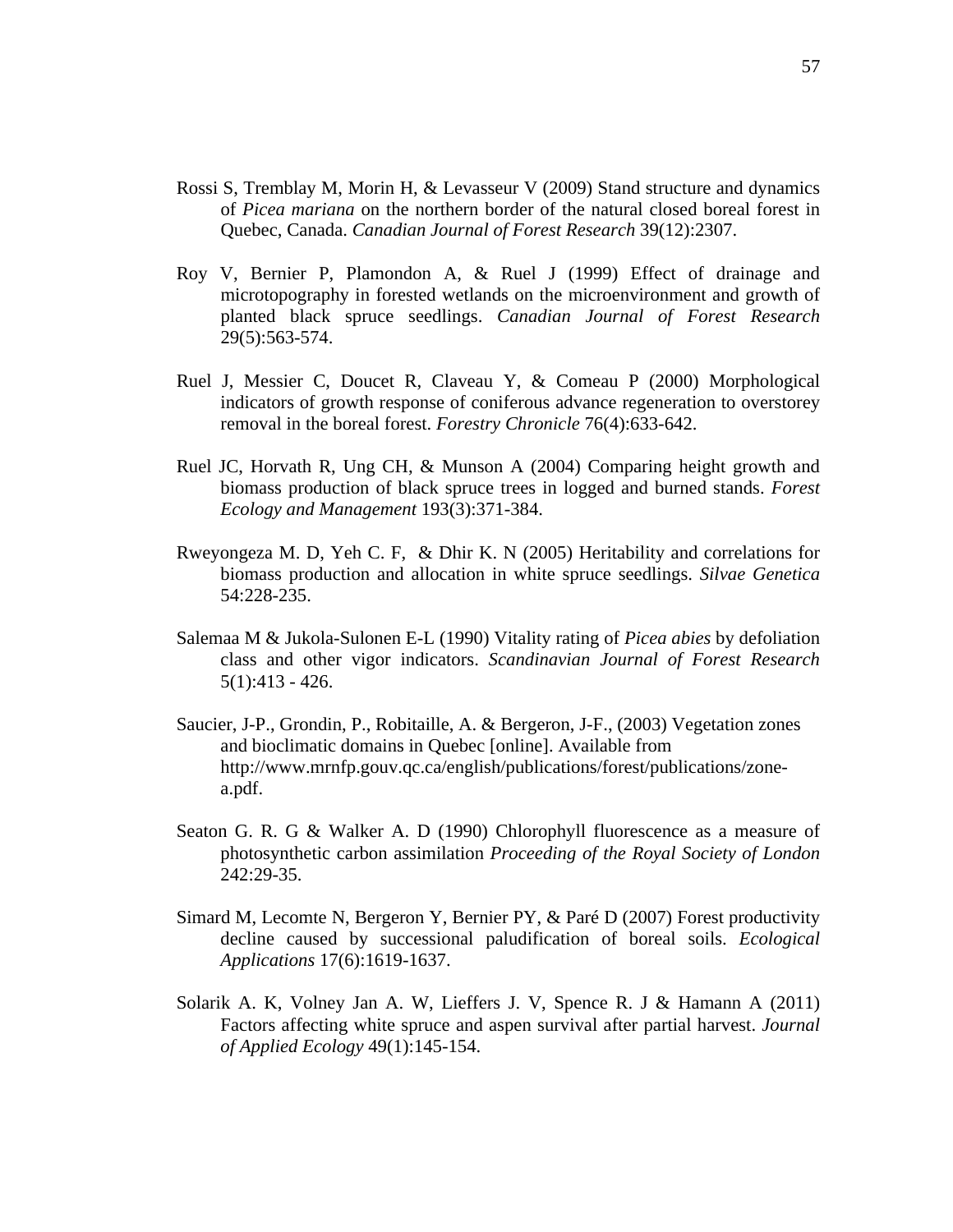- Rossi S, Tremblay M, Morin H, & Levasseur V (2009) Stand structure and dynamics of *Picea mariana* on the northern border of the natural closed boreal forest in Quebec, Canada. *Canadian Journal of Forest Research* 39(12):2307.
- Roy V, Bernier P, Plamondon A, & Ruel J (1999) Effect of drainage and microtopography in forested wetlands on the microenvironment and growth of planted black spruce seedlings. *Canadian Journal of Forest Research* 29(5):563-574.
- Ruel J, Messier C, Doucet R, Claveau Y, & Comeau P (2000) Morphological indicators of growth response of coniferous advance regeneration to overstorey removal in the boreal forest. *Forestry Chronicle* 76(4):633-642.
- Ruel JC, Horvath R, Ung CH, & Munson A (2004) Comparing height growth and biomass production of black spruce trees in logged and burned stands. *Forest Ecology and Management* 193(3):371-384.
- Rweyongeza M. D, Yeh C. F, & Dhir K. N (2005) Heritability and correlations for biomass production and allocation in white spruce seedlings. *Silvae Genetica* 54:228-235.
- Salemaa M & Jukola-Sulonen E-L (1990) Vitality rating of *Picea abies* by defoliation class and other vigor indicators. *Scandinavian Journal of Forest Research* 5(1):413 - 426.
- Saucier, J-P., Grondin, P., Robitaille, A. & Bergeron, J-F., (2003) Vegetation zones and bioclimatic domains in Quebec [online]. Available from http://www.mrnfp.gouv.qc.ca/english/publications/forest/publications/zonea.pdf.
- Seaton G. R. G & Walker A. D (1990) Chlorophyll fluorescence as a measure of photosynthetic carbon assimilation *Proceeding of the Royal Society of London* 242:29-35.
- Simard M, Lecomte N, Bergeron Y, Bernier PY, & Paré D (2007) Forest productivity decline caused by successional paludification of boreal soils. *Ecological Applications* 17(6):1619-1637.
- Solarik A. K, Volney Jan A. W, Lieffers J. V, Spence R. J & Hamann A (2011) Factors affecting white spruce and aspen survival after partial harvest. *Journal of Applied Ecology* 49(1):145-154.